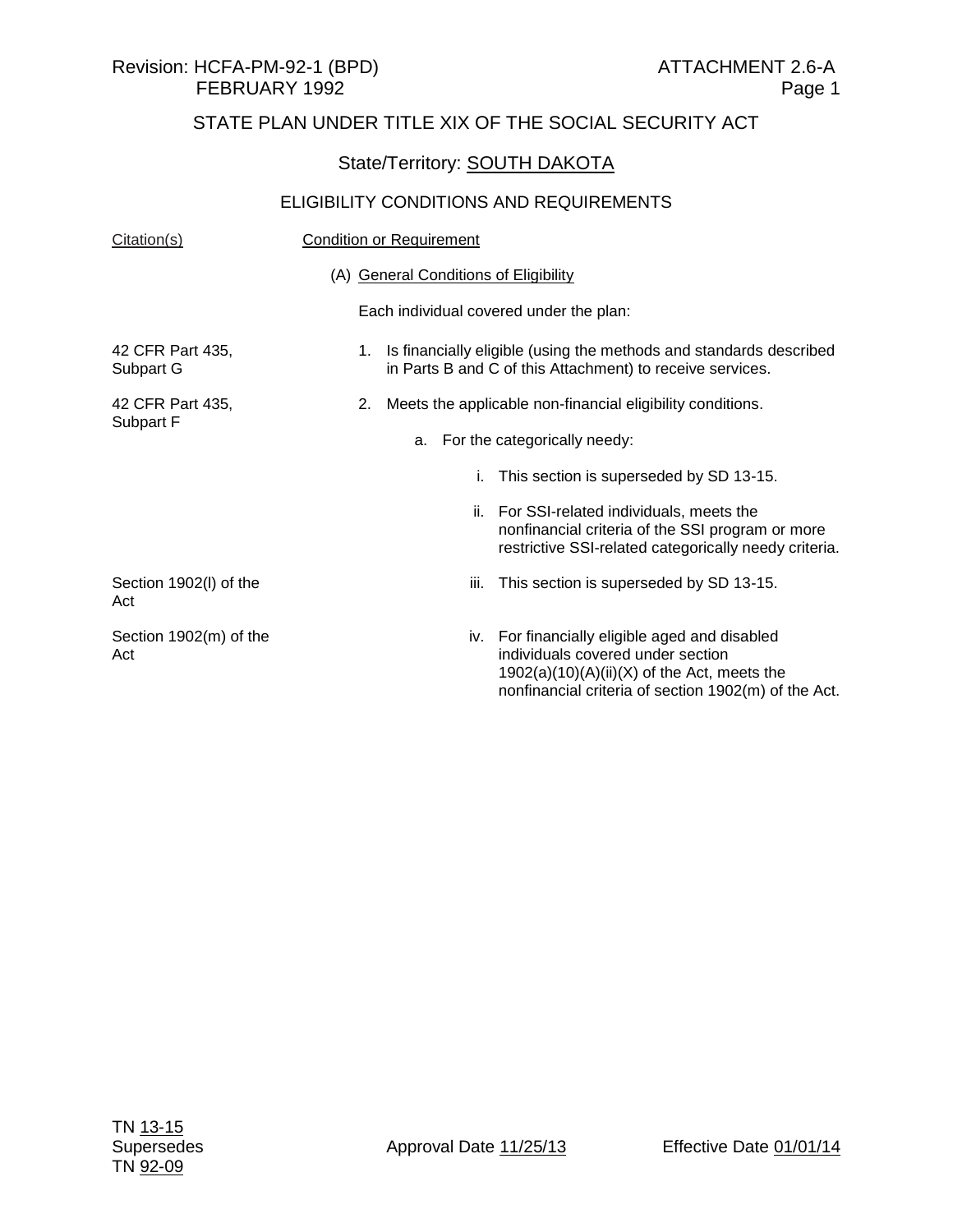#### State/Territory: **SOUTH DAKOTA**

| Citation(s)                   | <b>Condition or Requirement</b>                                                                                                                                                              |  |  |
|-------------------------------|----------------------------------------------------------------------------------------------------------------------------------------------------------------------------------------------|--|--|
|                               | (A) General Conditions of Eligibility                                                                                                                                                        |  |  |
|                               | Each individual covered under the plan:                                                                                                                                                      |  |  |
| 42 CFR Part 435,<br>Subpart G | 1. Is financially eligible (using the methods and standards described<br>in Parts B and C of this Attachment) to receive services.                                                           |  |  |
| 42 CFR Part 435,              | Meets the applicable non-financial eligibility conditions.<br>2.                                                                                                                             |  |  |
| Subpart F                     | For the categorically needy:<br>a.                                                                                                                                                           |  |  |
|                               | This section is superseded by SD 13-15.<br>i.                                                                                                                                                |  |  |
|                               | ii. For SSI-related individuals, meets the<br>nonfinancial criteria of the SSI program or more<br>restrictive SSI-related categorically needy criteria.                                      |  |  |
| Section 1902(I) of the<br>Act | This section is superseded by SD 13-15.<br>iii.                                                                                                                                              |  |  |
| Section 1902(m) of the<br>Act | iv. For financially eligible aged and disabled<br>individuals covered under section<br>$1902(a)(10)(A)(ii)(X)$ of the Act, meets the<br>nonfinancial criteria of section 1902(m) of the Act. |  |  |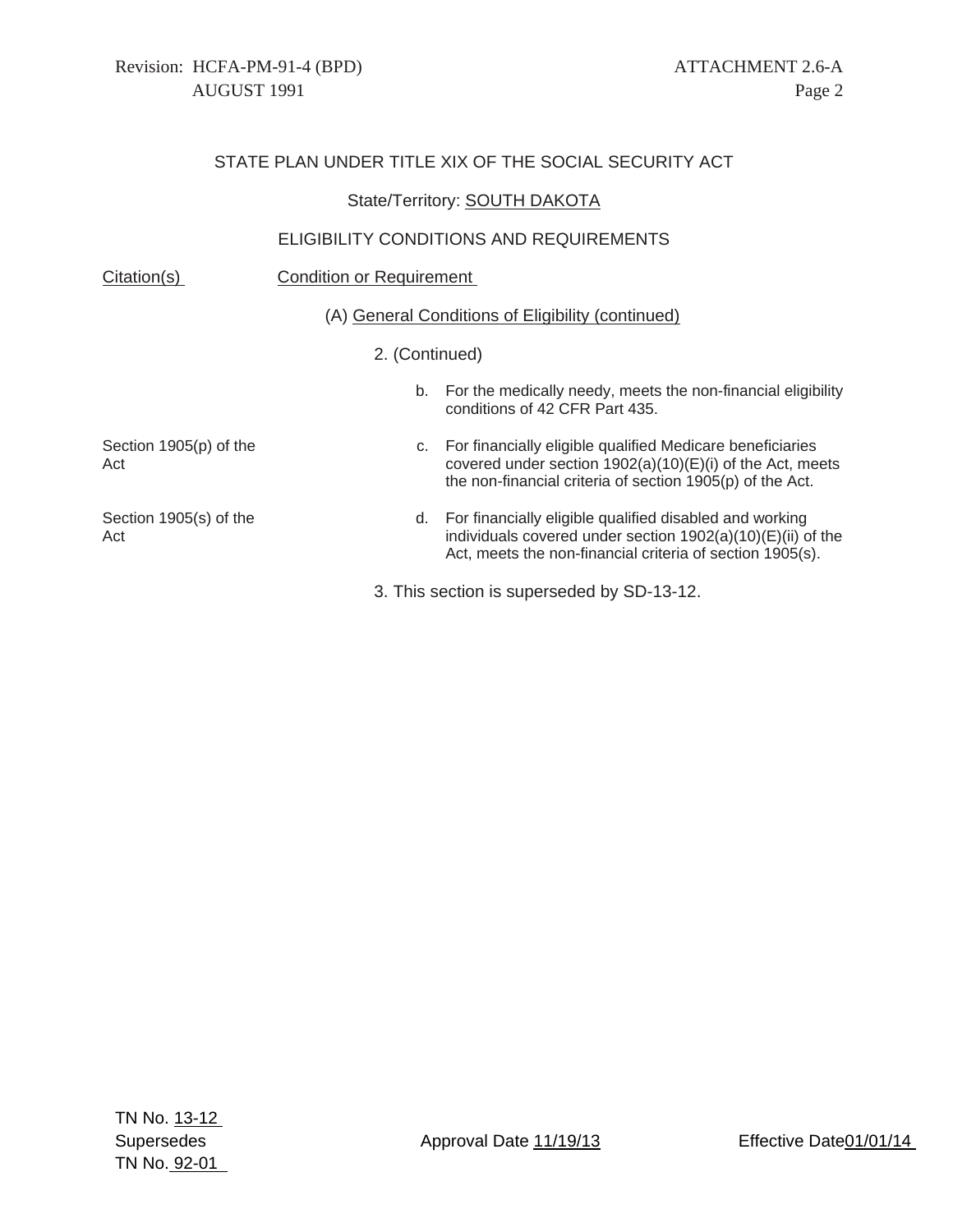#### State/Territory: **SOUTH DAKOTA**

| Citation(s)                   | <b>Condition or Requirement</b>                   |                                                                                                                                                                                          |  |
|-------------------------------|---------------------------------------------------|------------------------------------------------------------------------------------------------------------------------------------------------------------------------------------------|--|
|                               | (A) General Conditions of Eligibility (continued) |                                                                                                                                                                                          |  |
|                               | 2. (Continued)                                    |                                                                                                                                                                                          |  |
|                               | b.                                                | For the medically needy, meets the non-financial eligibility<br>conditions of 42 CFR Part 435.                                                                                           |  |
| Section 1905(p) of the<br>Act |                                                   | c. For financially eligible qualified Medicare beneficiaries<br>covered under section $1902(a)(10)(E)(i)$ of the Act, meets<br>the non-financial criteria of section 1905(p) of the Act. |  |
| Section 1905(s) of the<br>Act | d.                                                | For financially eligible qualified disabled and working<br>individuals covered under section $1902(a)(10)(E)(ii)$ of the<br>Act, meets the non-financial criteria of section 1905(s).    |  |
|                               |                                                   | 3. This section is superseded by SD-13-12.                                                                                                                                               |  |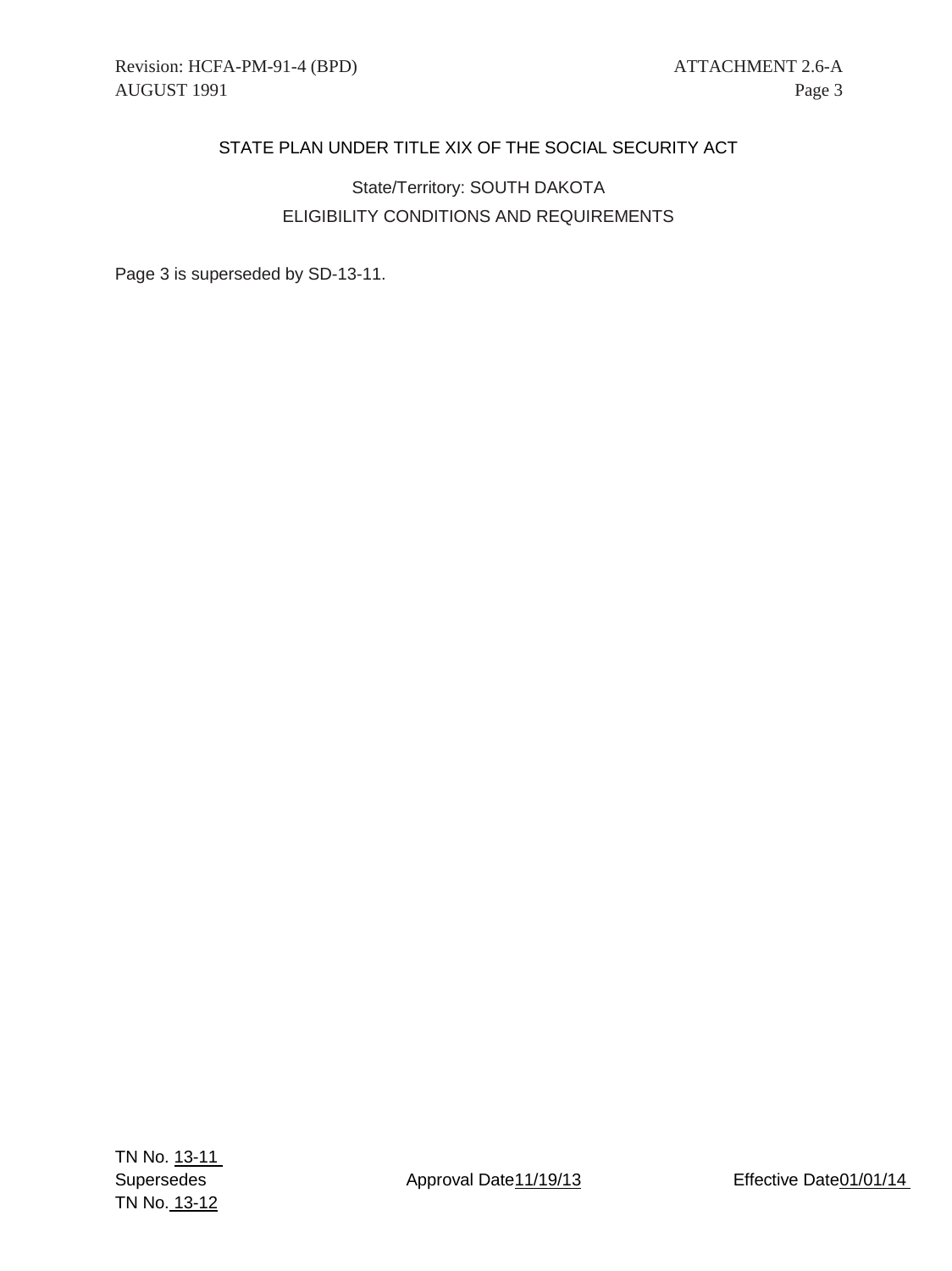## State/Territory: SOUTH DAKOTA ELIGIBILITY CONDITIONS AND REQUIREMENTS

Page 3 is superseded by SD-13-11.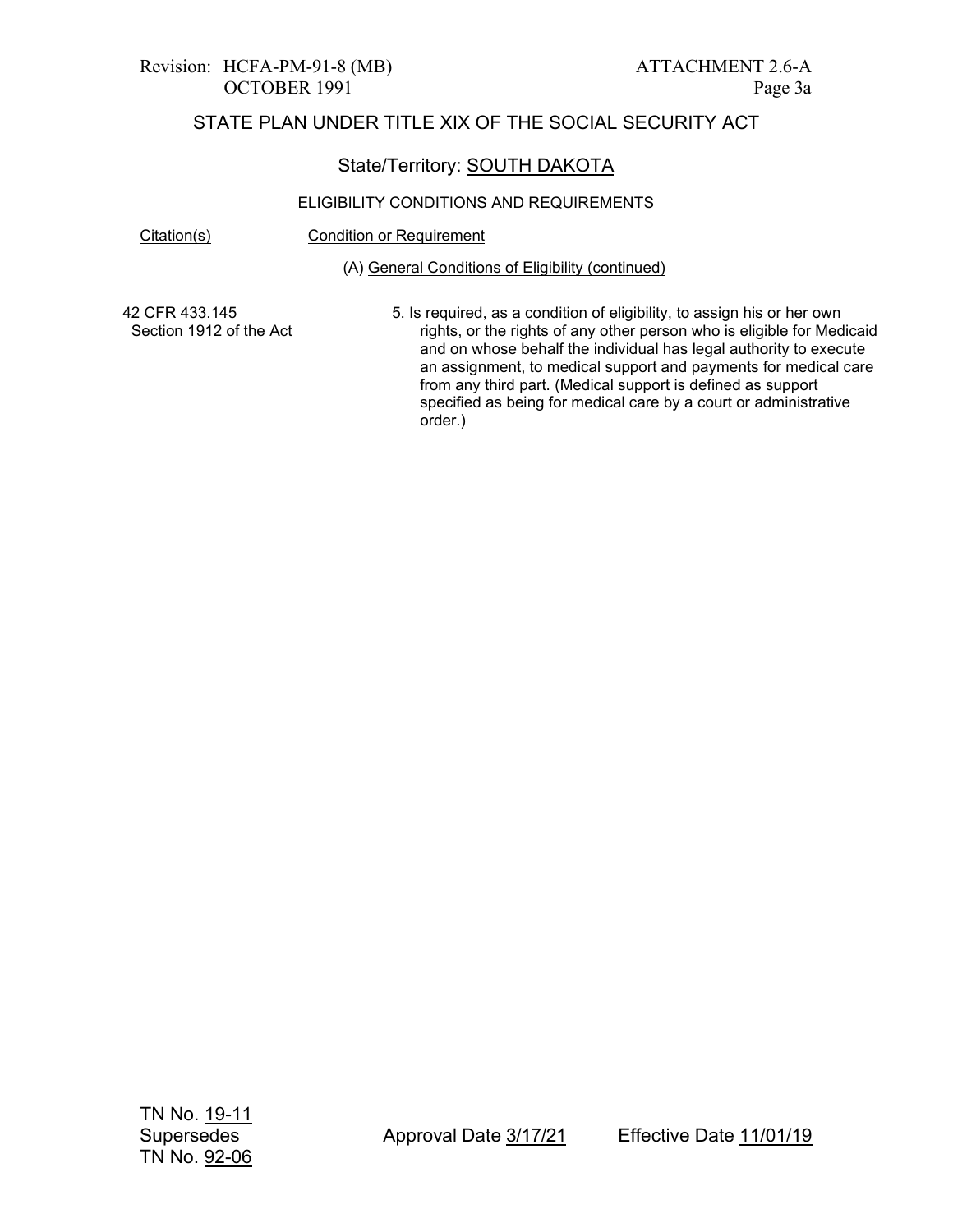# Revision: HCFA-PM-91-8 (MB) ATTACHMENT 2.6-A

## STATE PLAN UNDER TITLE XIX OF THE SOCIAL SECURITY ACT

#### State/Territory: SOUTH DAKOTA

#### ELIGIBILITY CONDITIONS AND REQUIREMENTS

Citation(s) Condition or Requirement

(A) General Conditions of Eligibility (continued)

42 CFR 433.145 Section 1912 of the Act 5. Is required, as a condition of eligibility, to assign his or her own rights, or the rights of any other person who is eligible for Medicaid and on whose behalf the individual has legal authority to execute an assignment, to medical support and payments for medical care from any third part. (Medical support is defined as support specified as being for medical care by a court or administrative order.)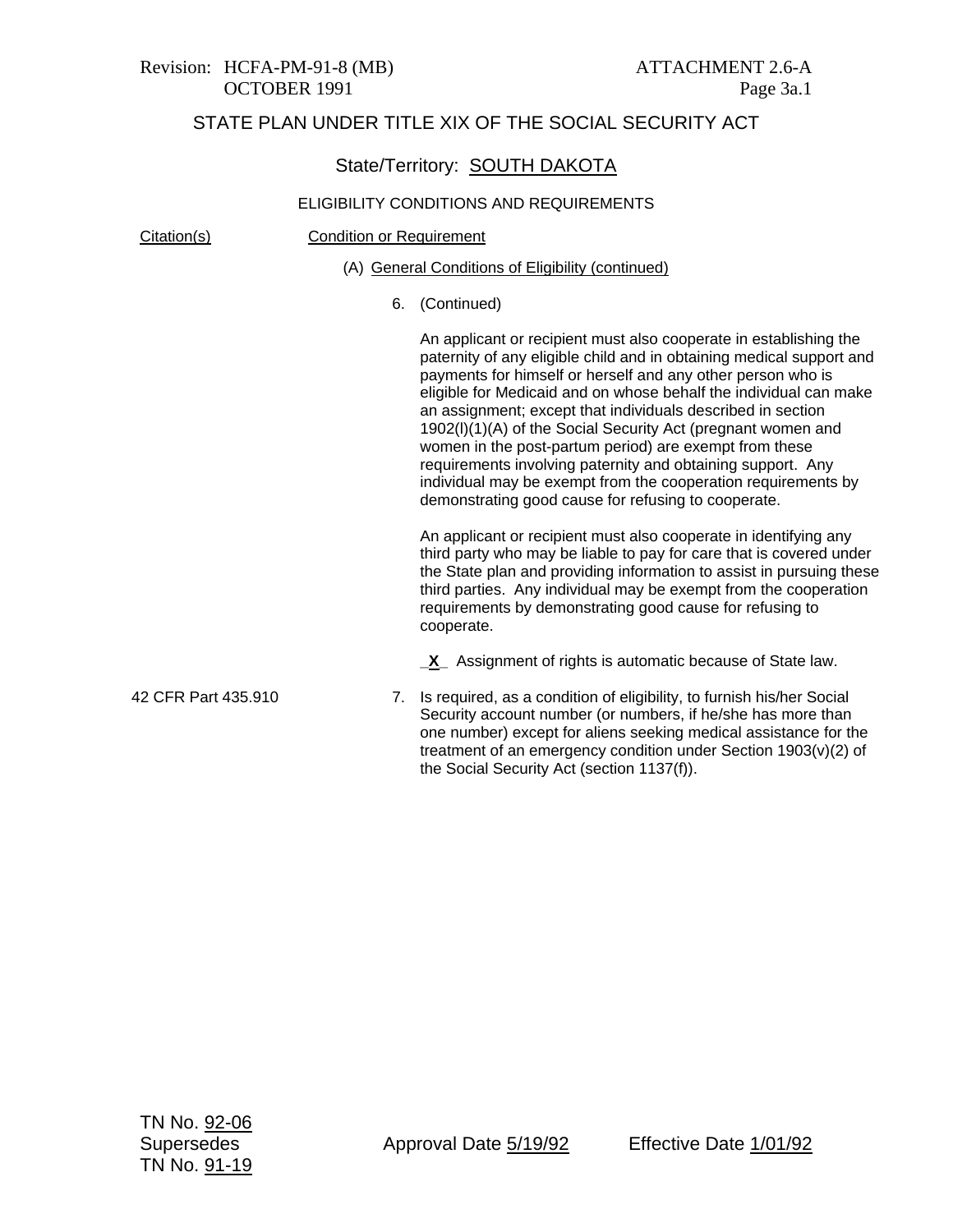#### State/Territory: SOUTH DAKOTA

#### ELIGIBILITY CONDITIONS AND REQUIREMENTS

Citation(s) Condition or Requirement

#### (A) General Conditions of Eligibility (continued)

6. (Continued)

An applicant or recipient must also cooperate in establishing the paternity of any eligible child and in obtaining medical support and payments for himself or herself and any other person who is eligible for Medicaid and on whose behalf the individual can make an assignment; except that individuals described in section 1902(l)(1)(A) of the Social Security Act (pregnant women and women in the post-partum period) are exempt from these requirements involving paternity and obtaining support. Any individual may be exempt from the cooperation requirements by demonstrating good cause for refusing to cooperate.

An applicant or recipient must also cooperate in identifying any third party who may be liable to pay for care that is covered under the State plan and providing information to assist in pursuing these third parties. Any individual may be exempt from the cooperation requirements by demonstrating good cause for refusing to cooperate.

**\_X\_** Assignment of rights is automatic because of State law.

42 CFR Part 435.910 7. Is required, as a condition of eligibility, to furnish his/her Social Security account number (or numbers, if he/she has more than one number) except for aliens seeking medical assistance for the treatment of an emergency condition under Section 1903(v)(2) of the Social Security Act (section 1137(f)).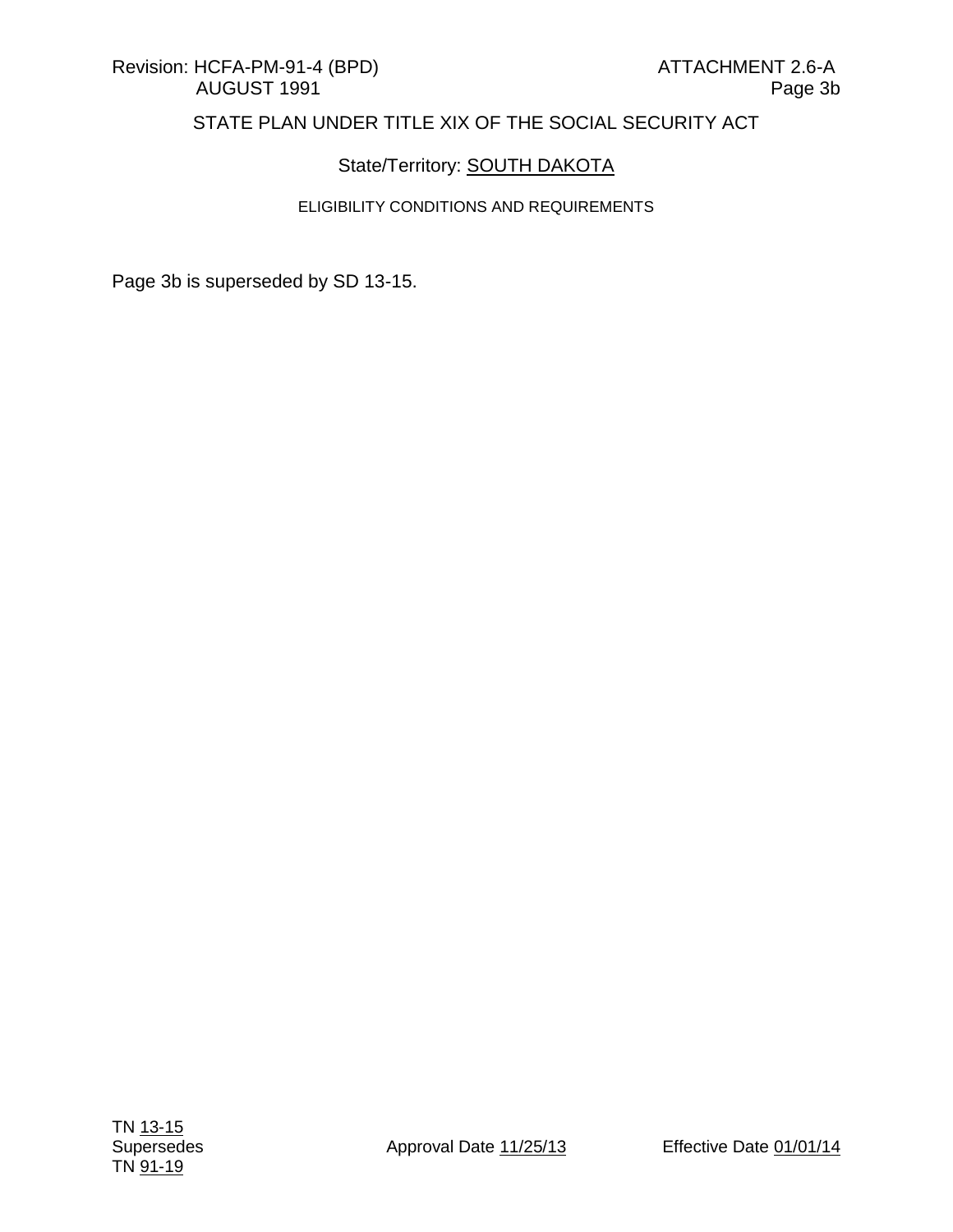## State/Territory: **SOUTH DAKOTA**

#### ELIGIBILITY CONDITIONS AND REQUIREMENTS

Page 3b is superseded by SD 13-15.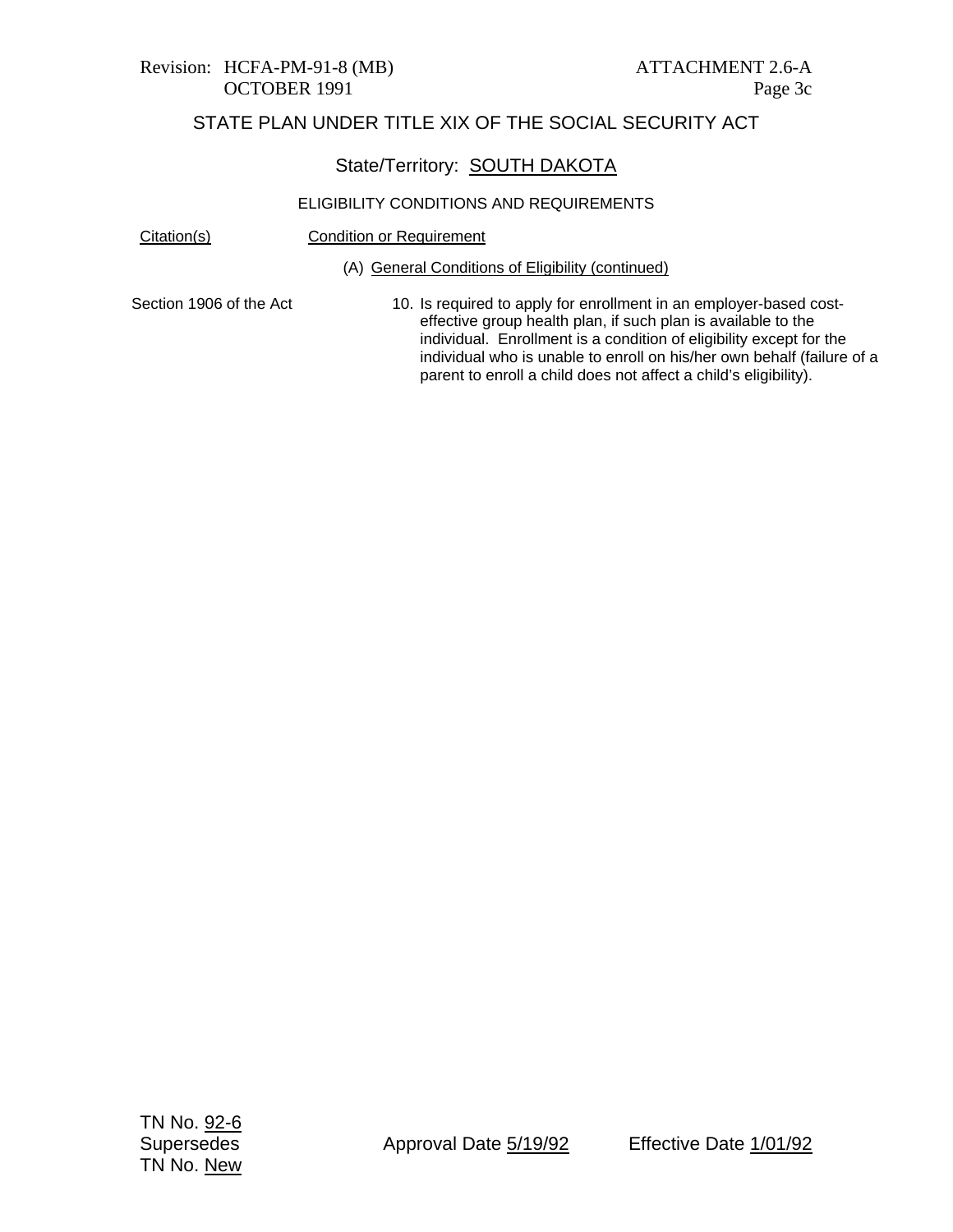# Revision: HCFA-PM-91-8 (MB) ATTACHMENT 2.6-A

## STATE PLAN UNDER TITLE XIX OF THE SOCIAL SECURITY ACT

## State/Territory: SOUTH DAKOTA

#### ELIGIBILITY CONDITIONS AND REQUIREMENTS

Citation(s) Condition or Requirement

(A) General Conditions of Eligibility (continued)

Section 1906 of the Act

10. Is required to apply for enrollment in an employer-based costeffective group health plan, if such plan is available to the individual. Enrollment is a condition of eligibility except for the individual who is unable to enroll on his/her own behalf (failure of a parent to enroll a child does not affect a child's eligibility).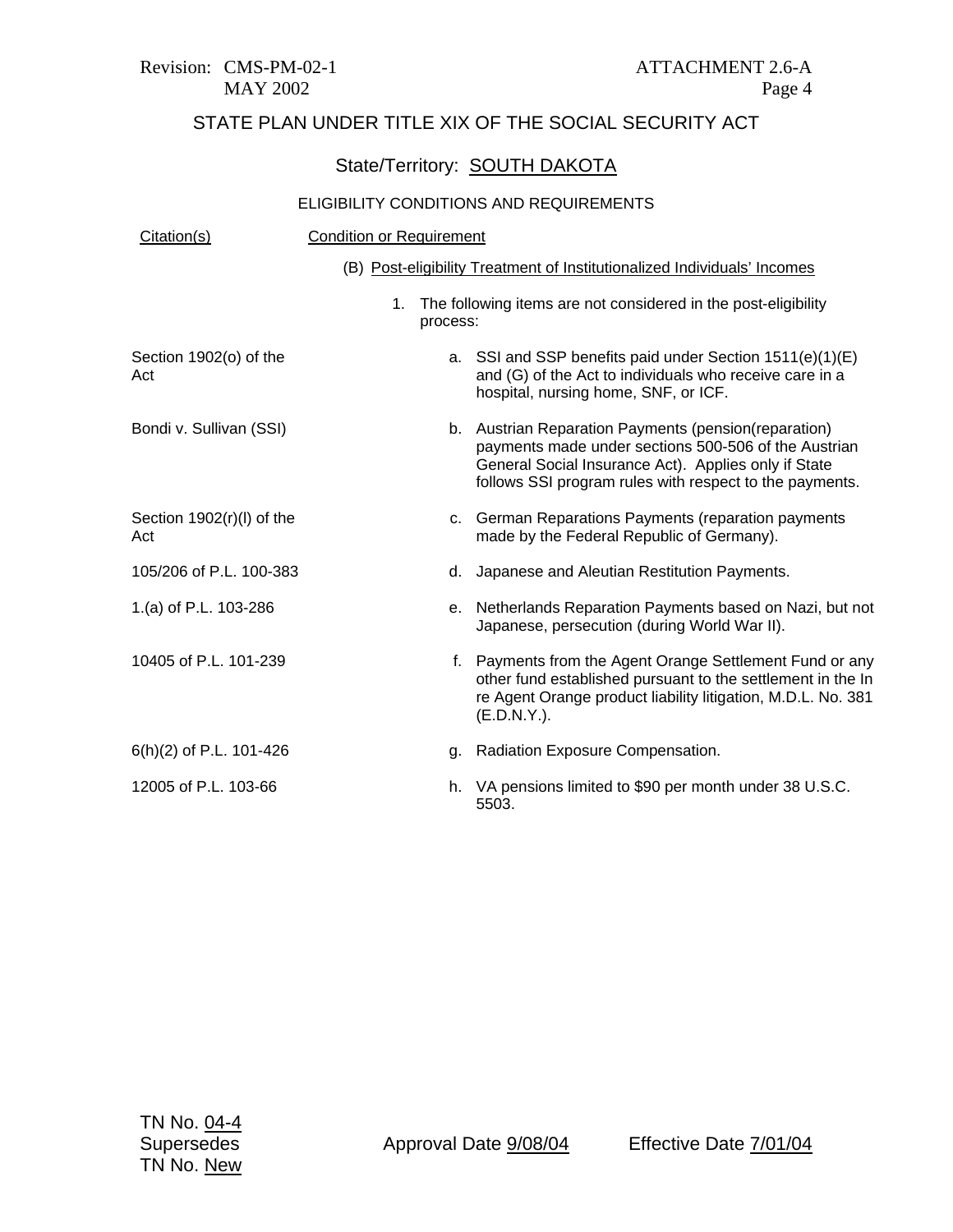Revision: CMS-PM-02-1 ATTACHMENT 2.6-A

# STATE PLAN UNDER TITLE XIX OF THE SOCIAL SECURITY ACT

## State/Territory: SOUTH DAKOTA

| Citation(s)                      | <b>Condition or Requirement</b> |                                                                                                                                                                                                                                 |
|----------------------------------|---------------------------------|---------------------------------------------------------------------------------------------------------------------------------------------------------------------------------------------------------------------------------|
|                                  |                                 | (B) Post-eligibility Treatment of Institutionalized Individuals' Incomes                                                                                                                                                        |
|                                  | 1.<br>process:                  | The following items are not considered in the post-eligibility                                                                                                                                                                  |
| Section 1902(o) of the<br>Act    |                                 | a. SSI and SSP benefits paid under Section 1511(e)(1)(E)<br>and (G) of the Act to individuals who receive care in a<br>hospital, nursing home, SNF, or ICF.                                                                     |
| Bondi v. Sullivan (SSI)          |                                 | b. Austrian Reparation Payments (pension(reparation)<br>payments made under sections 500-506 of the Austrian<br>General Social Insurance Act). Applies only if State<br>follows SSI program rules with respect to the payments. |
| Section 1902(r)(l) of the<br>Act |                                 | c. German Reparations Payments (reparation payments<br>made by the Federal Republic of Germany).                                                                                                                                |
| 105/206 of P.L. 100-383          | d.                              | Japanese and Aleutian Restitution Payments.                                                                                                                                                                                     |
| 1.(a) of P.L. 103-286            |                                 | e. Netherlands Reparation Payments based on Nazi, but not<br>Japanese, persecution (during World War II).                                                                                                                       |
| 10405 of P.L. 101-239            |                                 | f. Payments from the Agent Orange Settlement Fund or any<br>other fund established pursuant to the settlement in the In<br>re Agent Orange product liability litigation, M.D.L. No. 381<br>$(E.D.N.Y.)$ .                       |
| 6(h)(2) of P.L. 101-426          | g.                              | Radiation Exposure Compensation.                                                                                                                                                                                                |
| 12005 of P.L. 103-66             | h.                              | VA pensions limited to \$90 per month under 38 U.S.C.<br>5503.                                                                                                                                                                  |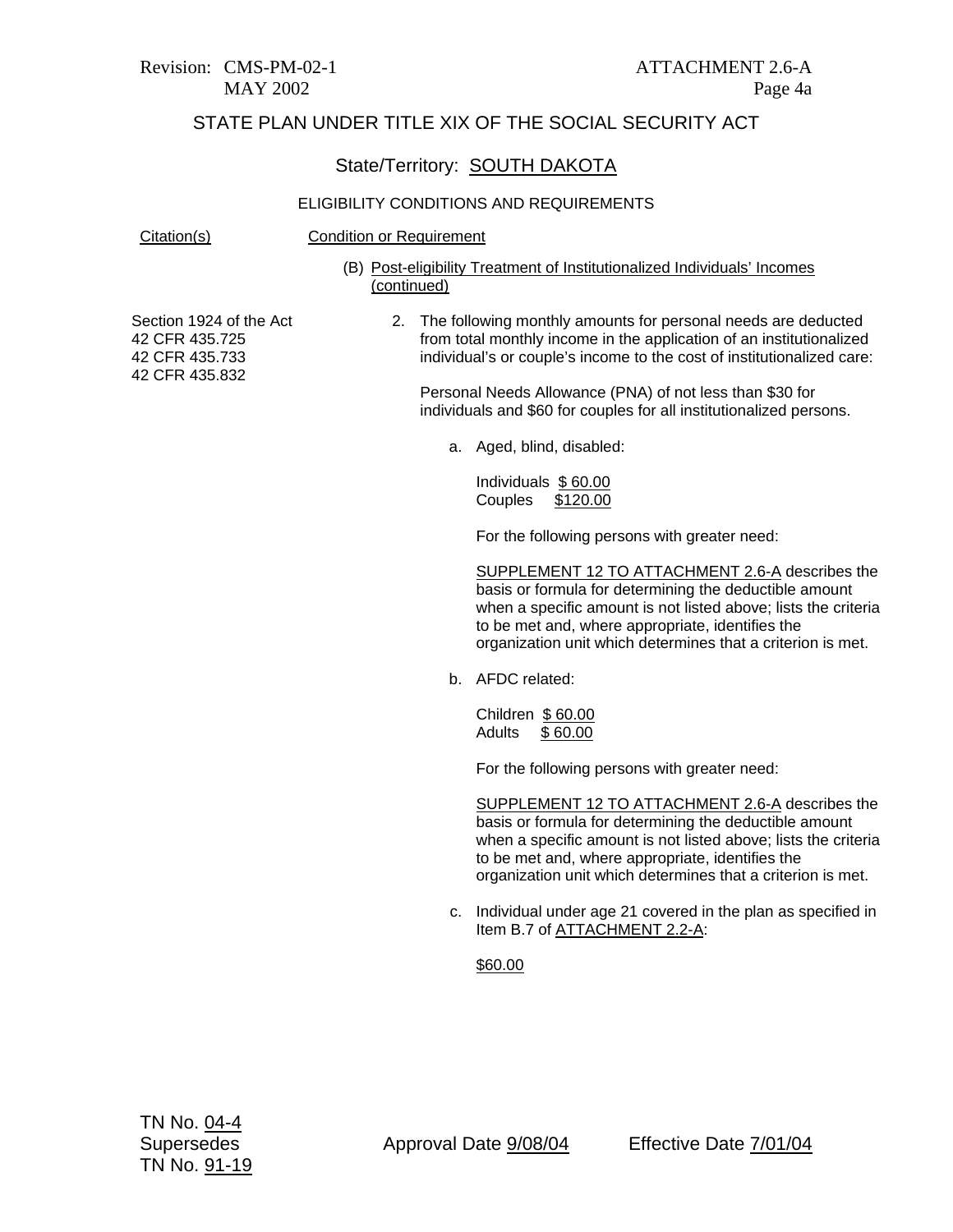Revision: CMS-PM-02-1 ATTACHMENT 2.6-A

#### STATE PLAN UNDER TITLE XIX OF THE SOCIAL SECURITY ACT

#### State/Territory: SOUTH DAKOTA

#### ELIGIBILITY CONDITIONS AND REQUIREMENTS

#### Citation(s) Condition or Requirement

(B) Post-eligibility Treatment of Institutionalized Individuals' Incomes (continued)

Section 1924 of the Act 42 CFR 435.725 42 CFR 435.733 42 CFR 435.832

2. The following monthly amounts for personal needs are deducted from total monthly income in the application of an institutionalized individual's or couple's income to the cost of institutionalized care:

Personal Needs Allowance (PNA) of not less than \$30 for individuals and \$60 for couples for all institutionalized persons.

a. Aged, blind, disabled:

Individuals \$ 60.00 Couples \$120.00

For the following persons with greater need:

SUPPLEMENT 12 TO ATTACHMENT 2.6-A describes the basis or formula for determining the deductible amount when a specific amount is not listed above; lists the criteria to be met and, where appropriate, identifies the organization unit which determines that a criterion is met.

b. AFDC related:

Children \$ 60.00 Adults \$ 60.00

For the following persons with greater need:

SUPPLEMENT 12 TO ATTACHMENT 2.6-A describes the basis or formula for determining the deductible amount when a specific amount is not listed above; lists the criteria to be met and, where appropriate, identifies the organization unit which determines that a criterion is met.

c. Individual under age 21 covered in the plan as specified in Item B.7 of ATTACHMENT 2.2-A:

#### \$60.00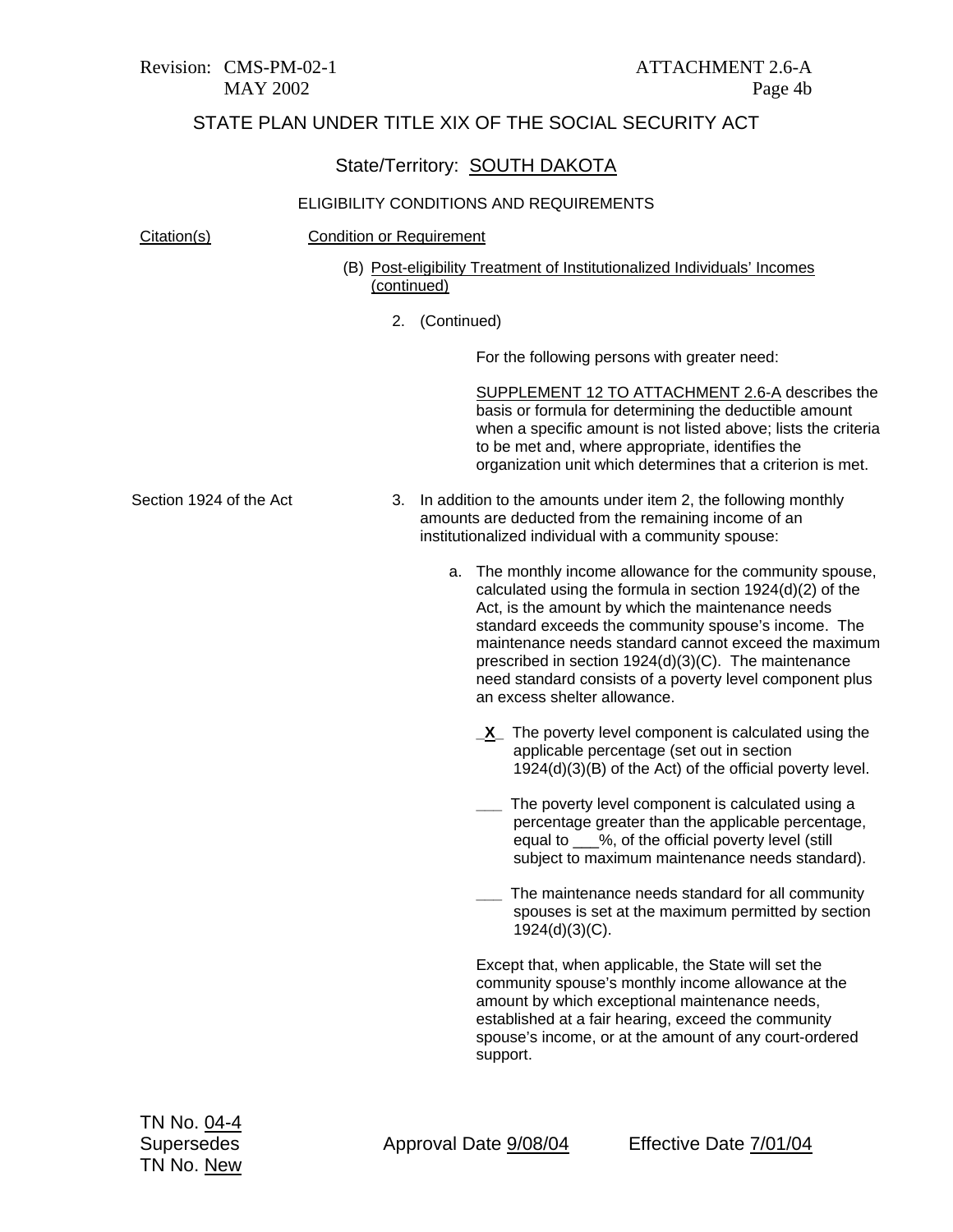## State/Territory: SOUTH DAKOTA

| Citation(s)             | <b>Condition or Requirement</b> |                                                                                                                                                                                                                                                                                                                                                                                                                                                |
|-------------------------|---------------------------------|------------------------------------------------------------------------------------------------------------------------------------------------------------------------------------------------------------------------------------------------------------------------------------------------------------------------------------------------------------------------------------------------------------------------------------------------|
|                         | (continued)                     | (B) Post-eligibility Treatment of Institutionalized Individuals' Incomes                                                                                                                                                                                                                                                                                                                                                                       |
|                         | 2.                              | (Continued)                                                                                                                                                                                                                                                                                                                                                                                                                                    |
|                         |                                 | For the following persons with greater need:                                                                                                                                                                                                                                                                                                                                                                                                   |
|                         |                                 | SUPPLEMENT 12 TO ATTACHMENT 2.6-A describes the<br>basis or formula for determining the deductible amount<br>when a specific amount is not listed above; lists the criteria<br>to be met and, where appropriate, identifies the<br>organization unit which determines that a criterion is met.                                                                                                                                                 |
| Section 1924 of the Act | 3.                              | In addition to the amounts under item 2, the following monthly<br>amounts are deducted from the remaining income of an<br>institutionalized individual with a community spouse:                                                                                                                                                                                                                                                                |
|                         |                                 | a. The monthly income allowance for the community spouse,<br>calculated using the formula in section 1924(d)(2) of the<br>Act, is the amount by which the maintenance needs<br>standard exceeds the community spouse's income. The<br>maintenance needs standard cannot exceed the maximum<br>prescribed in section 1924(d)(3)(C). The maintenance<br>need standard consists of a poverty level component plus<br>an excess shelter allowance. |
|                         |                                 | $X$ The poverty level component is calculated using the<br>applicable percentage (set out in section<br>1924(d)(3)(B) of the Act) of the official poverty level.                                                                                                                                                                                                                                                                               |
|                         |                                 | The poverty level component is calculated using a<br>percentage greater than the applicable percentage,<br>equal to ___%, of the official poverty level (still<br>subject to maximum maintenance needs standard).                                                                                                                                                                                                                              |
|                         |                                 | The maintenance needs standard for all community<br>spouses is set at the maximum permitted by section<br>1924(d)(3)(C).                                                                                                                                                                                                                                                                                                                       |
|                         |                                 | Except that, when applicable, the State will set the<br>community spouse's monthly income allowance at the<br>amount by which exceptional maintenance needs,<br>established at a fair hearing, exceed the community<br>spouse's income, or at the amount of any court-ordered<br>support.                                                                                                                                                      |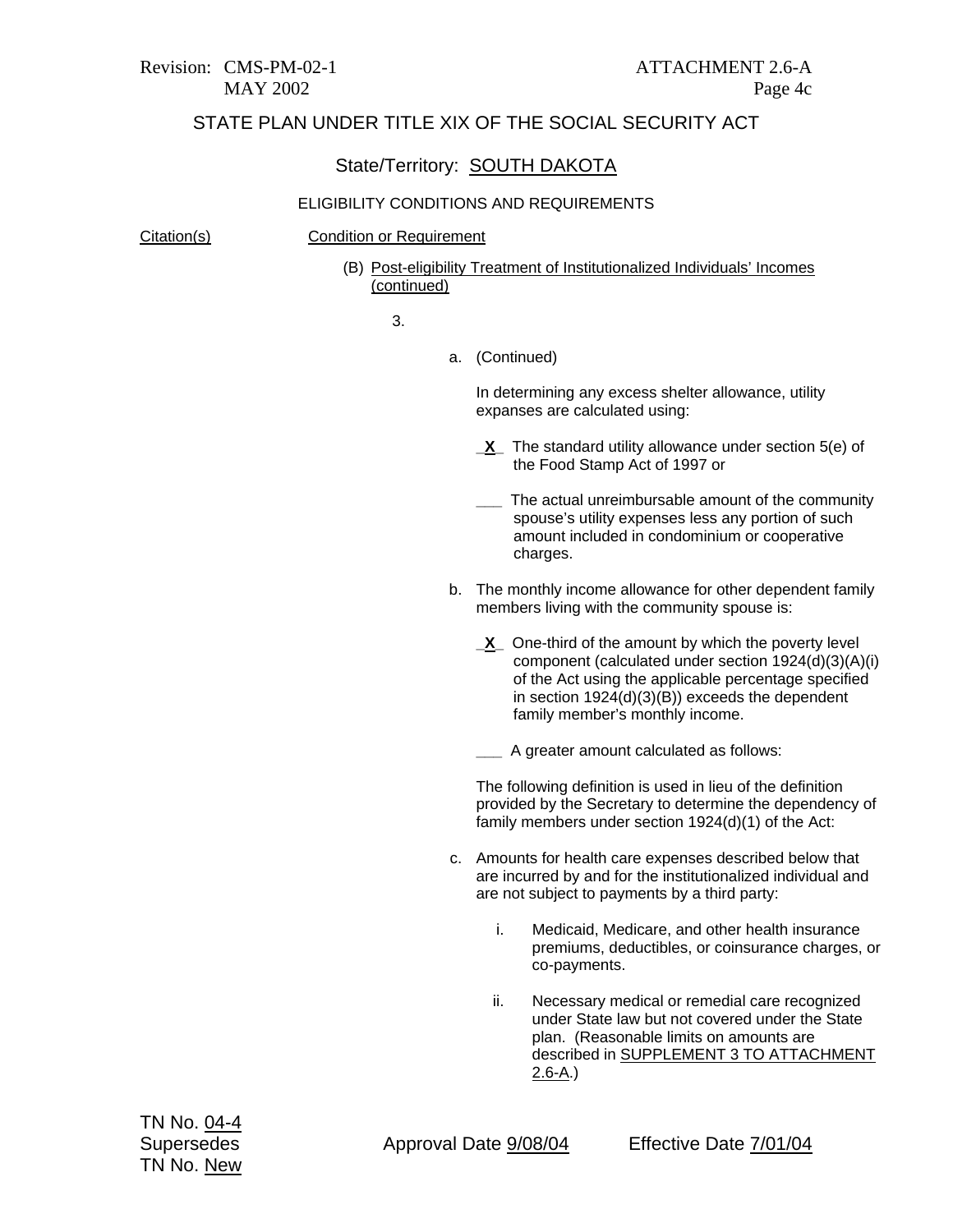## State/Territory: SOUTH DAKOTA

#### ELIGIBILITY CONDITIONS AND REQUIREMENTS

#### Citation(s) Condition or Requirement

(B) Post-eligibility Treatment of Institutionalized Individuals' Incomes (continued)

3.

a. (Continued)

In determining any excess shelter allowance, utility expanses are calculated using:

- **\_X\_** The standard utility allowance under section 5(e) of the Food Stamp Act of 1997 or
- **\_\_\_** The actual unreimbursable amount of the community spouse's utility expenses less any portion of such amount included in condominium or cooperative charges.
- b. The monthly income allowance for other dependent family members living with the community spouse is:
	- **\_X\_** One-third of the amount by which the poverty level component (calculated under section 1924(d)(3)(A)(i) of the Act using the applicable percentage specified in section 1924(d)(3)(B)) exceeds the dependent family member's monthly income.

**\_\_\_** A greater amount calculated as follows:

The following definition is used in lieu of the definition provided by the Secretary to determine the dependency of family members under section 1924(d)(1) of the Act:

- c. Amounts for health care expenses described below that are incurred by and for the institutionalized individual and are not subject to payments by a third party:
	- i. Medicaid, Medicare, and other health insurance premiums, deductibles, or coinsurance charges, or co-payments.
	- ii. Necessary medical or remedial care recognized under State law but not covered under the State plan. (Reasonable limits on amounts are described in SUPPLEMENT 3 TO ATTACHMENT 2.6-A.)

Supersedes Approval Date 9/08/04 Effective Date 7/01/04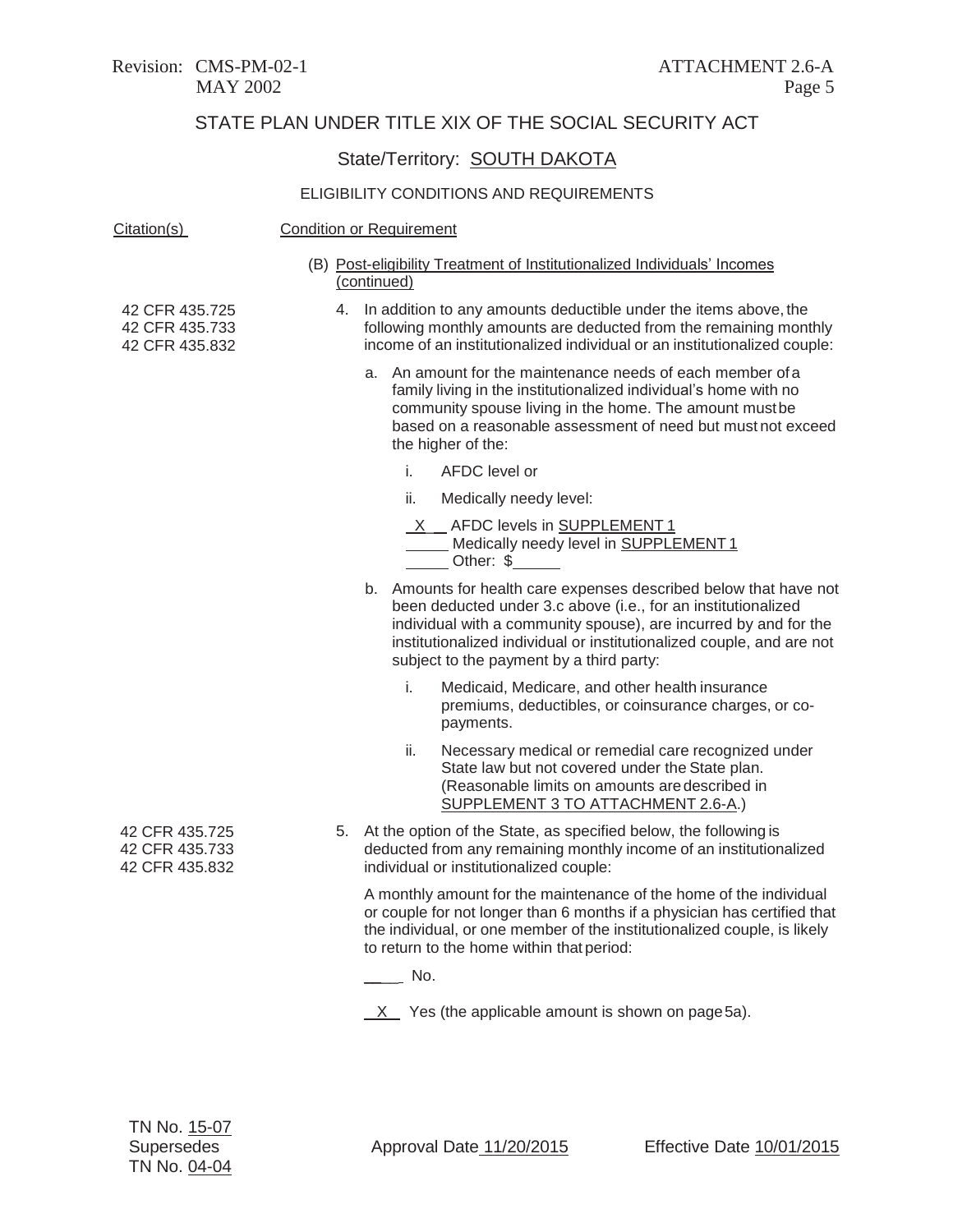## State/Territory: **SOUTH DAKOTA**

| Citation(s)                                        | <b>Condition or Requirement</b>                                                                                                                                                                                                                                                                                             |  |  |
|----------------------------------------------------|-----------------------------------------------------------------------------------------------------------------------------------------------------------------------------------------------------------------------------------------------------------------------------------------------------------------------------|--|--|
|                                                    | (B) Post-eligibility Treatment of Institutionalized Individuals' Incomes<br>(continued)                                                                                                                                                                                                                                     |  |  |
| 42 CFR 435.725<br>42 CFR 435.733<br>42 CFR 435.832 | 4. In addition to any amounts deductible under the items above, the<br>following monthly amounts are deducted from the remaining monthly<br>income of an institutionalized individual or an institutionalized couple:                                                                                                       |  |  |
|                                                    | a. An amount for the maintenance needs of each member of a<br>family living in the institutionalized individual's home with no<br>community spouse living in the home. The amount mustbe<br>based on a reasonable assessment of need but must not exceed<br>the higher of the:                                              |  |  |
|                                                    | i.<br>AFDC level or                                                                                                                                                                                                                                                                                                         |  |  |
|                                                    | ii.<br>Medically needy level:                                                                                                                                                                                                                                                                                               |  |  |
|                                                    | X __ AFDC levels in SUPPLEMENT 1<br>Medically needy level in SUPPLEMENT1<br>Other: \$                                                                                                                                                                                                                                       |  |  |
|                                                    | b. Amounts for health care expenses described below that have not<br>been deducted under 3.c above (i.e., for an institutionalized<br>individual with a community spouse), are incurred by and for the<br>institutionalized individual or institutionalized couple, and are not<br>subject to the payment by a third party: |  |  |
|                                                    | i.<br>Medicaid, Medicare, and other health insurance<br>premiums, deductibles, or coinsurance charges, or co-<br>payments.                                                                                                                                                                                                  |  |  |
|                                                    | ii.<br>Necessary medical or remedial care recognized under<br>State law but not covered under the State plan.<br>(Reasonable limits on amounts are described in<br>SUPPLEMENT 3 TO ATTACHMENT 2.6-A.)                                                                                                                       |  |  |
| 42 CFR 435.725<br>42 CFR 435.733<br>42 CFR 435.832 | 5. At the option of the State, as specified below, the following is<br>deducted from any remaining monthly income of an institutionalized<br>individual or institutionalized couple:                                                                                                                                        |  |  |
|                                                    | A monthly amount for the maintenance of the home of the individual<br>or couple for not longer than 6 months if a physician has certified that<br>the individual, or one member of the institutionalized couple, is likely<br>to return to the home within that period:                                                     |  |  |
|                                                    | $\frac{1}{\sqrt{1-\frac{1}{2}}}$ No.                                                                                                                                                                                                                                                                                        |  |  |
|                                                    | $X$ Yes (the applicable amount is shown on page 5a).                                                                                                                                                                                                                                                                        |  |  |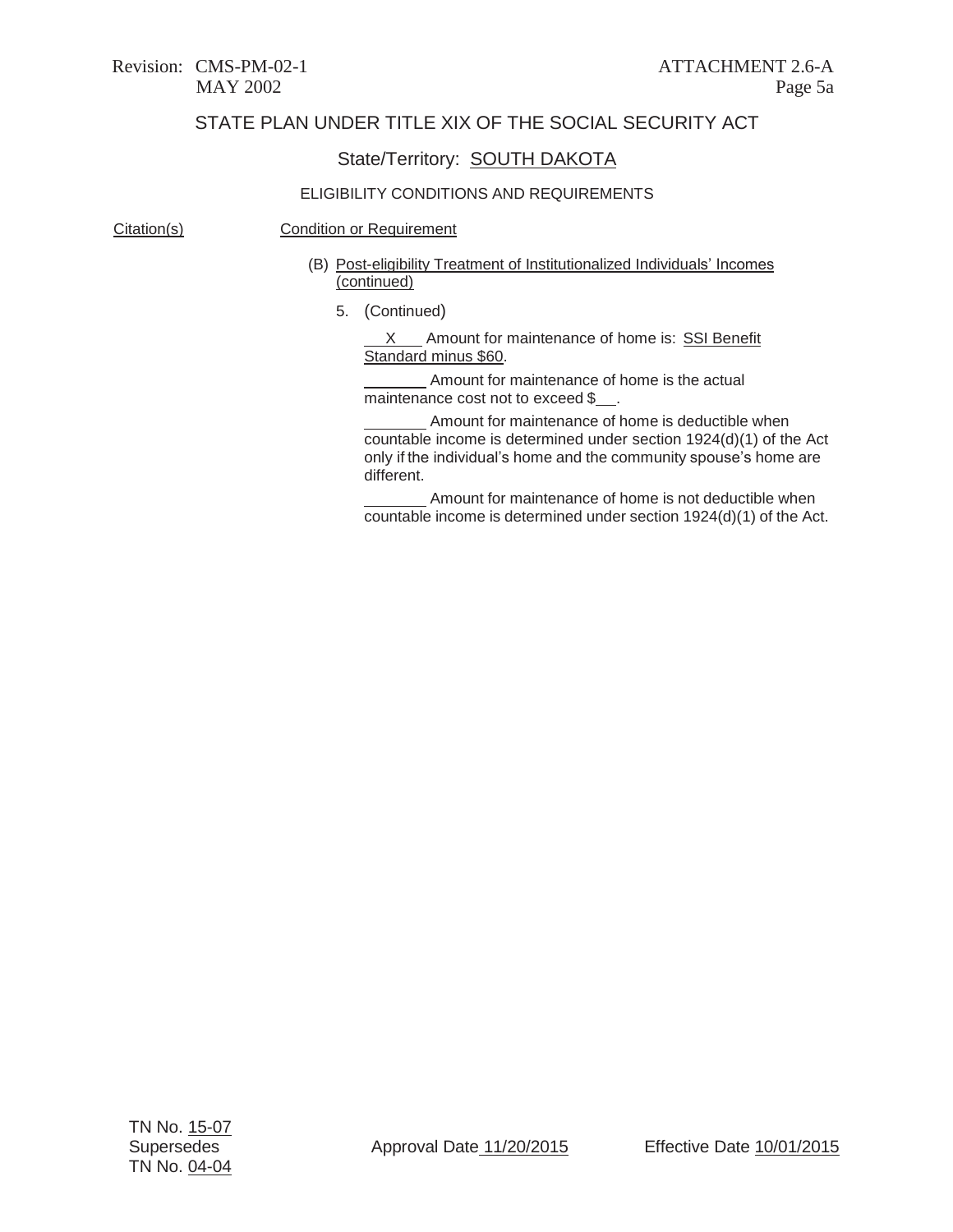## State/Territory: SOUTH DAKOTA

#### ELIGIBILITY CONDITIONS AND REQUIREMENTS

#### Citation(s) Condition or Requirement

#### (B) Post-eligibility Treatment of Institutionalized Individuals' Incomes (continued)

5. (Continued)

X Amount for maintenance of home is: SSI Benefit Standard minus \$60.

Amount for maintenance of home is the actual maintenance cost not to exceed \$.

Amount for maintenance of home is deductible when countable income is determined under section 1924(d)(1) of the Act only if the individual's home and the community spouse's home are different.

Amount for maintenance of home is not deductible when countable income is determined under section 1924(d)(1) of the Act.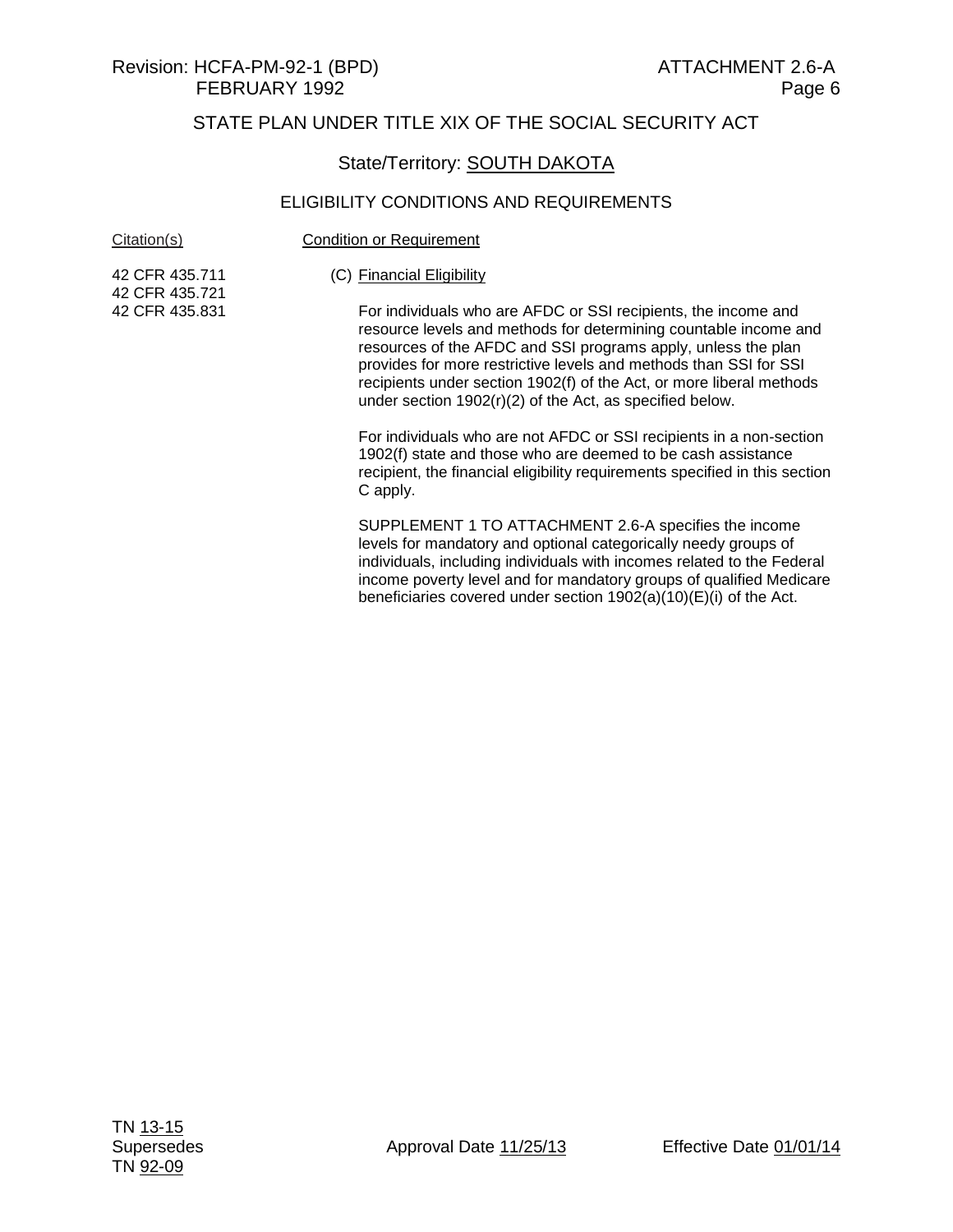## State/Territory: **SOUTH DAKOTA**

| Citation(s)                      | <b>Condition or Requirement</b>                                                                                                                                                                                                                                                                                                                                                                                |  |  |
|----------------------------------|----------------------------------------------------------------------------------------------------------------------------------------------------------------------------------------------------------------------------------------------------------------------------------------------------------------------------------------------------------------------------------------------------------------|--|--|
| 42 CFR 435.711<br>42 CFR 435.721 | (C) Financial Eligibility                                                                                                                                                                                                                                                                                                                                                                                      |  |  |
| 42 CFR 435.831                   | For individuals who are AFDC or SSI recipients, the income and<br>resource levels and methods for determining countable income and<br>resources of the AFDC and SSI programs apply, unless the plan<br>provides for more restrictive levels and methods than SSI for SSI<br>recipients under section 1902(f) of the Act, or more liberal methods<br>under section $1902(r)(2)$ of the Act, as specified below. |  |  |
|                                  | For individuals who are not AFDC or SSI recipients in a non-section<br>1902(f) state and those who are deemed to be cash assistance<br>recipient, the financial eligibility requirements specified in this section<br>C apply.                                                                                                                                                                                 |  |  |
|                                  | SUPPLEMENT 1 TO ATTACHMENT 2.6-A specifies the income<br>levels for mandatory and optional categorically needy groups of<br>individuals, including individuals with incomes related to the Federal<br>income poverty level and for mandatory groups of qualified Medicare<br>beneficiaries covered under section $1902(a)(10)(E)(i)$ of the Act.                                                               |  |  |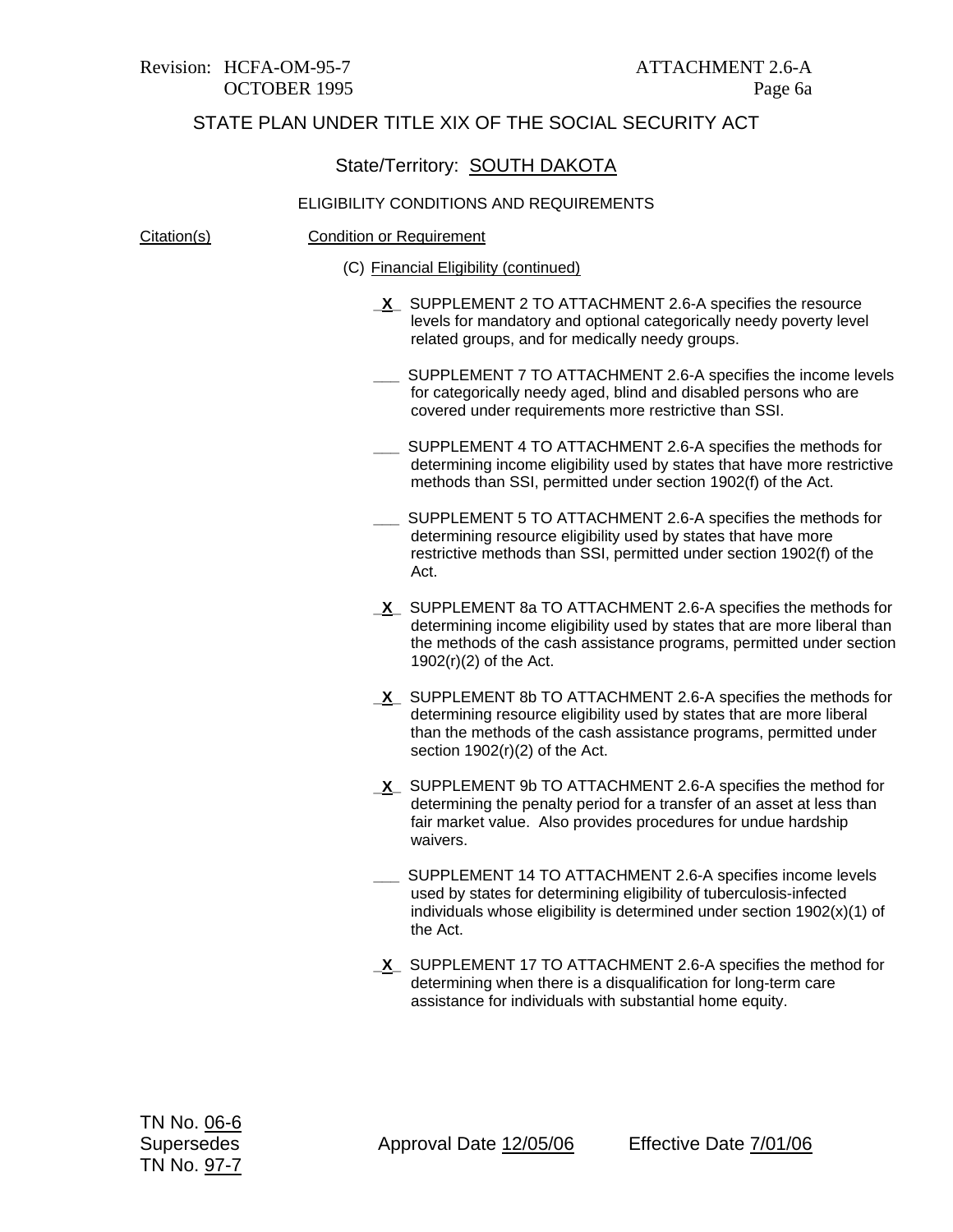#### State/Territory: SOUTH DAKOTA

#### ELIGIBILITY CONDITIONS AND REQUIREMENTS

Citation(s) Condition or Requirement

- (C) Financial Eligibility (continued)
	- **\_X\_** SUPPLEMENT 2 TO ATTACHMENT 2.6-A specifies the resource levels for mandatory and optional categorically needy poverty level related groups, and for medically needy groups.
	- **\_\_\_** SUPPLEMENT 7 TO ATTACHMENT 2.6-A specifies the income levels for categorically needy aged, blind and disabled persons who are covered under requirements more restrictive than SSI.
	- **\_\_\_** SUPPLEMENT 4 TO ATTACHMENT 2.6-A specifies the methods for determining income eligibility used by states that have more restrictive methods than SSI, permitted under section 1902(f) of the Act.
	- **\_\_\_** SUPPLEMENT 5 TO ATTACHMENT 2.6-A specifies the methods for determining resource eligibility used by states that have more restrictive methods than SSI, permitted under section 1902(f) of the Act.
	- **\_X\_** SUPPLEMENT 8a TO ATTACHMENT 2.6-A specifies the methods for determining income eligibility used by states that are more liberal than the methods of the cash assistance programs, permitted under section 1902(r)(2) of the Act.
	- **\_X\_** SUPPLEMENT 8b TO ATTACHMENT 2.6-A specifies the methods for determining resource eligibility used by states that are more liberal than the methods of the cash assistance programs, permitted under section 1902(r)(2) of the Act.
	- **\_X\_** SUPPLEMENT 9b TO ATTACHMENT 2.6-A specifies the method for determining the penalty period for a transfer of an asset at less than fair market value. Also provides procedures for undue hardship waivers.
	- **\_\_\_** SUPPLEMENT 14 TO ATTACHMENT 2.6-A specifies income levels used by states for determining eligibility of tuberculosis-infected individuals whose eligibility is determined under section 1902(x)(1) of the Act.
	- **\_X\_** SUPPLEMENT 17 TO ATTACHMENT 2.6-A specifies the method for determining when there is a disqualification for long-term care assistance for individuals with substantial home equity.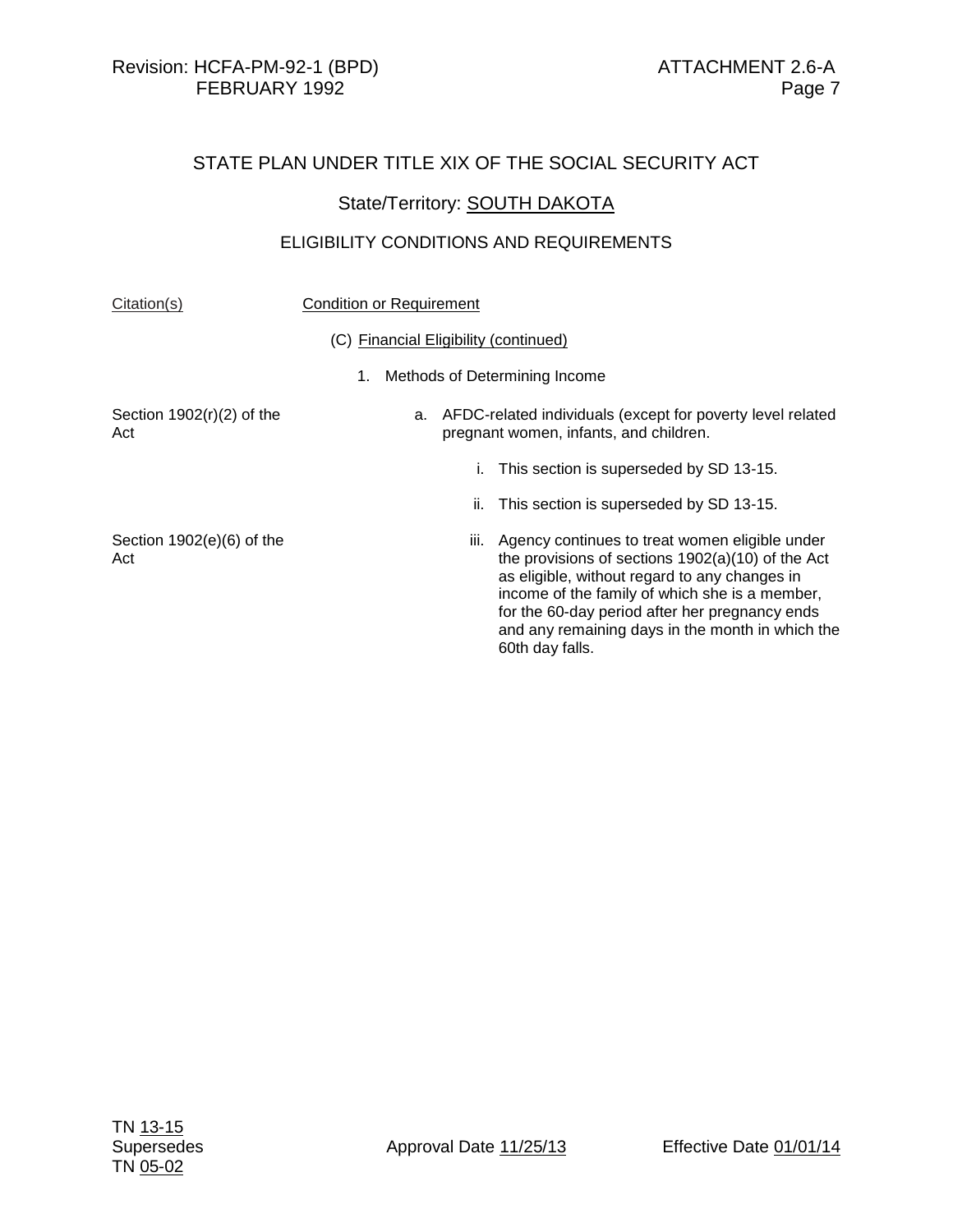#### State/Territory: **SOUTH DAKOTA**

#### ELIGIBILITY CONDITIONS AND REQUIREMENTS

#### Citation(s) Condition or Requirement

#### (C) Financial Eligibility (continued)

1. Methods of Determining Income

Section 1902(r)(2) of the Act

- a. AFDC-related individuals (except for poverty level related pregnant women, infants, and children.
	- i. This section is superseded by SD 13-15.
	- ii. This section is superseded by SD 13-15.
- Section 1902(e)(6) of the Act iii. Agency continues to treat women eligible under the provisions of sections 1902(a)(10) of the Act as eligible, without regard to any changes in income of the family of which she is a member, for the 60-day period after her pregnancy ends and any remaining days in the month in which the 60th day falls.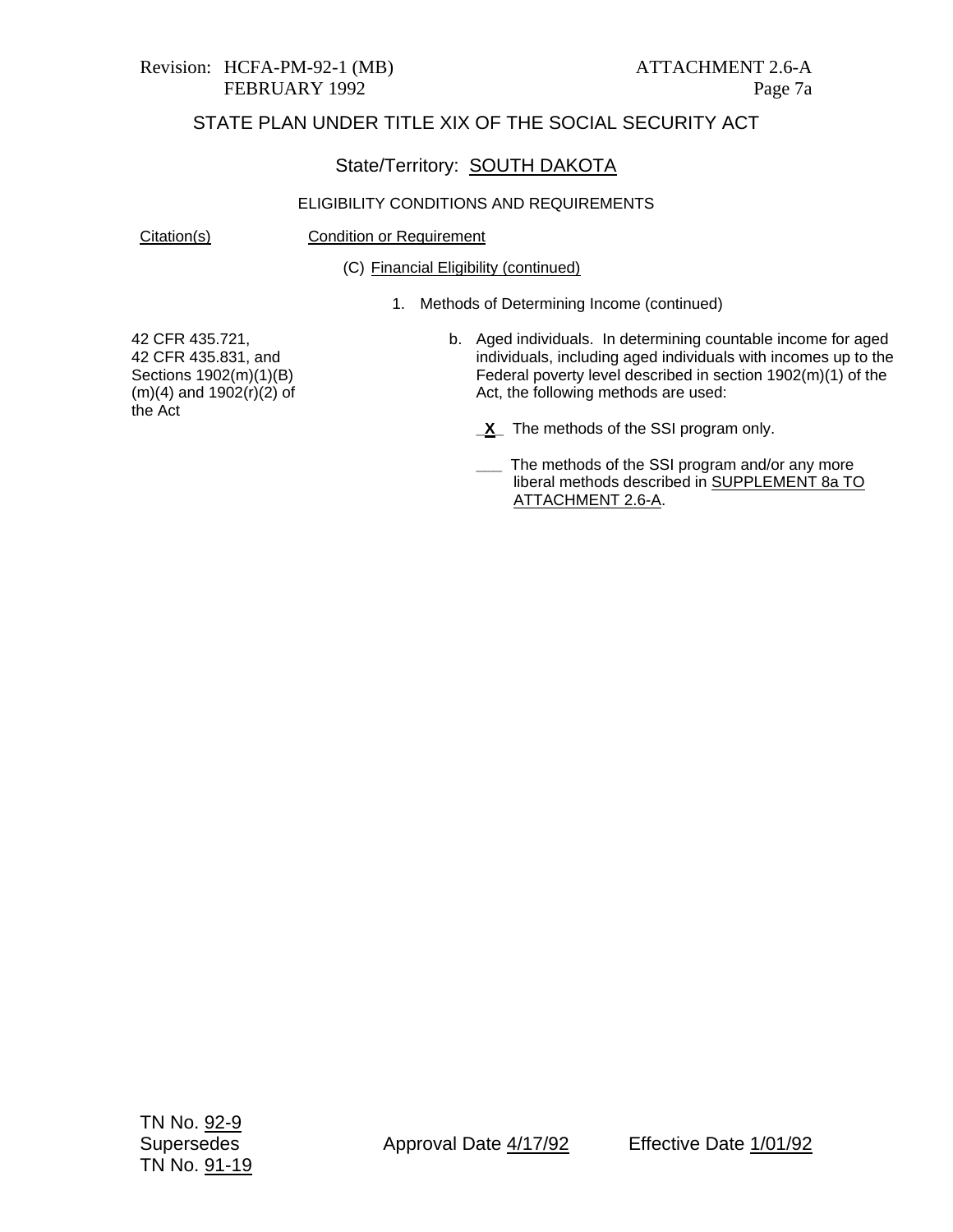# Revision: HCFA-PM-92-1 (MB) ATTACHMENT 2.6-A

## STATE PLAN UNDER TITLE XIX OF THE SOCIAL SECURITY ACT

## State/Territory: SOUTH DAKOTA

#### ELIGIBILITY CONDITIONS AND REQUIREMENTS

Citation(s) Condition or Requirement

(C) Financial Eligibility (continued)

1. Methods of Determining Income (continued)

42 CFR 435.721, 42 CFR 435.831, and Sections 1902(m)(1)(B)  $(m)(4)$  and  $1902(r)(2)$  of the Act

- b. Aged individuals. In determining countable income for aged individuals, including aged individuals with incomes up to the Federal poverty level described in section 1902(m)(1) of the Act, the following methods are used:
	- **\_X\_** The methods of the SSI program only.
	- The methods of the SSI program and/or any more liberal methods described in SUPPLEMENT 8a TO ATTACHMENT 2.6-A.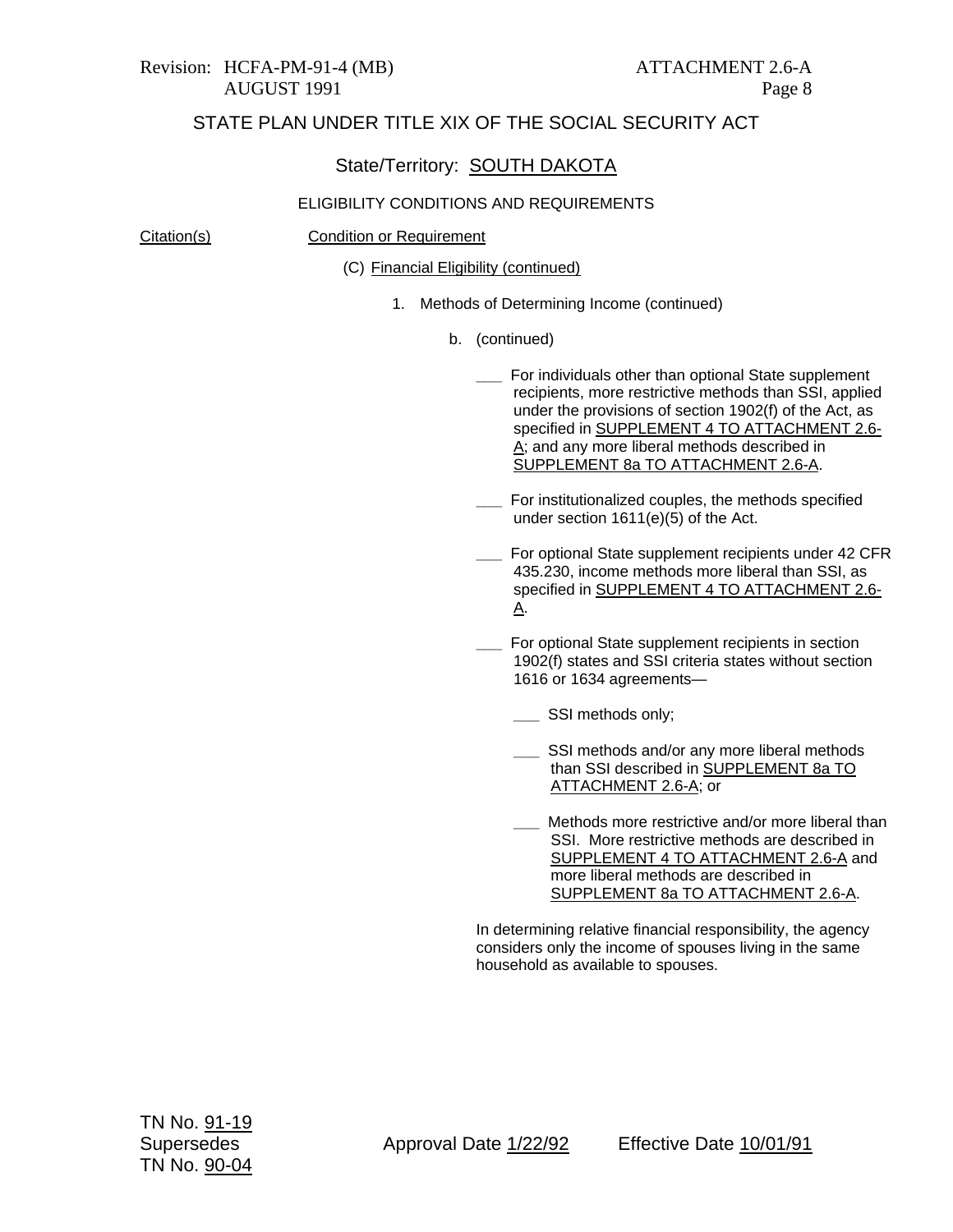#### State/Territory: SOUTH DAKOTA

#### ELIGIBILITY CONDITIONS AND REQUIREMENTS

Citation(s) Condition or Requirement

(C) Financial Eligibility (continued)

- 1. Methods of Determining Income (continued)
	- b. (continued)
		- **\_\_\_** For individuals other than optional State supplement recipients, more restrictive methods than SSI, applied under the provisions of section 1902(f) of the Act, as specified in SUPPLEMENT 4 TO ATTACHMENT 2.6-A; and any more liberal methods described in SUPPLEMENT 8a TO ATTACHMENT 2.6-A.
		- **\_\_\_** For institutionalized couples, the methods specified under section 1611(e)(5) of the Act.
		- **\_\_\_** For optional State supplement recipients under 42 CFR 435.230, income methods more liberal than SSI, as specified in SUPPLEMENT 4 TO ATTACHMENT 2.6- A.
		- **\_\_\_** For optional State supplement recipients in section 1902(f) states and SSI criteria states without section 1616 or 1634 agreements—
			- **\_\_\_** SSI methods only;
			- **\_\_\_** SSI methods and/or any more liberal methods than SSI described in SUPPLEMENT 8a TO ATTACHMENT 2.6-A; or
			- Methods more restrictive and/or more liberal than SSI. More restrictive methods are described in SUPPLEMENT 4 TO ATTACHMENT 2.6-A and more liberal methods are described in SUPPLEMENT 8a TO ATTACHMENT 2.6-A.

In determining relative financial responsibility, the agency considers only the income of spouses living in the same household as available to spouses.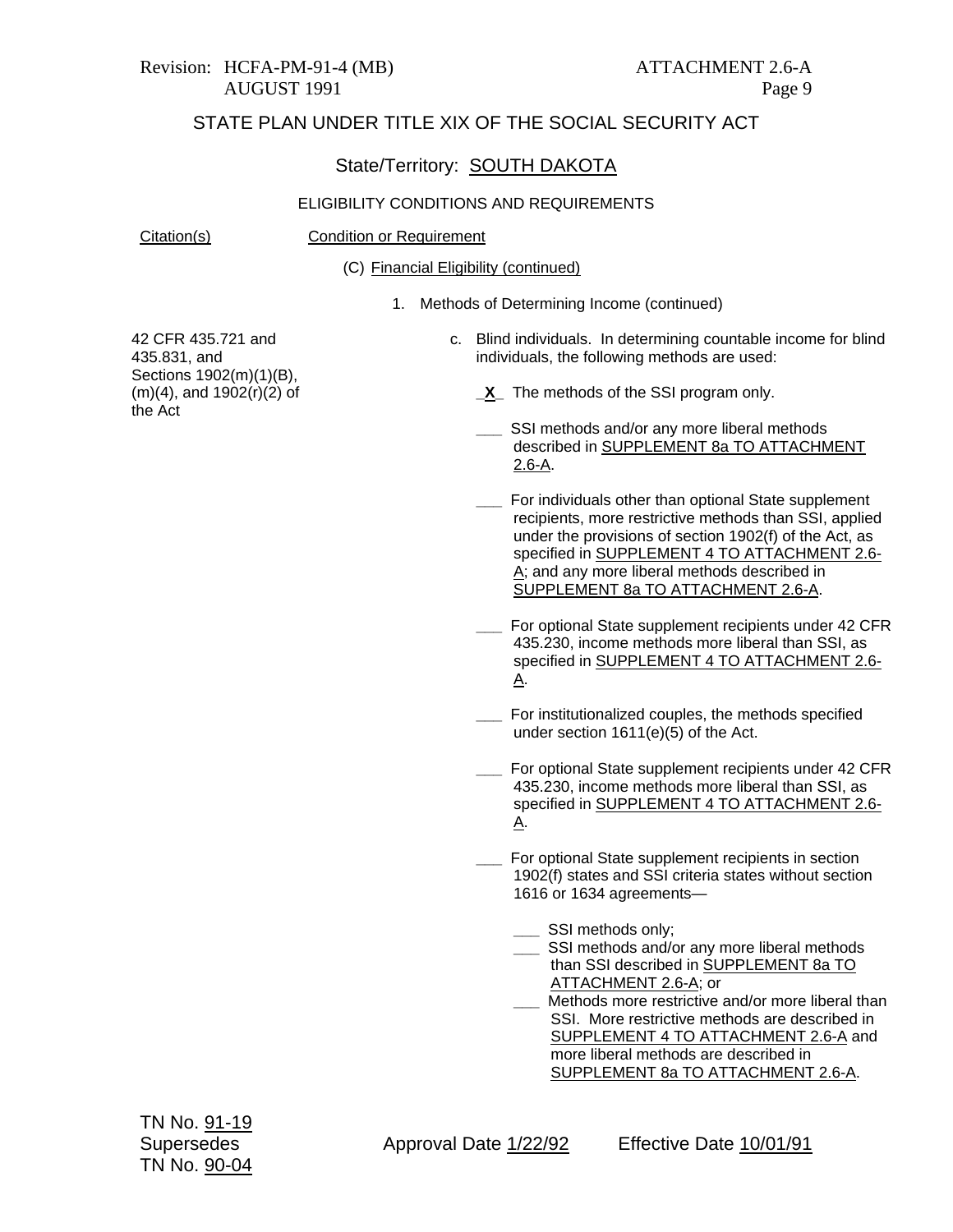#### State/Territory: SOUTH DAKOTA

#### ELIGIBILITY CONDITIONS AND REQUIREMENTS

Citation(s) Condition or Requirement

(C) Financial Eligibility (continued)

1. Methods of Determining Income (continued)

42 CFR 435.721 and 435.831, and Sections 1902(m)(1)(B), (m)(4), and 1902(r)(2) of the Act

- c. Blind individuals. In determining countable income for blind individuals, the following methods are used:
	- **\_X\_** The methods of the SSI program only.
	- **\_\_\_** SSI methods and/or any more liberal methods described in SUPPLEMENT 8a TO ATTACHMENT 2.6-A.
	- **\_\_\_** For individuals other than optional State supplement recipients, more restrictive methods than SSI, applied under the provisions of section 1902(f) of the Act, as specified in SUPPLEMENT 4 TO ATTACHMENT 2.6- A; and any more liberal methods described in SUPPLEMENT 8a TO ATTACHMENT 2.6-A.
	- **\_\_\_** For optional State supplement recipients under 42 CFR 435.230, income methods more liberal than SSI, as specified in SUPPLEMENT 4 TO ATTACHMENT 2.6- A.
	- **\_\_\_** For institutionalized couples, the methods specified under section 1611(e)(5) of the Act.
	- **\_\_\_** For optional State supplement recipients under 42 CFR 435.230, income methods more liberal than SSI, as specified in SUPPLEMENT 4 TO ATTACHMENT 2.6- A.
	- **\_\_\_** For optional State supplement recipients in section 1902(f) states and SSI criteria states without section 1616 or 1634 agreements—
		- **\_\_\_** SSI methods only;
		- **\_\_\_** SSI methods and/or any more liberal methods than SSI described in SUPPLEMENT 8a TO ATTACHMENT 2.6-A; or
		- **\_\_\_** Methods more restrictive and/or more liberal than SSI. More restrictive methods are described in SUPPLEMENT 4 TO ATTACHMENT 2.6-A and more liberal methods are described in SUPPLEMENT 8a TO ATTACHMENT 2.6-A.

Supersedes Approval Date 1/22/92 Effective Date 10/01/91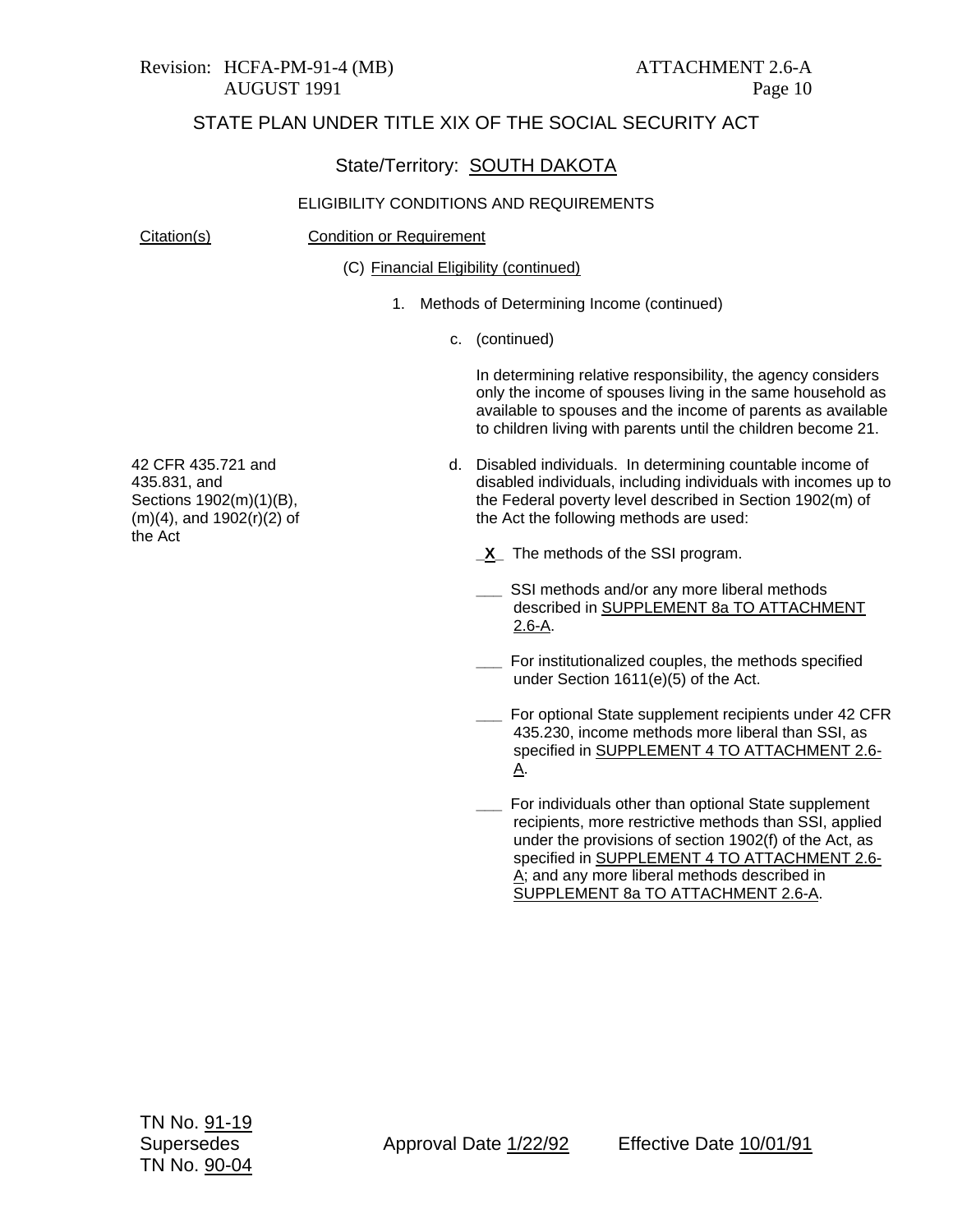#### State/Territory: SOUTH DAKOTA

#### ELIGIBILITY CONDITIONS AND REQUIREMENTS

the Act

Citation(s) Condition or Requirement

(C) Financial Eligibility (continued)

- 1. Methods of Determining Income (continued)
	- c. (continued)

In determining relative responsibility, the agency considers only the income of spouses living in the same household as available to spouses and the income of parents as available to children living with parents until the children become 21.

d. Disabled individuals. In determining countable income of disabled individuals, including individuals with incomes up to the Federal poverty level described in Section 1902(m) of the Act the following methods are used:

**\_X\_** The methods of the SSI program.

- **\_\_\_** SSI methods and/or any more liberal methods described in SUPPLEMENT 8a TO ATTACHMENT 2.6-A.
- **\_\_\_** For institutionalized couples, the methods specified under Section 1611(e)(5) of the Act.
- **\_\_\_** For optional State supplement recipients under 42 CFR 435.230, income methods more liberal than SSI, as specified in SUPPLEMENT 4 TO ATTACHMENT 2.6- A.
- **\_\_\_** For individuals other than optional State supplement recipients, more restrictive methods than SSI, applied under the provisions of section 1902(f) of the Act, as specified in SUPPLEMENT 4 TO ATTACHMENT 2.6- A; and any more liberal methods described in SUPPLEMENT 8a TO ATTACHMENT 2.6-A.

42 CFR 435.721 and 435.831, and Sections 1902(m)(1)(B), (m)(4), and 1902(r)(2) of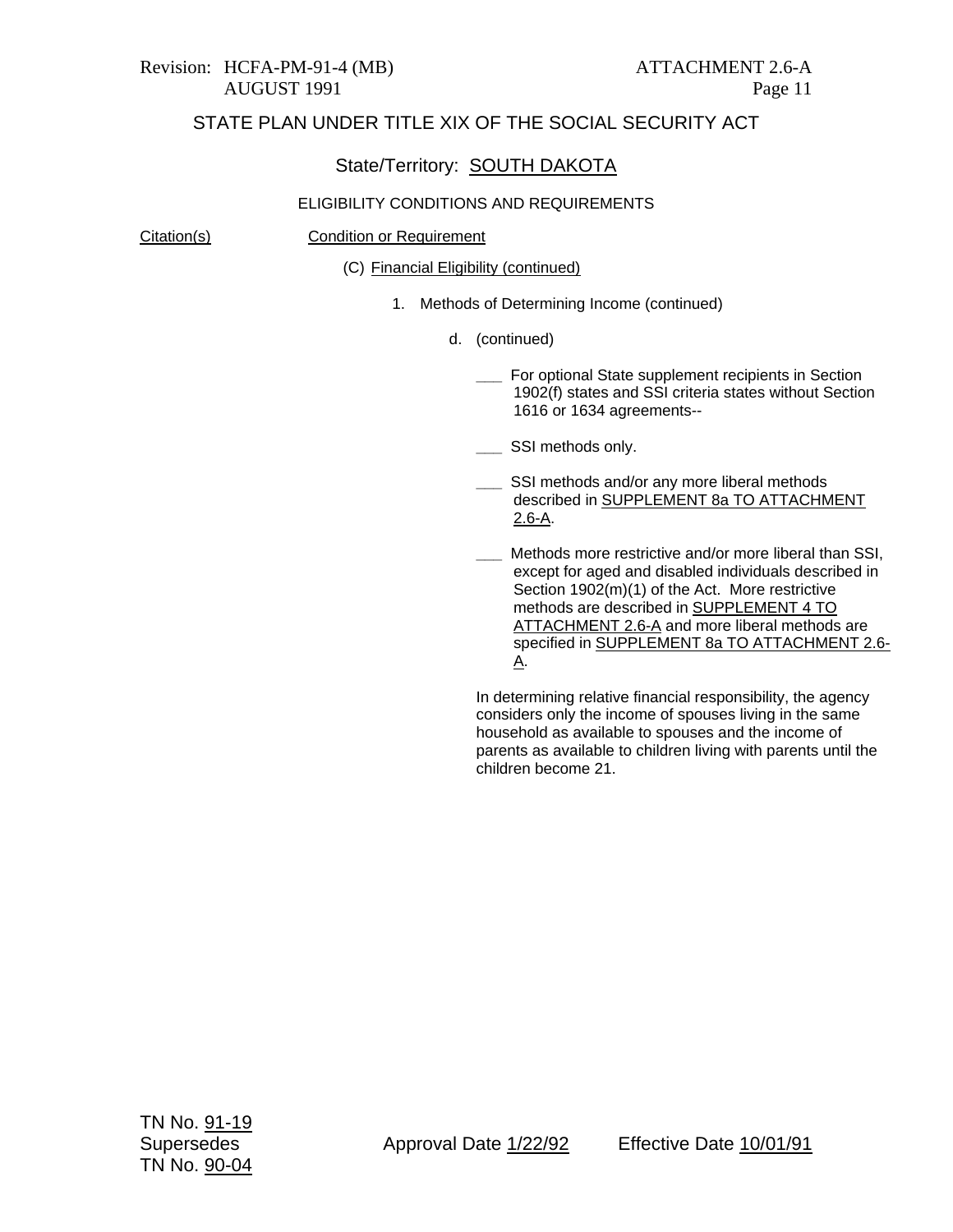#### State/Territory: SOUTH DAKOTA

#### ELIGIBILITY CONDITIONS AND REQUIREMENTS

#### Citation(s) Condition or Requirement

(C) Financial Eligibility (continued)

- 1. Methods of Determining Income (continued)
	- d. (continued)
		- **\_\_\_** For optional State supplement recipients in Section 1902(f) states and SSI criteria states without Section 1616 or 1634 agreements--
		- **\_\_\_** SSI methods only.
		- SSI methods and/or any more liberal methods described in SUPPLEMENT 8a TO ATTACHMENT 2.6-A.
		- **\_\_\_** Methods more restrictive and/or more liberal than SSI, except for aged and disabled individuals described in Section 1902(m)(1) of the Act. More restrictive methods are described in SUPPLEMENT 4 TO ATTACHMENT 2.6-A and more liberal methods are specified in SUPPLEMENT 8a TO ATTACHMENT 2.6- A.

In determining relative financial responsibility, the agency considers only the income of spouses living in the same household as available to spouses and the income of parents as available to children living with parents until the children become 21.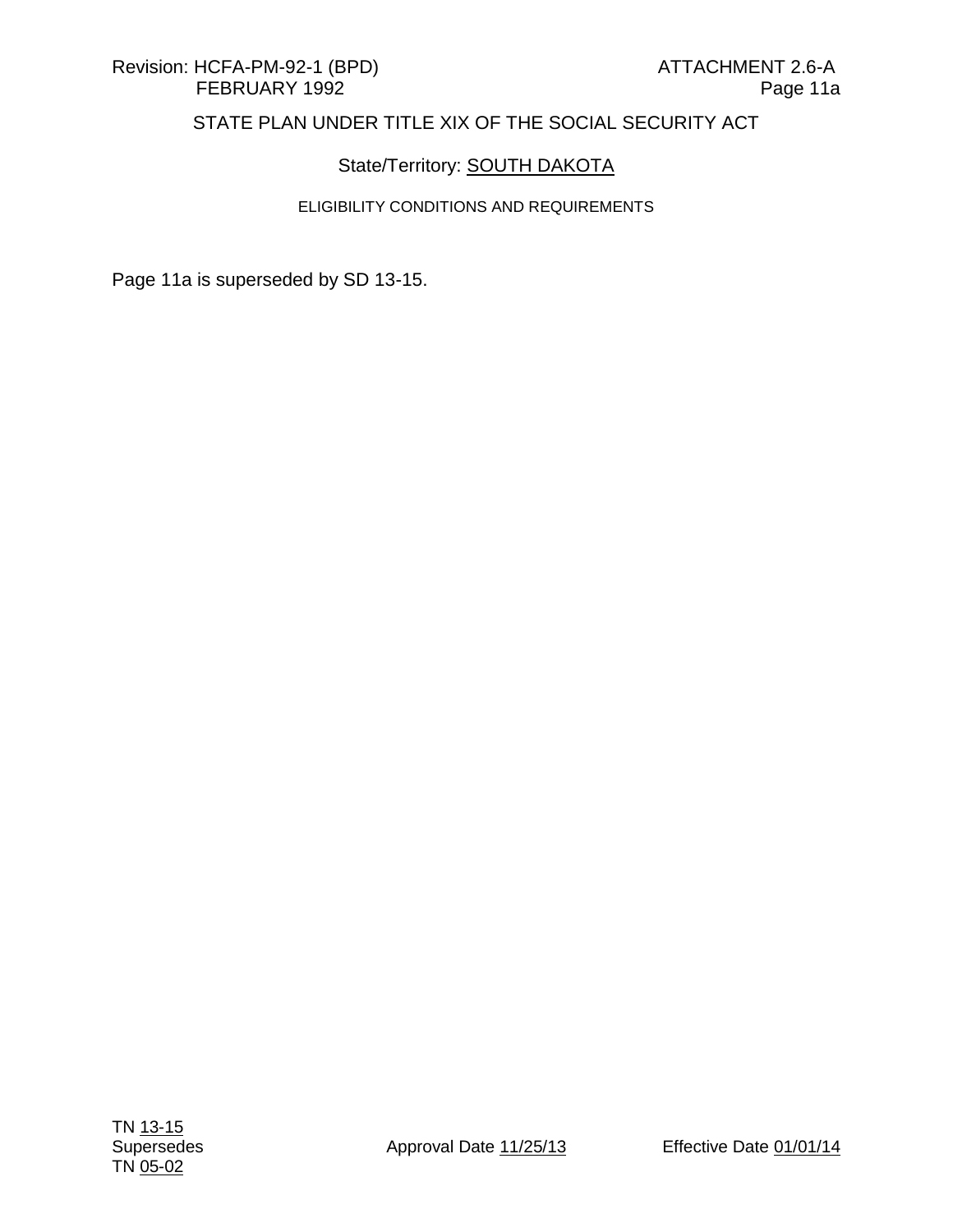## State/Territory: **SOUTH DAKOTA**

## ELIGIBILITY CONDITIONS AND REQUIREMENTS

Page 11a is superseded by SD 13-15.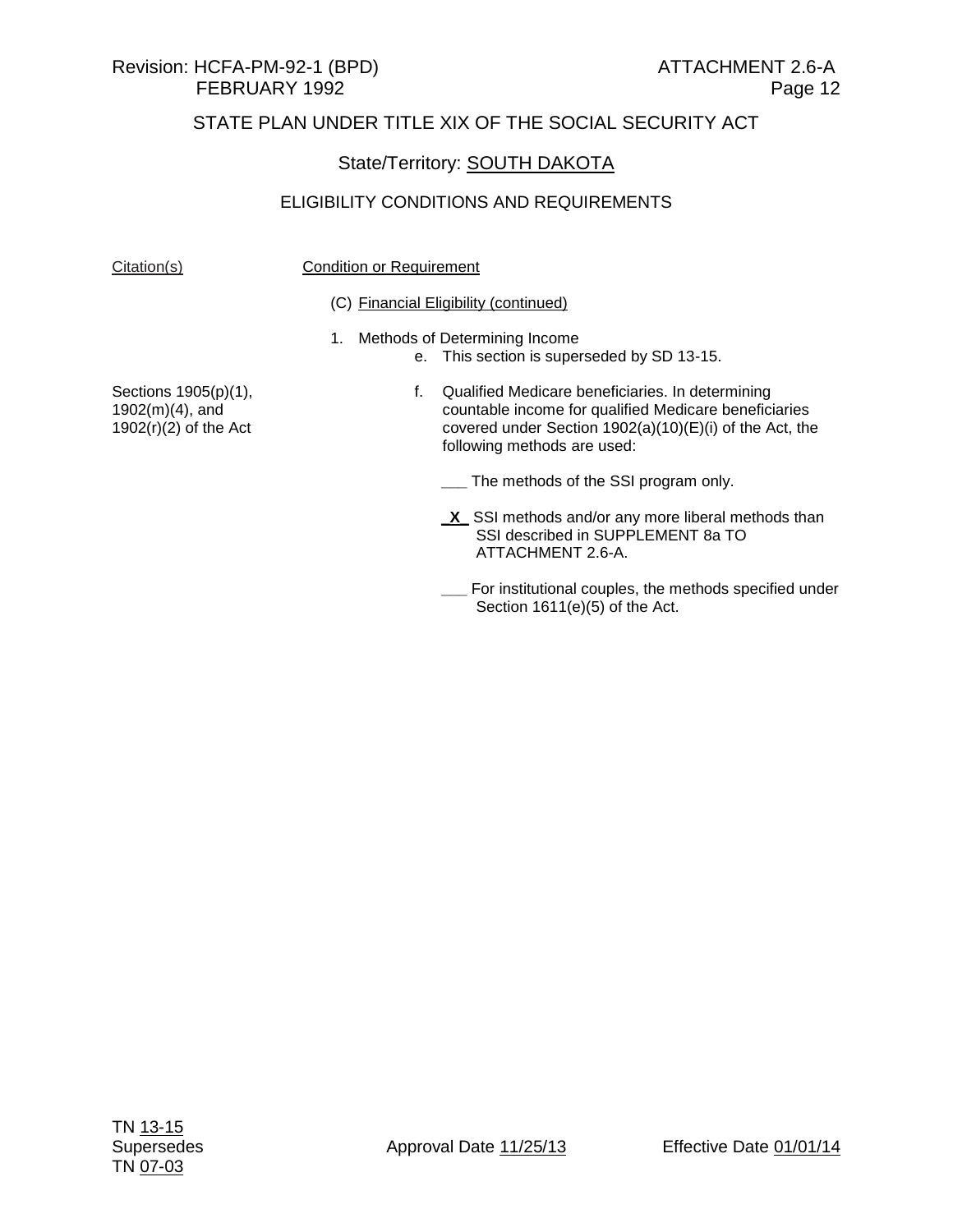## State/Territory: SOUTH DAKOTA

#### ELIGIBILITY CONDITIONS AND REQUIREMENTS

#### Citation(s) Citation(s) Condition or Requirement

#### (C) Financial Eligibility (continued)

- 1. Methods of Determining Income
	- e. This section is superseded by SD 13-15.

Sections 1905(p)(1), 1902(m)(4), and  $1902(r)(2)$  of the Act

f. Qualified Medicare beneficiaries. In determining countable income for qualified Medicare beneficiaries covered under Section 1902(a)(10)(E)(i) of the Act, the following methods are used:

**\_\_\_** The methods of the SSI program only.

- **\_X\_** SSI methods and/or any more liberal methods than SSI described in SUPPLEMENT 8a TO ATTACHMENT 2.6-A.
- **\_\_\_** For institutional couples, the methods specified under Section 1611(e)(5) of the Act.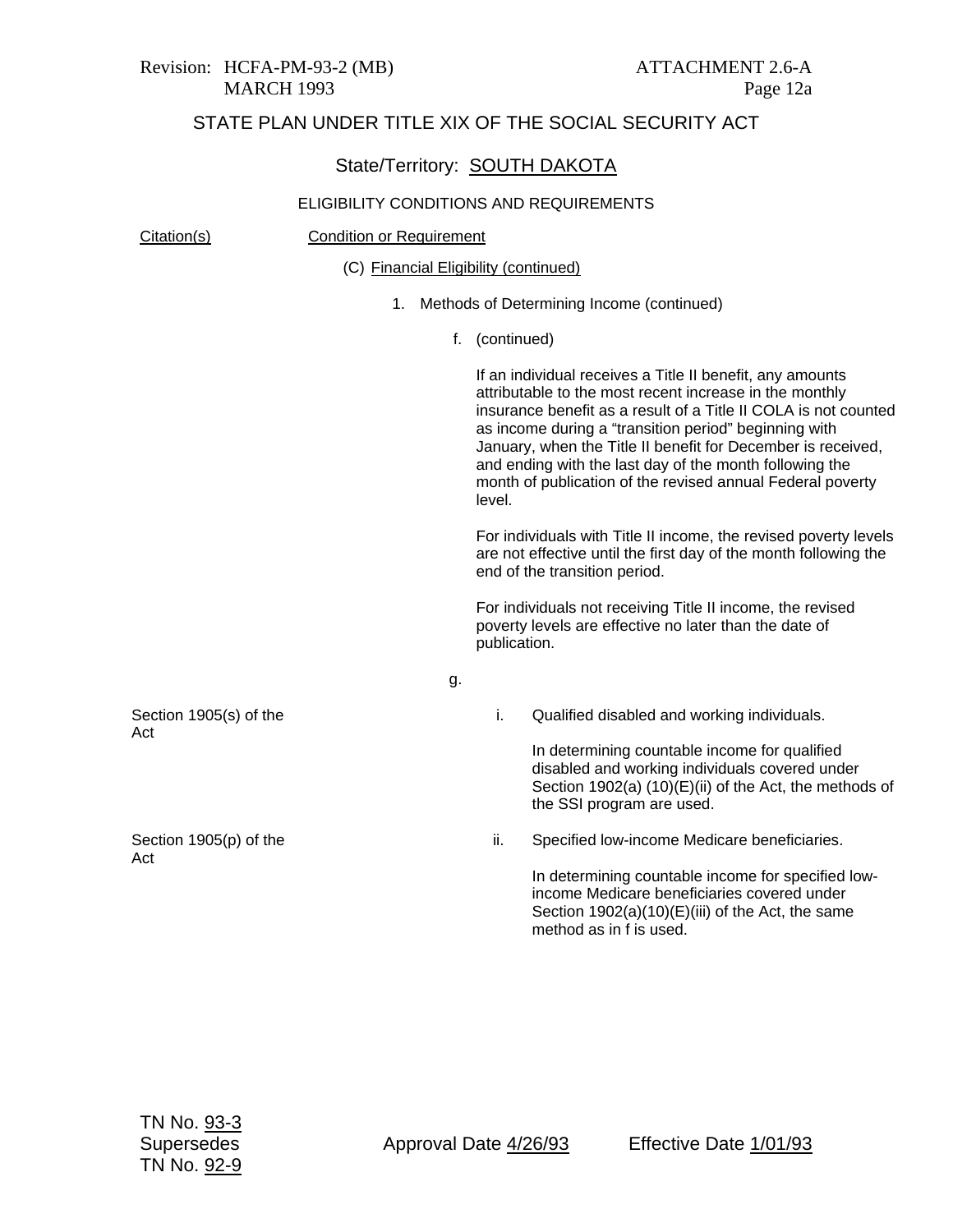#### State/Territory: SOUTH DAKOTA

#### ELIGIBILITY CONDITIONS AND REQUIREMENTS

Citation(s) Condition or Requirement Section 1905(s) of the Act Section 1905(p) of the Act (C) Financial Eligibility (continued) 1. Methods of Determining Income (continued) f. (continued) If an individual receives a Title II benefit, any amounts attributable to the most recent increase in the monthly insurance benefit as a result of a Title II COLA is not counted as income during a "transition period" beginning with January, when the Title II benefit for December is received, and ending with the last day of the month following the month of publication of the revised annual Federal poverty level. For individuals with Title II income, the revised poverty levels are not effective until the first day of the month following the end of the transition period. For individuals not receiving Title II income, the revised poverty levels are effective no later than the date of publication. g. i. Qualified disabled and working individuals. In determining countable income for qualified disabled and working individuals covered under Section 1902(a)  $(10)(E)(ii)$  of the Act, the methods of the SSI program are used. ii. Specified low-income Medicare beneficiaries.

In determining countable income for specified lowincome Medicare beneficiaries covered under Section 1902(a)(10)(E)(iii) of the Act, the same method as in f is used.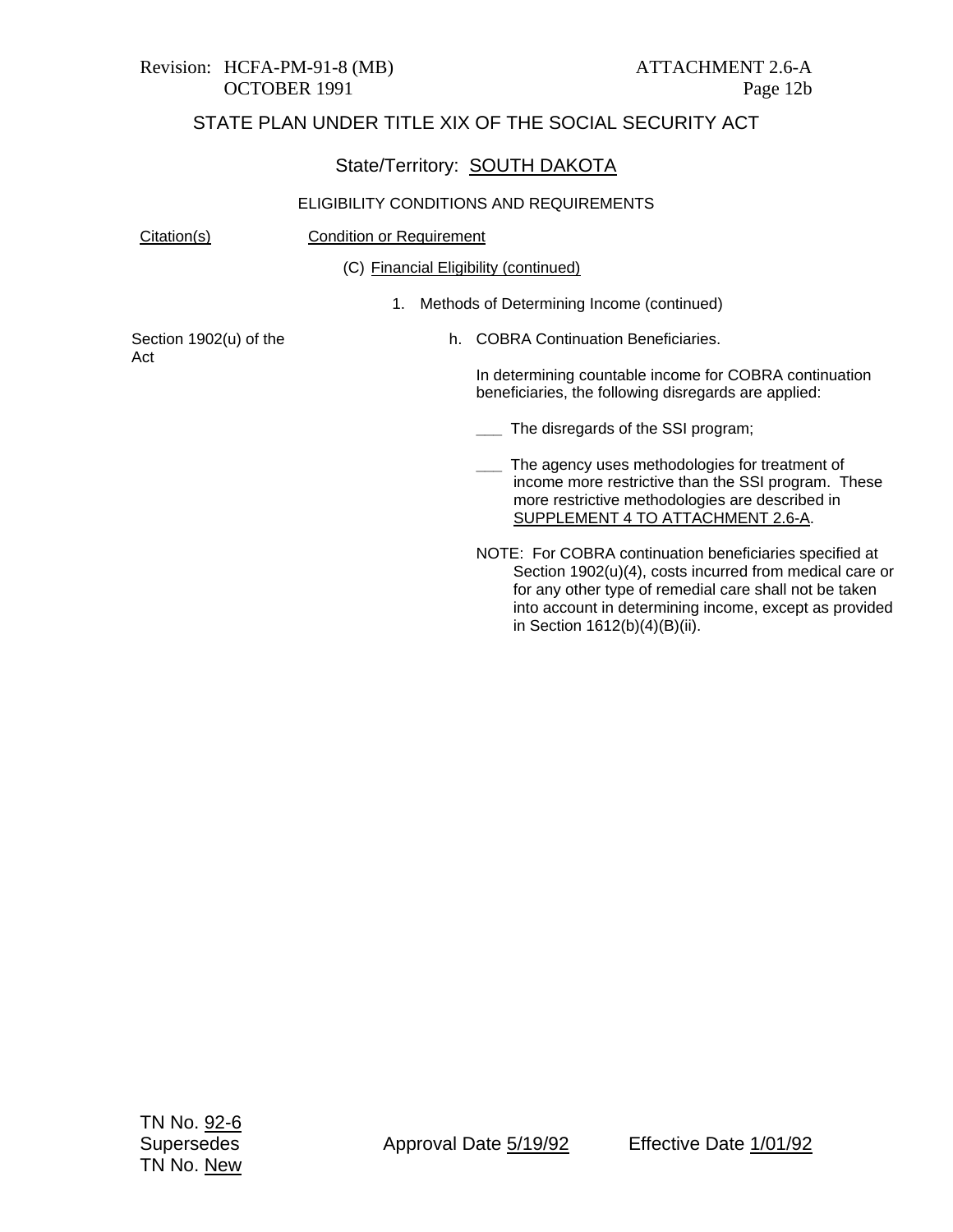# Revision: HCFA-PM-91-8 (MB) ATTACHMENT 2.6-A

## STATE PLAN UNDER TITLE XIX OF THE SOCIAL SECURITY ACT

#### State/Territory: SOUTH DAKOTA

#### ELIGIBILITY CONDITIONS AND REQUIREMENTS

Citation(s) Condition or Requirement

(C) Financial Eligibility (continued)

1. Methods of Determining Income (continued)

Section 1902(u) of the Act

h. COBRA Continuation Beneficiaries.

In determining countable income for COBRA continuation beneficiaries, the following disregards are applied:

- **\_\_\_** The disregards of the SSI program;
- **\_\_\_** The agency uses methodologies for treatment of income more restrictive than the SSI program. These more restrictive methodologies are described in SUPPLEMENT 4 TO ATTACHMENT 2.6-A.
- NOTE: For COBRA continuation beneficiaries specified at Section 1902(u)(4), costs incurred from medical care or for any other type of remedial care shall not be taken into account in determining income, except as provided in Section 1612(b)(4)(B)(ii).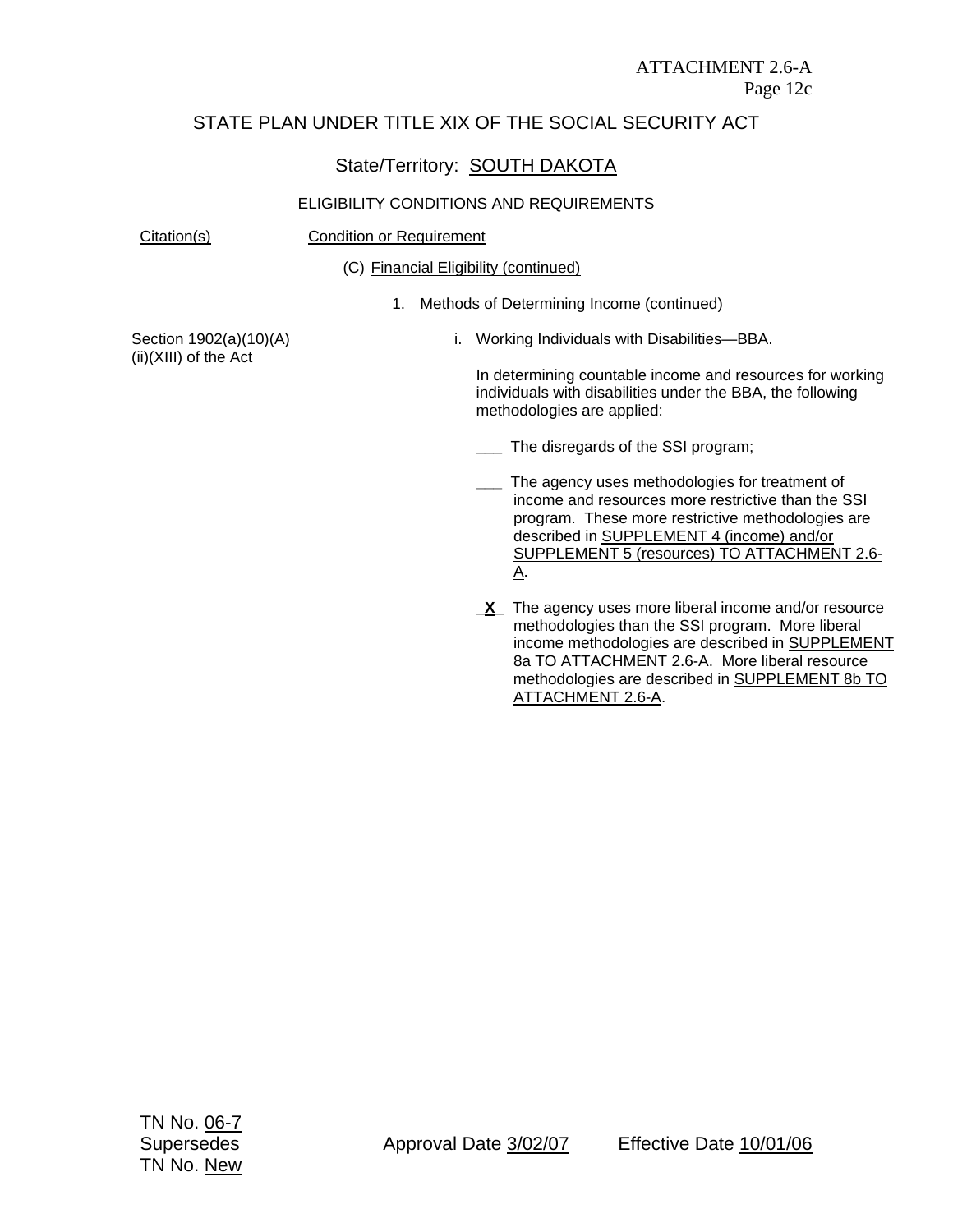## State/Territory: **SOUTH DAKOTA**

#### ELIGIBILITY CONDITIONS AND REQUIREMENTS

#### Citation(s) Condition or Requirement

(C) Financial Eligibility (continued)

1. Methods of Determining Income (continued)

Section 1902(a)(10)(A) (ii)(XIII) of the Act

i. Working Individuals with Disabilities—BBA.

In determining countable income and resources for working individuals with disabilities under the BBA, the following methodologies are applied:

- **\_\_\_** The disregards of the SSI program;
- The agency uses methodologies for treatment of income and resources more restrictive than the SSI program. These more restrictive methodologies are described in SUPPLEMENT 4 (income) and/or SUPPLEMENT 5 (resources) TO ATTACHMENT 2.6- A.
- **X** The agency uses more liberal income and/or resource methodologies than the SSI program. More liberal income methodologies are described in SUPPLEMENT 8a TO ATTACHMENT 2.6-A. More liberal resource methodologies are described in SUPPLEMENT 8b TO ATTACHMENT 2.6-A.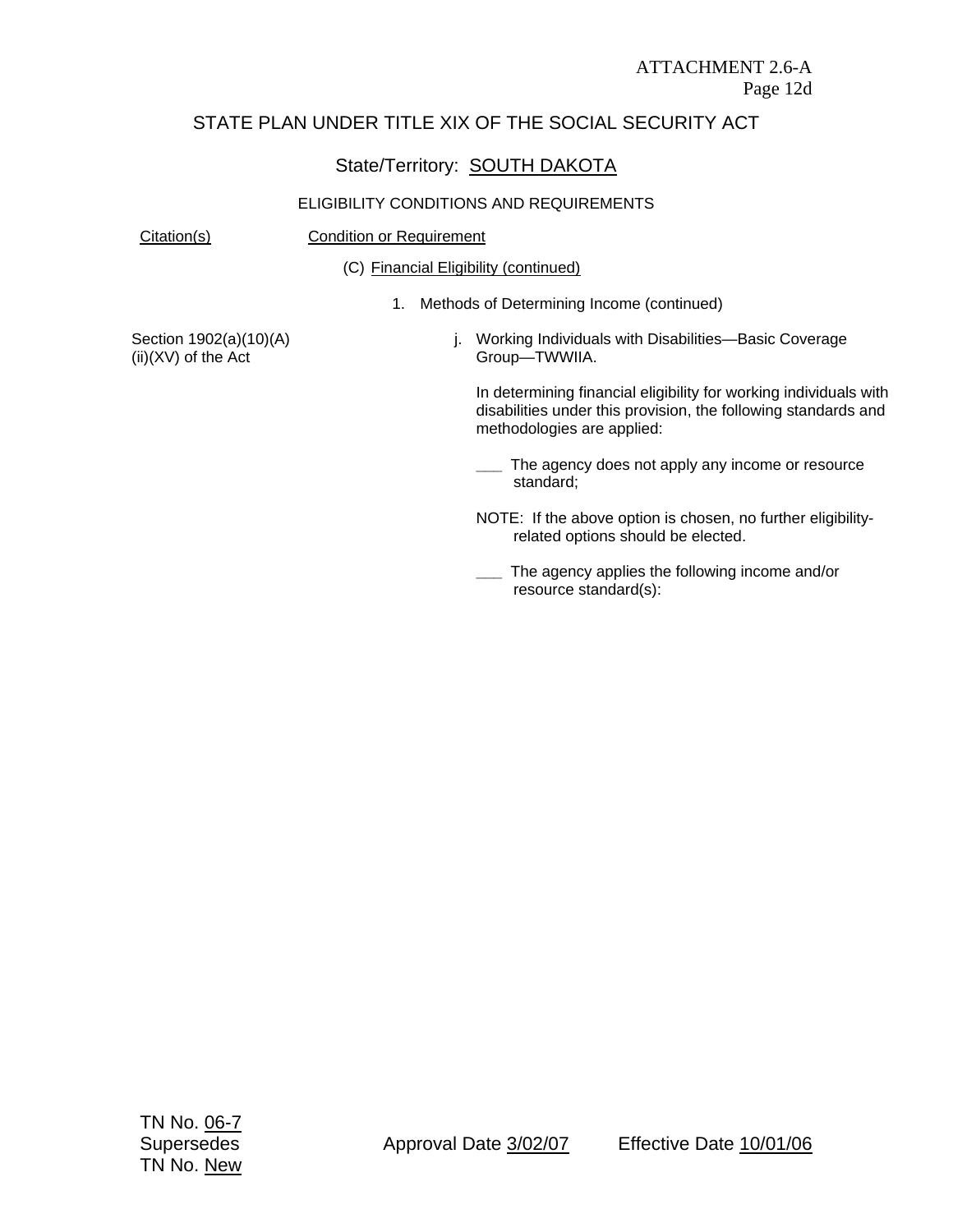## State/Territory: SOUTH DAKOTA

#### ELIGIBILITY CONDITIONS AND REQUIREMENTS

#### Citation(s) Condition or Requirement

(C) Financial Eligibility (continued)

1. Methods of Determining Income (continued)

Section 1902(a)(10)(A) (ii)(XV) of the Act

j. Working Individuals with Disabilities—Basic Coverage Group—TWWIIA.

In determining financial eligibility for working individuals with disabilities under this provision, the following standards and methodologies are applied:

**\_\_\_** The agency does not apply any income or resource standard;

NOTE: If the above option is chosen, no further eligibilityrelated options should be elected.

**\_\_\_** The agency applies the following income and/or resource standard(s):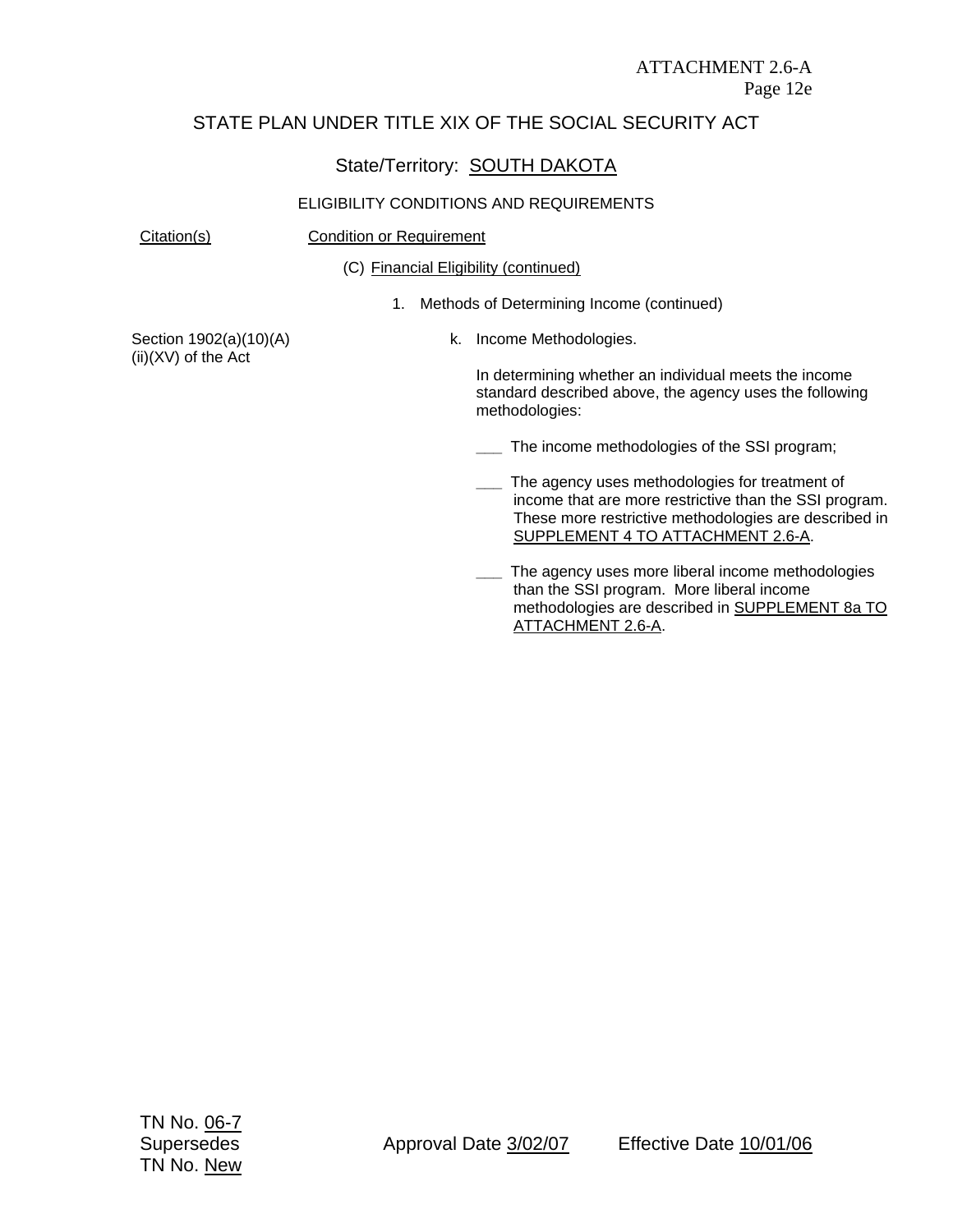## State/Territory: SOUTH DAKOTA

#### ELIGIBILITY CONDITIONS AND REQUIREMENTS

#### Citation(s) Condition or Requirement

(C) Financial Eligibility (continued)

1. Methods of Determining Income (continued)

Section 1902(a)(10)(A) (ii)(XV) of the Act

k. Income Methodologies.

In determining whether an individual meets the income standard described above, the agency uses the following methodologies:

**\_\_\_** The income methodologies of the SSI program;

- The agency uses methodologies for treatment of income that are more restrictive than the SSI program. These more restrictive methodologies are described in SUPPLEMENT 4 TO ATTACHMENT 2.6-A.
- **\_\_\_** The agency uses more liberal income methodologies than the SSI program. More liberal income methodologies are described in SUPPLEMENT 8a TO ATTACHMENT 2.6-A.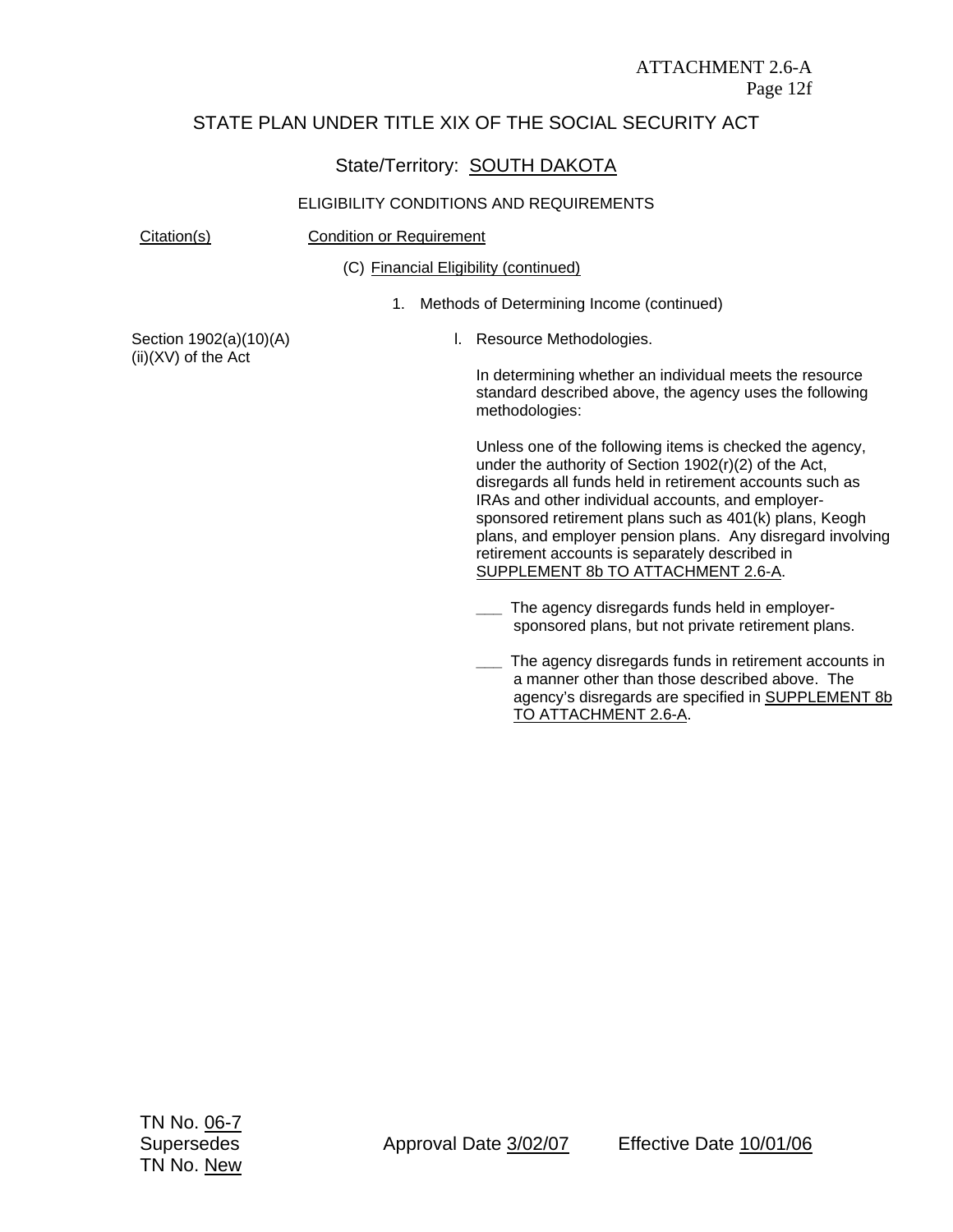## State/Territory: **SOUTH DAKOTA**

#### ELIGIBILITY CONDITIONS AND REQUIREMENTS

Citation(s) Condition or Requirement

(C) Financial Eligibility (continued)

1. Methods of Determining Income (continued)

Section 1902(a)(10)(A) (ii)(XV) of the Act

l. Resource Methodologies.

In determining whether an individual meets the resource standard described above, the agency uses the following methodologies:

Unless one of the following items is checked the agency, under the authority of Section 1902(r)(2) of the Act, disregards all funds held in retirement accounts such as IRAs and other individual accounts, and employersponsored retirement plans such as 401(k) plans, Keogh plans, and employer pension plans. Any disregard involving retirement accounts is separately described in SUPPLEMENT 8b TO ATTACHMENT 2.6-A.

- **\_\_\_** The agency disregards funds held in employersponsored plans, but not private retirement plans.
- **\_\_\_** The agency disregards funds in retirement accounts in a manner other than those described above. The agency's disregards are specified in SUPPLEMENT 8b TO ATTACHMENT 2.6-A.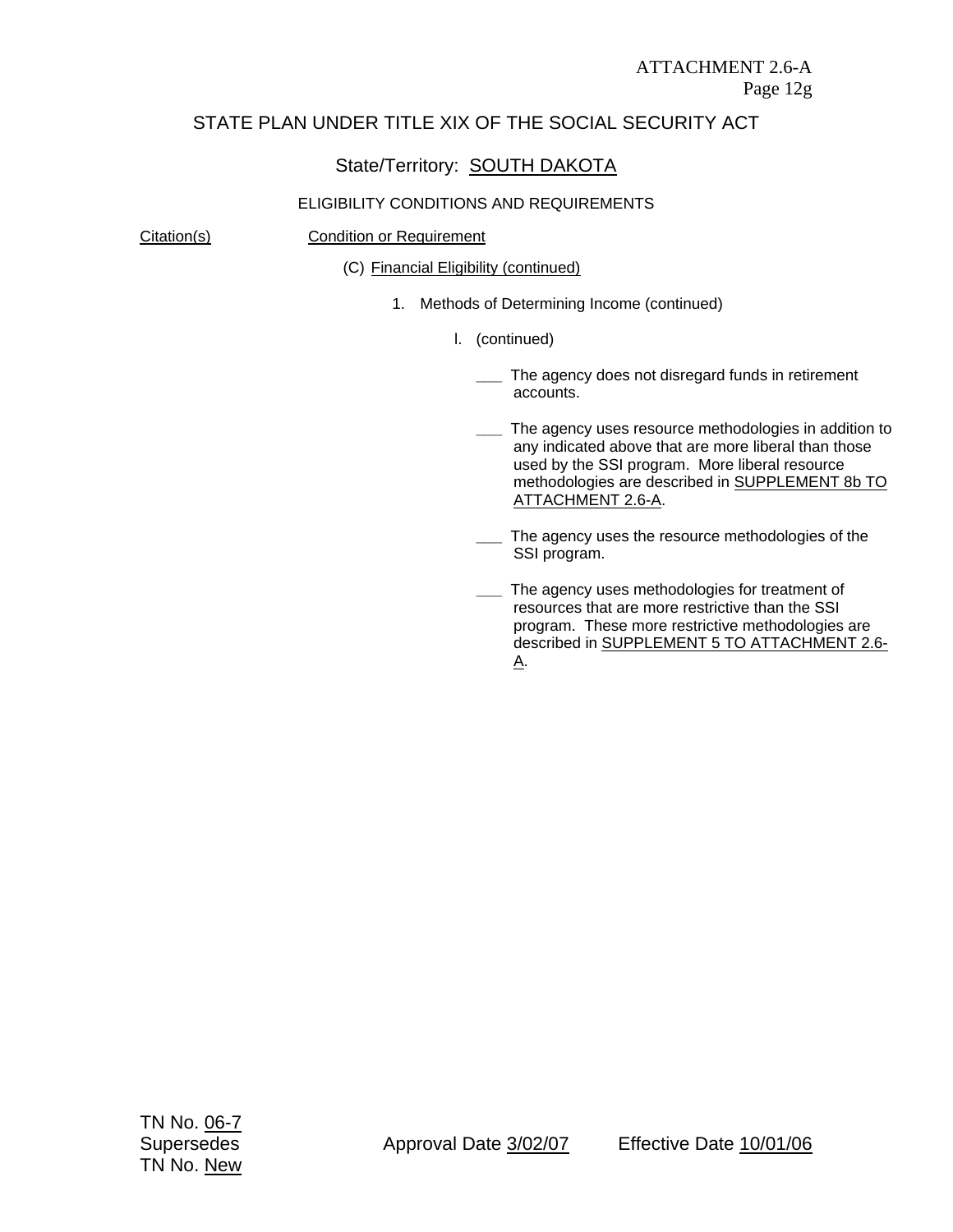## State/Territory: SOUTH DAKOTA

#### ELIGIBILITY CONDITIONS AND REQUIREMENTS

#### Citation(s) Condition or Requirement

(C) Financial Eligibility (continued)

- 1. Methods of Determining Income (continued)
	- l. (continued)
		- **\_\_\_** The agency does not disregard funds in retirement accounts.
		- **\_\_\_** The agency uses resource methodologies in addition to any indicated above that are more liberal than those used by the SSI program. More liberal resource methodologies are described in SUPPLEMENT 8b TO ATTACHMENT 2.6-A.
		- **\_\_\_** The agency uses the resource methodologies of the SSI program.
		- **\_\_\_** The agency uses methodologies for treatment of resources that are more restrictive than the SSI program. These more restrictive methodologies are described in SUPPLEMENT 5 TO ATTACHMENT 2.6- A.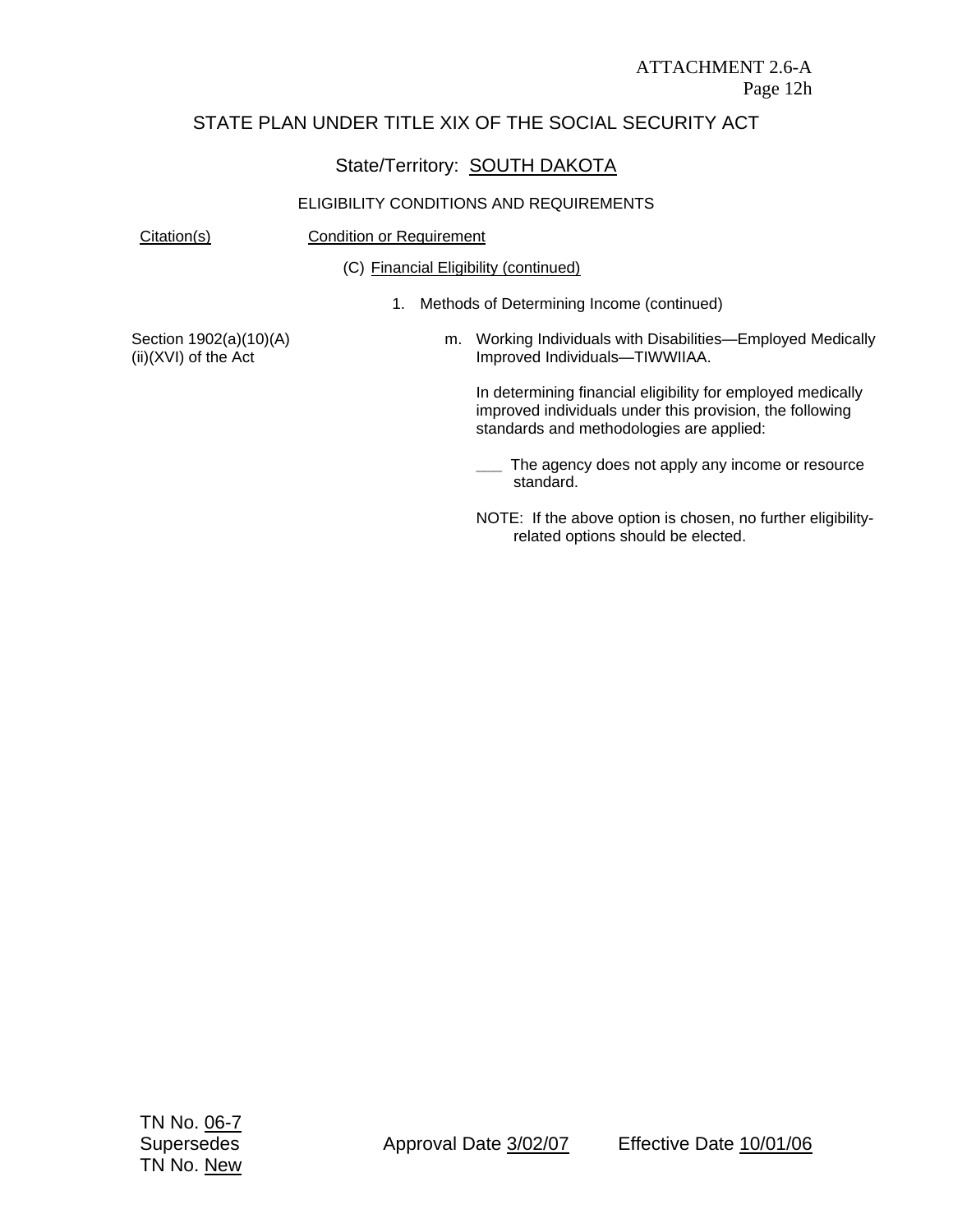## State/Territory: SOUTH DAKOTA

#### ELIGIBILITY CONDITIONS AND REQUIREMENTS

Citation(s) Condition or Requirement

(C) Financial Eligibility (continued)

1. Methods of Determining Income (continued)

Section 1902(a)(10)(A) (ii)(XVI) of the Act

m. Working Individuals with Disabilities—Employed Medically Improved Individuals—TIWWIIAA.

In determining financial eligibility for employed medically improved individuals under this provision, the following standards and methodologies are applied:

**\_\_\_** The agency does not apply any income or resource standard.

NOTE: If the above option is chosen, no further eligibilityrelated options should be elected.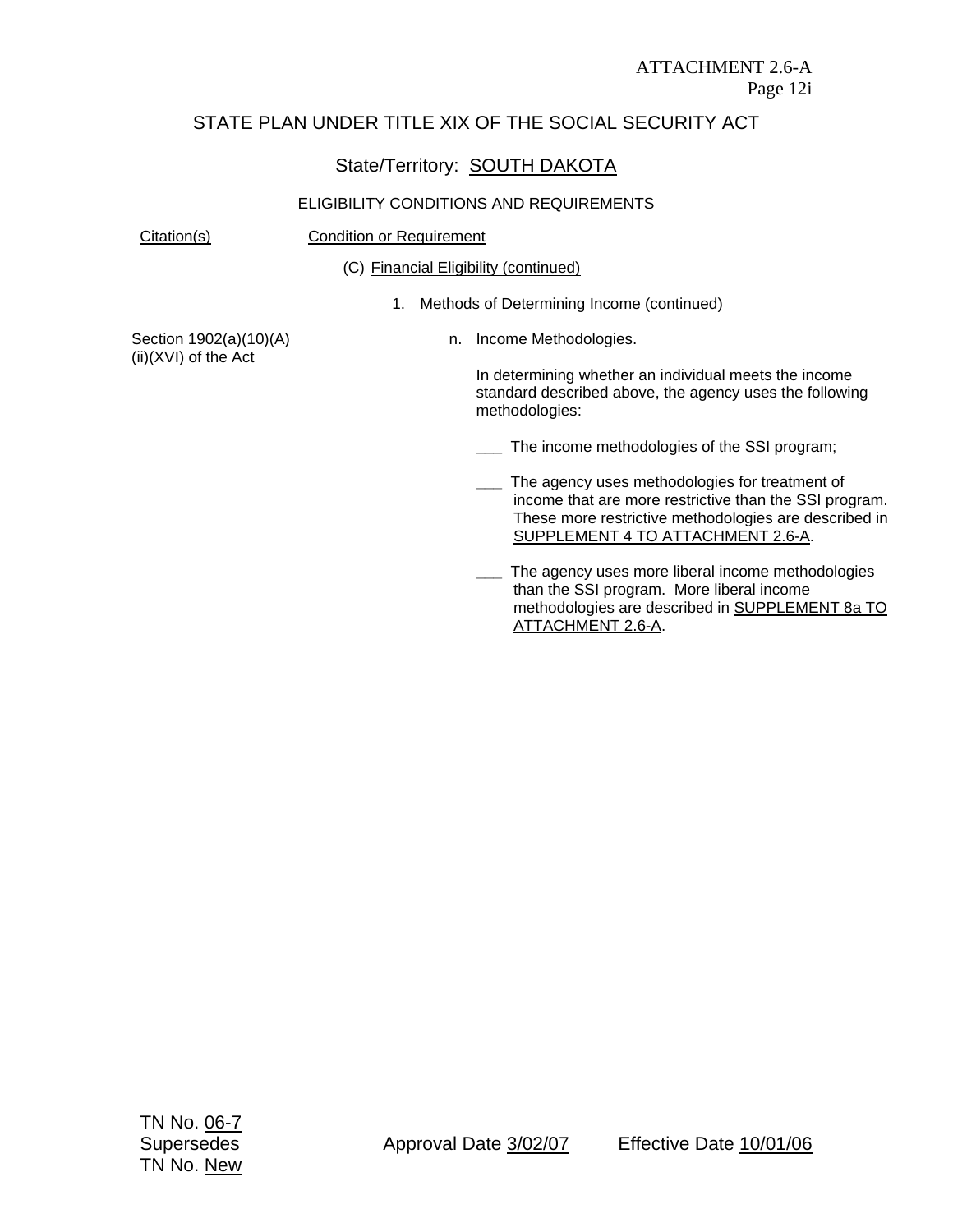#### State/Territory: SOUTH DAKOTA

#### ELIGIBILITY CONDITIONS AND REQUIREMENTS

#### Citation(s) Condition or Requirement

(C) Financial Eligibility (continued)

1. Methods of Determining Income (continued)

Section 1902(a)(10)(A) (ii)(XVI) of the Act

n. Income Methodologies.

In determining whether an individual meets the income standard described above, the agency uses the following methodologies:

**\_\_\_** The income methodologies of the SSI program;

- The agency uses methodologies for treatment of income that are more restrictive than the SSI program. These more restrictive methodologies are described in SUPPLEMENT 4 TO ATTACHMENT 2.6-A.
- **\_\_\_** The agency uses more liberal income methodologies than the SSI program. More liberal income methodologies are described in SUPPLEMENT 8a TO ATTACHMENT 2.6-A.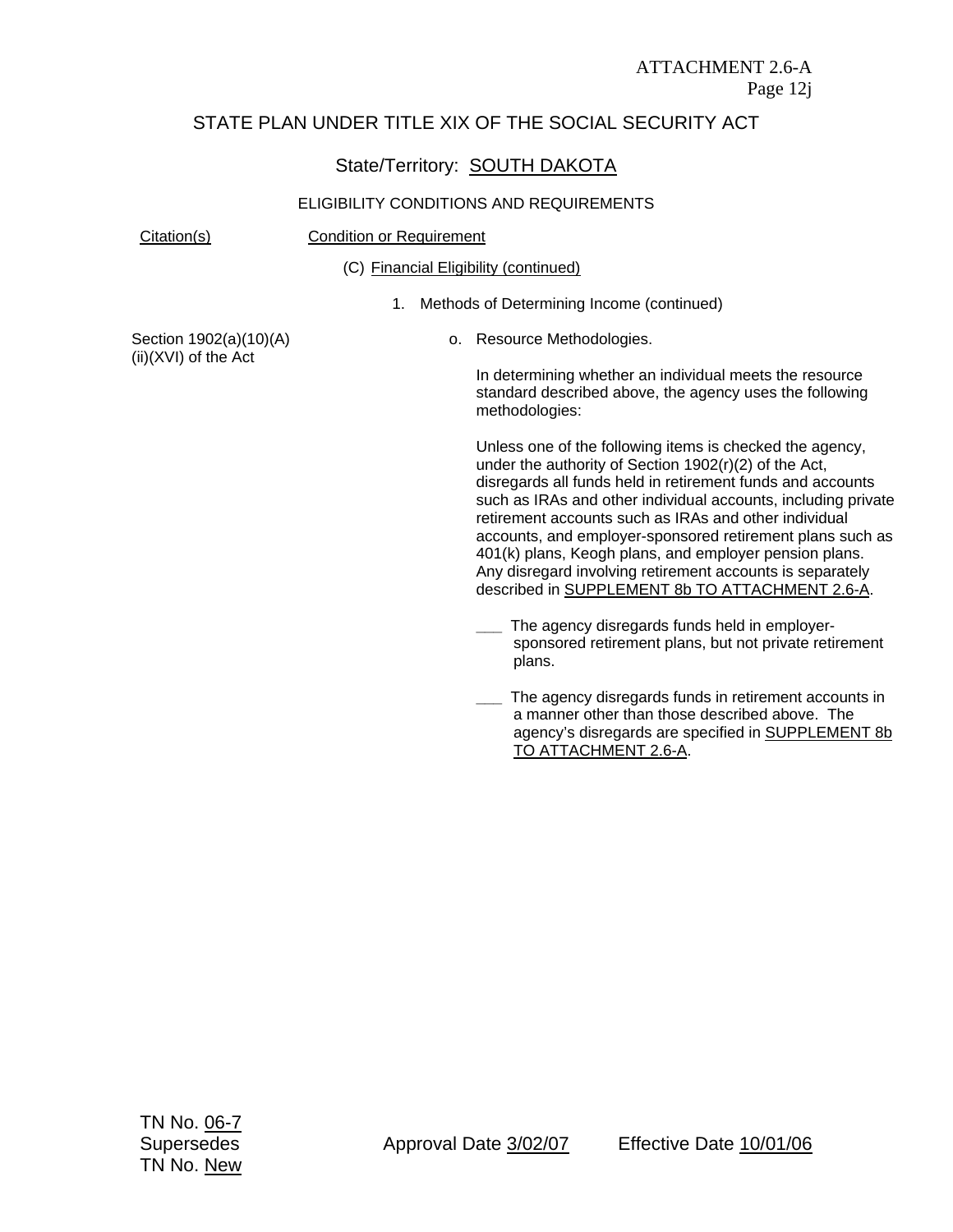## State/Territory: **SOUTH DAKOTA**

#### ELIGIBILITY CONDITIONS AND REQUIREMENTS

Citation(s) Condition or Requirement

(C) Financial Eligibility (continued)

1. Methods of Determining Income (continued)

Section 1902(a)(10)(A) (ii)(XVI) of the Act

o. Resource Methodologies.

In determining whether an individual meets the resource standard described above, the agency uses the following methodologies:

Unless one of the following items is checked the agency, under the authority of Section 1902(r)(2) of the Act, disregards all funds held in retirement funds and accounts such as IRAs and other individual accounts, including private retirement accounts such as IRAs and other individual accounts, and employer-sponsored retirement plans such as 401(k) plans, Keogh plans, and employer pension plans. Any disregard involving retirement accounts is separately described in SUPPLEMENT 8b TO ATTACHMENT 2.6-A.

- The agency disregards funds held in employersponsored retirement plans, but not private retirement plans.
- **\_\_\_** The agency disregards funds in retirement accounts in a manner other than those described above. The agency's disregards are specified in SUPPLEMENT 8b TO ATTACHMENT 2.6-A.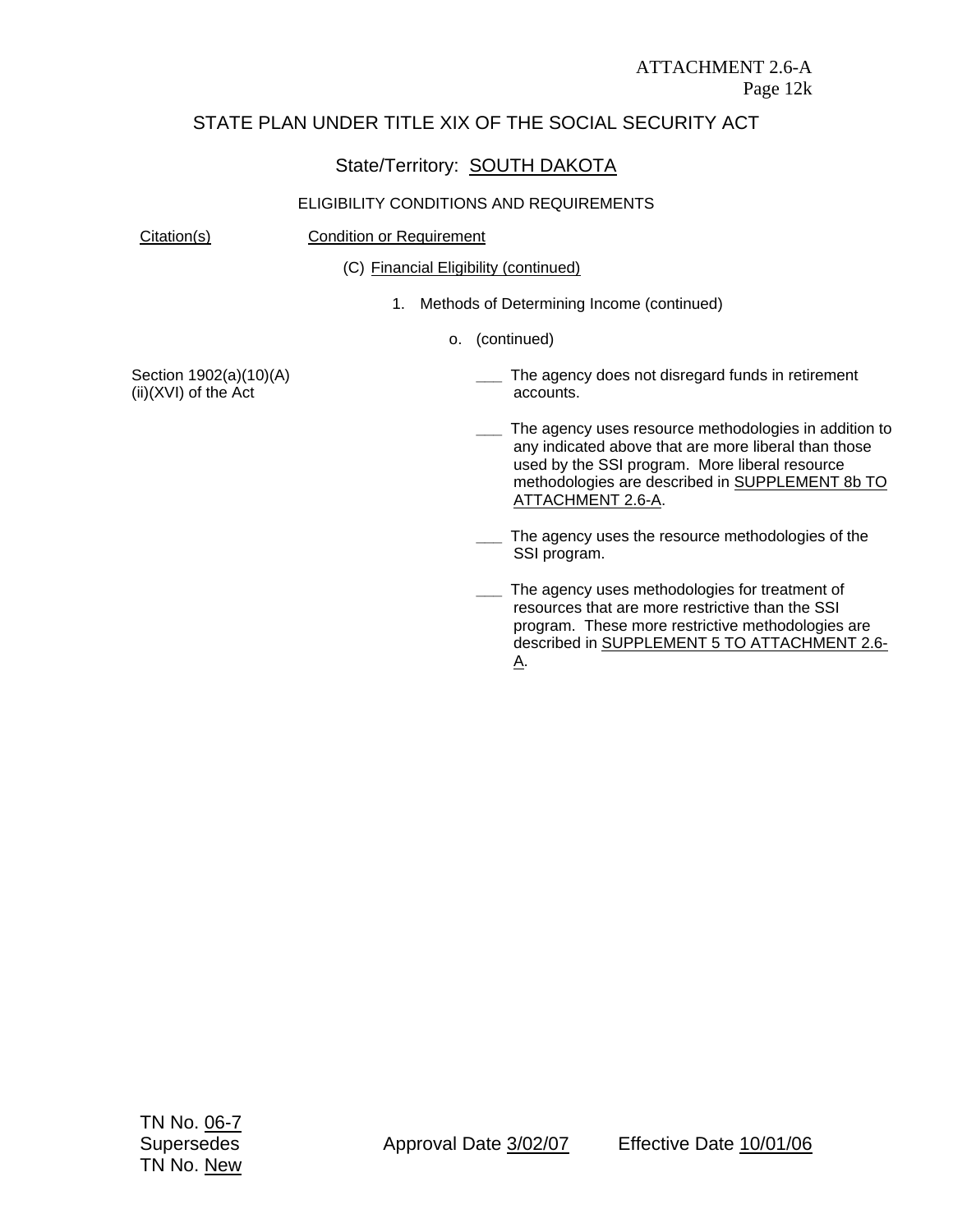## State/Territory: SOUTH DAKOTA

#### ELIGIBILITY CONDITIONS AND REQUIREMENTS

Citation(s) Condition or Requirement

(C) Financial Eligibility (continued)

- 1. Methods of Determining Income (continued)
	- o. (continued)

Section 1902(a)(10)(A) (ii)(XVI) of the Act

- **\_\_\_** The agency does not disregard funds in retirement accounts.
- **\_\_\_** The agency uses resource methodologies in addition to any indicated above that are more liberal than those used by the SSI program. More liberal resource methodologies are described in SUPPLEMENT 8b TO ATTACHMENT 2.6-A.
- **\_\_\_** The agency uses the resource methodologies of the SSI program.
- **\_\_\_** The agency uses methodologies for treatment of resources that are more restrictive than the SSI program. These more restrictive methodologies are described in SUPPLEMENT 5 TO ATTACHMENT 2.6- A.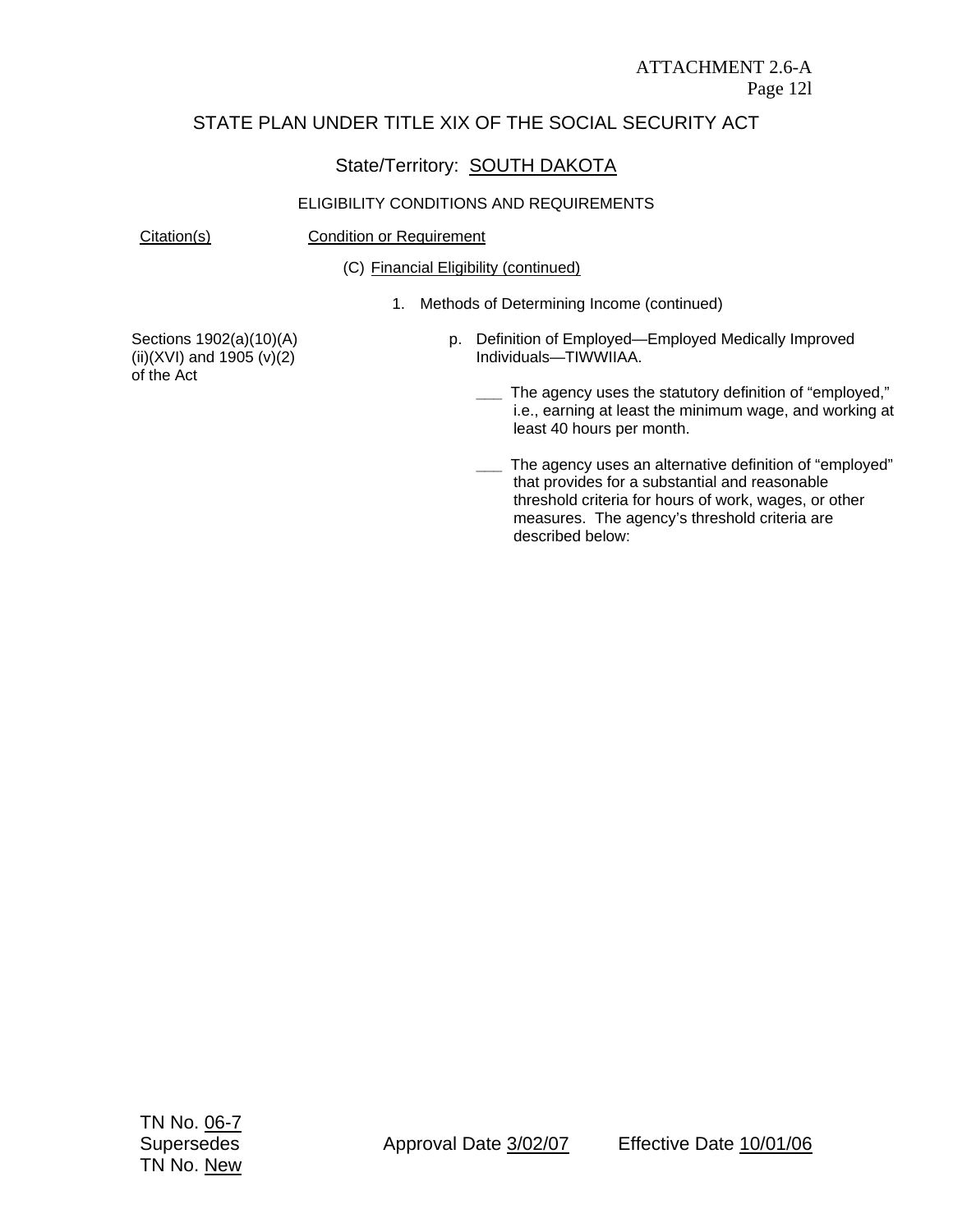## State/Territory: SOUTH DAKOTA

#### ELIGIBILITY CONDITIONS AND REQUIREMENTS

Citation(s) Condition or Requirement

(C) Financial Eligibility (continued)

1. Methods of Determining Income (continued)

Sections 1902(a)(10)(A)  $(ii)(XVI)$  and 1905  $(v)(2)$ of the Act

- p. Definition of Employed—Employed Medically Improved Individuals—TIWWIIAA.
	- **\_\_\_** The agency uses the statutory definition of "employed," i.e., earning at least the minimum wage, and working at least 40 hours per month.
	- **\_\_\_** The agency uses an alternative definition of "employed" that provides for a substantial and reasonable threshold criteria for hours of work, wages, or other measures. The agency's threshold criteria are described below: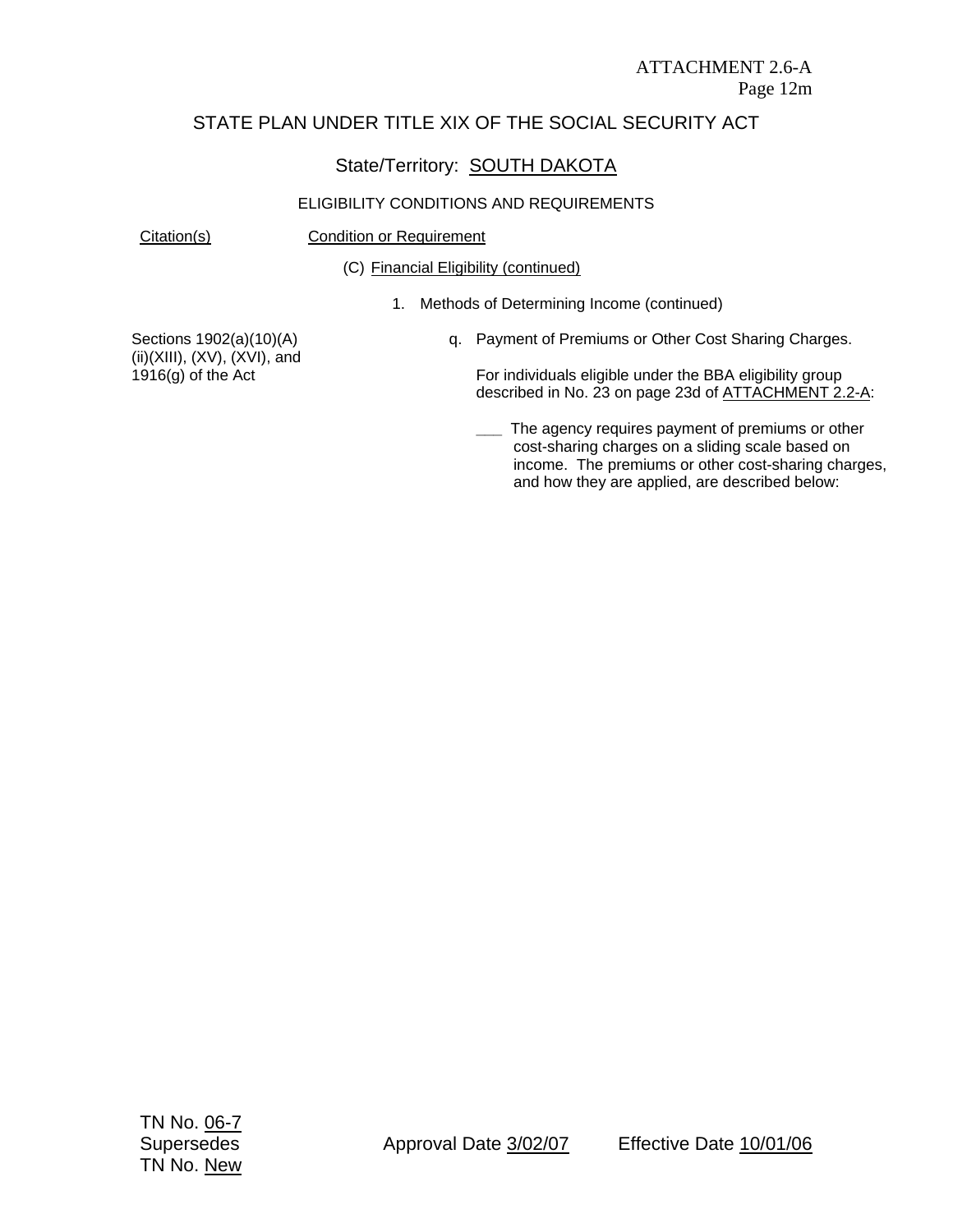#### State/Territory: SOUTH DAKOTA

#### ELIGIBILITY CONDITIONS AND REQUIREMENTS

Citation(s) Condition or Requirement

(C) Financial Eligibility (continued)

1. Methods of Determining Income (continued)

Sections 1902(a)(10)(A) (ii)(XIII), (XV), (XVI), and 1916(g) of the Act

q. Payment of Premiums or Other Cost Sharing Charges.

For individuals eligible under the BBA eligibility group described in No. 23 on page 23d of ATTACHMENT 2.2-A:

**\_\_\_** The agency requires payment of premiums or other cost-sharing charges on a sliding scale based on income. The premiums or other cost-sharing charges, and how they are applied, are described below: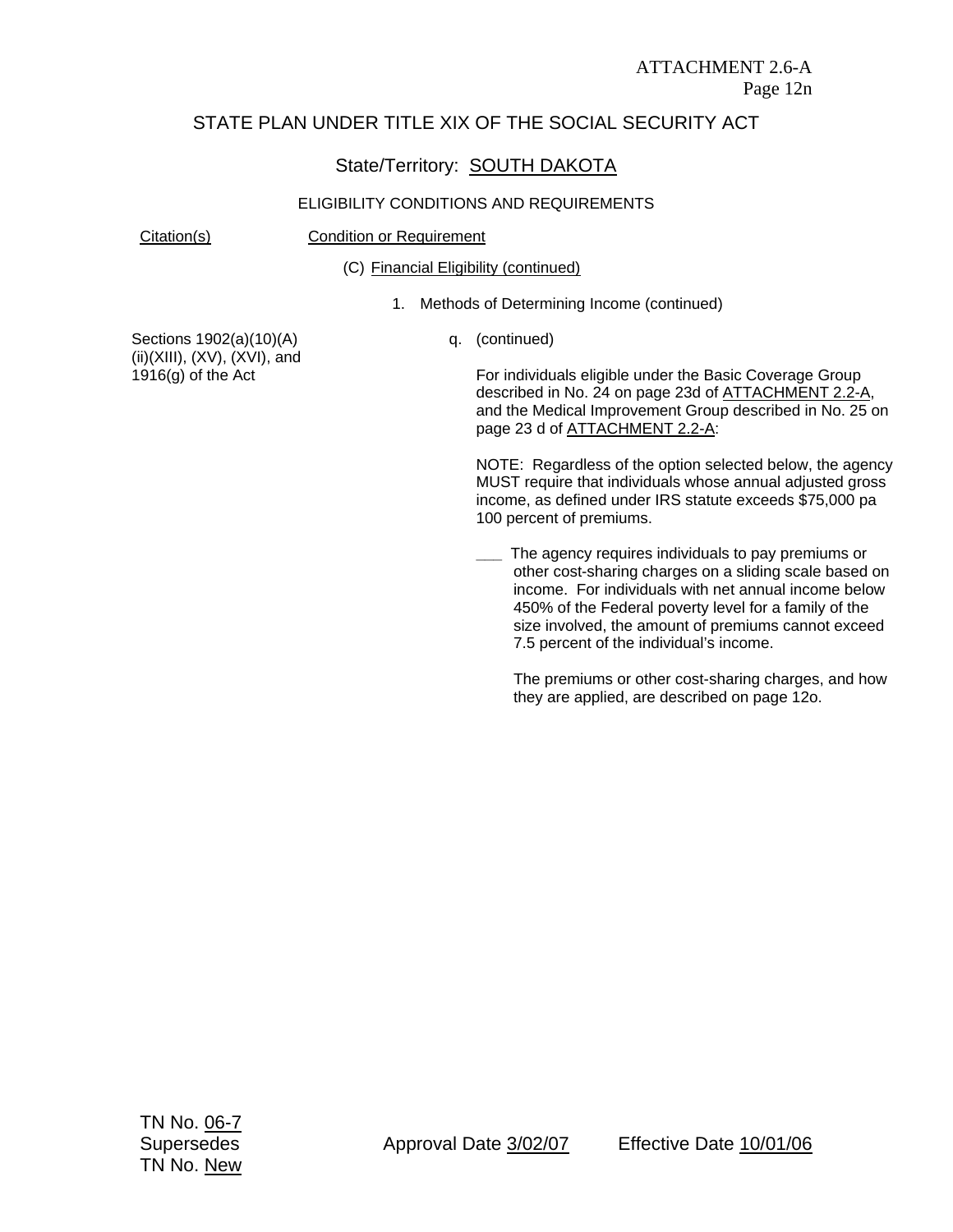## State/Territory: **SOUTH DAKOTA**

#### ELIGIBILITY CONDITIONS AND REQUIREMENTS

Citation(s) Condition or Requirement

(C) Financial Eligibility (continued)

1. Methods of Determining Income (continued)

Sections 1902(a)(10)(A) (ii)(XIII), (XV), (XVI), and 1916(g) of the Act

q. (continued)

For individuals eligible under the Basic Coverage Group described in No. 24 on page 23d of ATTACHMENT 2.2-A, and the Medical Improvement Group described in No. 25 on page 23 d of ATTACHMENT 2.2-A:

NOTE: Regardless of the option selected below, the agency MUST require that individuals whose annual adjusted gross income, as defined under IRS statute exceeds \$75,000 pa 100 percent of premiums.

**\_\_\_** The agency requires individuals to pay premiums or other cost-sharing charges on a sliding scale based on income. For individuals with net annual income below 450% of the Federal poverty level for a family of the size involved, the amount of premiums cannot exceed 7.5 percent of the individual's income.

The premiums or other cost-sharing charges, and how they are applied, are described on page 12o.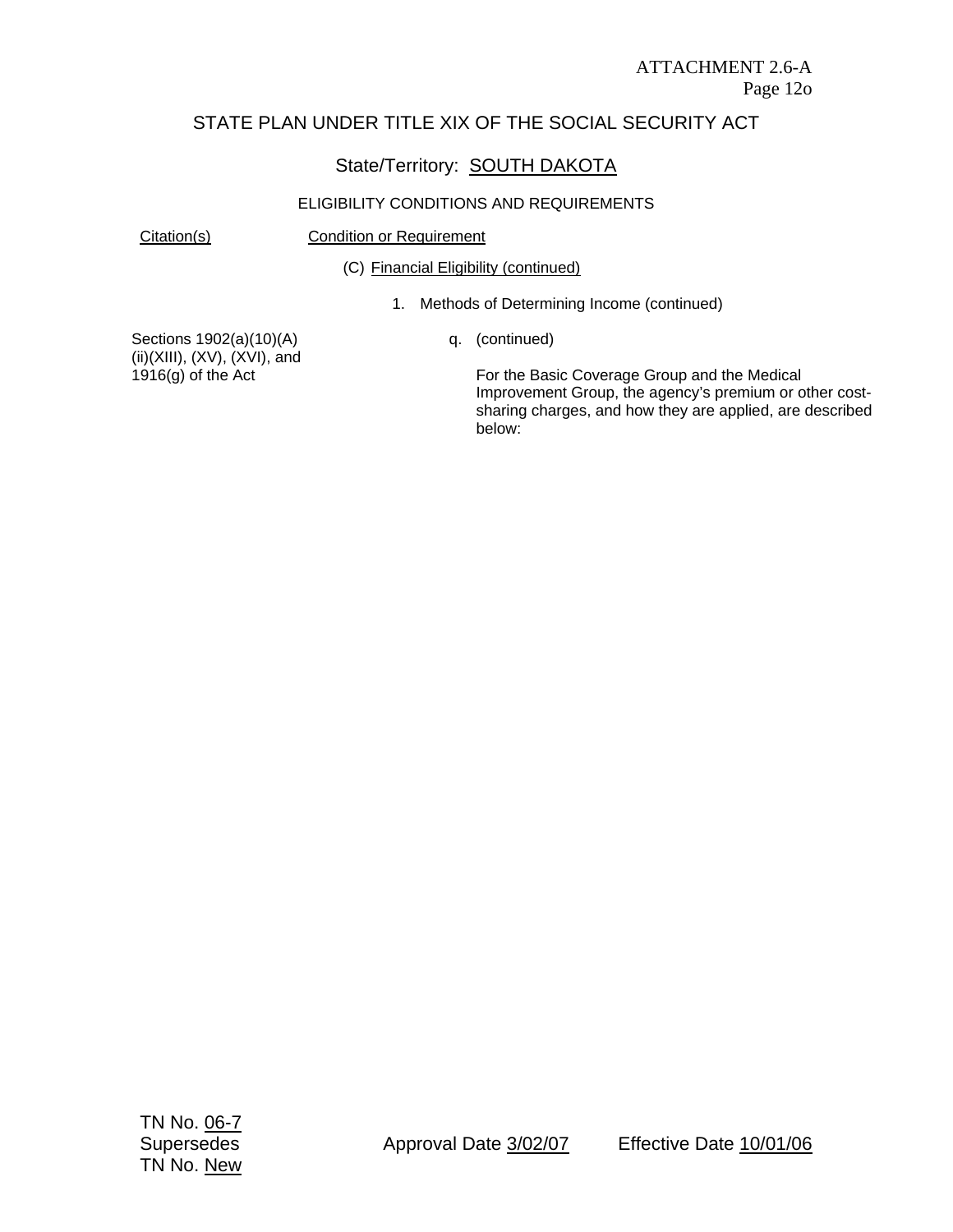## State/Territory: SOUTH DAKOTA

#### ELIGIBILITY CONDITIONS AND REQUIREMENTS

Citation(s) Condition or Requirement

(C) Financial Eligibility (continued)

1. Methods of Determining Income (continued)

Sections 1902(a)(10)(A) (ii)(XIII), (XV), (XVI), and 1916(g) of the Act

q. (continued)

For the Basic Coverage Group and the Medical Improvement Group, the agency's premium or other costsharing charges, and how they are applied, are described below: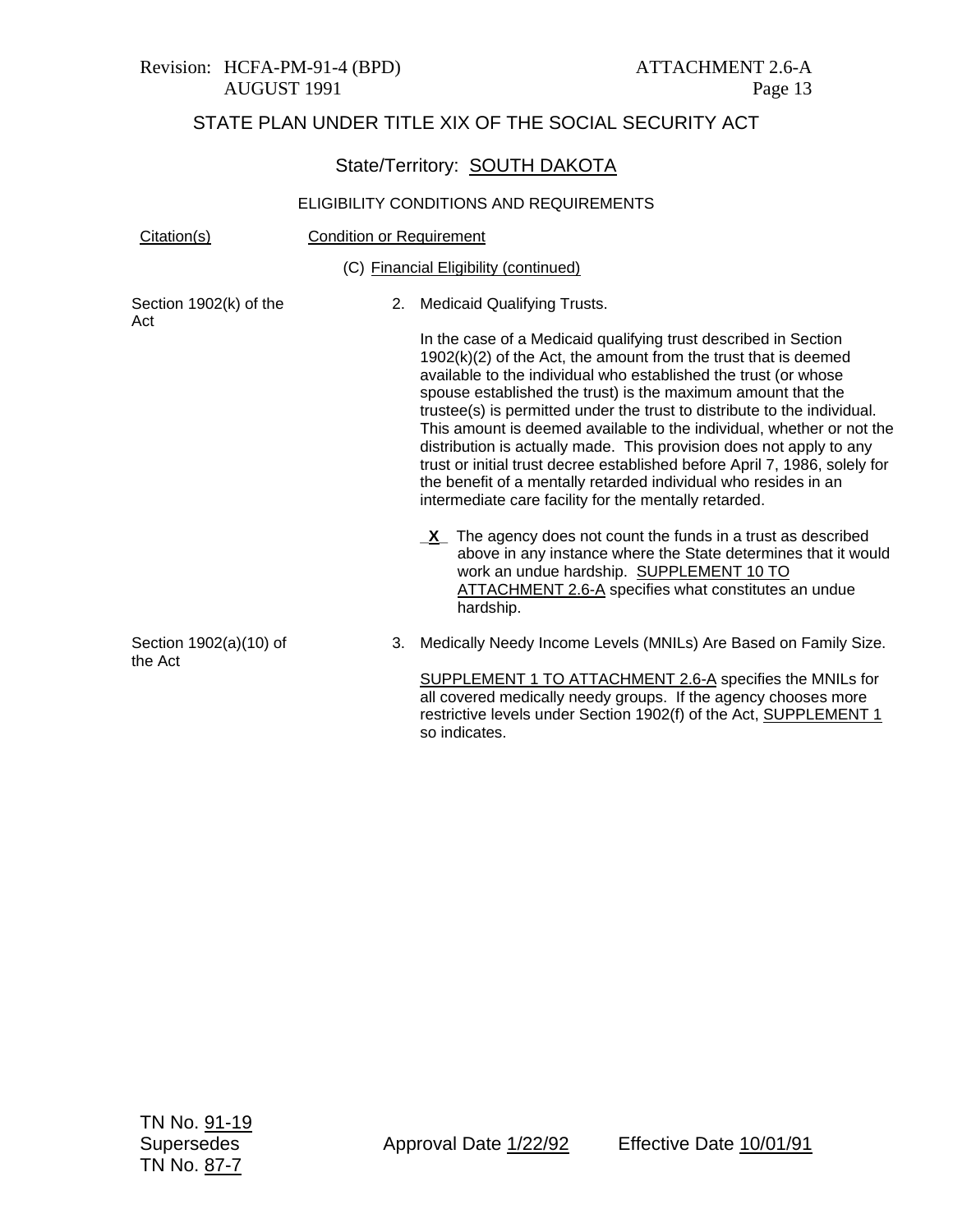#### Revision: HCFA-PM-91-4 (BPD) ATTACHMENT 2.6-A AUGUST 1991 Page 13

# STATE PLAN UNDER TITLE XIX OF THE SOCIAL SECURITY ACT

# State/Territory: **SOUTH DAKOTA**

#### ELIGIBILITY CONDITIONS AND REQUIREMENTS

| Citation(s)                       | <b>Condition or Requirement</b> |                                                                                                                                                                                                                                                                                                                                                                                                                                                                                                                                                                                                                                                                                                               |  |
|-----------------------------------|---------------------------------|---------------------------------------------------------------------------------------------------------------------------------------------------------------------------------------------------------------------------------------------------------------------------------------------------------------------------------------------------------------------------------------------------------------------------------------------------------------------------------------------------------------------------------------------------------------------------------------------------------------------------------------------------------------------------------------------------------------|--|
|                                   |                                 | (C) Financial Eligibility (continued)                                                                                                                                                                                                                                                                                                                                                                                                                                                                                                                                                                                                                                                                         |  |
| Section 1902(k) of the<br>Act     |                                 | 2. Medicaid Qualifying Trusts.                                                                                                                                                                                                                                                                                                                                                                                                                                                                                                                                                                                                                                                                                |  |
|                                   |                                 | In the case of a Medicaid qualifying trust described in Section<br>$1902(k)(2)$ of the Act, the amount from the trust that is deemed<br>available to the individual who established the trust (or whose<br>spouse established the trust) is the maximum amount that the<br>trustee(s) is permitted under the trust to distribute to the individual.<br>This amount is deemed available to the individual, whether or not the<br>distribution is actually made. This provision does not apply to any<br>trust or initial trust decree established before April 7, 1986, solely for<br>the benefit of a mentally retarded individual who resides in an<br>intermediate care facility for the mentally retarded. |  |
|                                   |                                 | $X$ The agency does not count the funds in a trust as described<br>above in any instance where the State determines that it would<br>work an undue hardship. SUPPLEMENT 10 TO<br>ATTACHMENT 2.6-A specifies what constitutes an undue<br>hardship.                                                                                                                                                                                                                                                                                                                                                                                                                                                            |  |
| Section 1902(a)(10) of<br>the Act | 3.                              | Medically Needy Income Levels (MNILs) Are Based on Family Size.                                                                                                                                                                                                                                                                                                                                                                                                                                                                                                                                                                                                                                               |  |
|                                   |                                 | SUPPLEMENT 1 TO ATTACHMENT 2.6-A specifies the MNILs for<br>all covered medically needy groups. If the agency chooses more                                                                                                                                                                                                                                                                                                                                                                                                                                                                                                                                                                                    |  |

so indicates.

restrictive levels under Section 1902(f) of the Act, SUPPLEMENT 1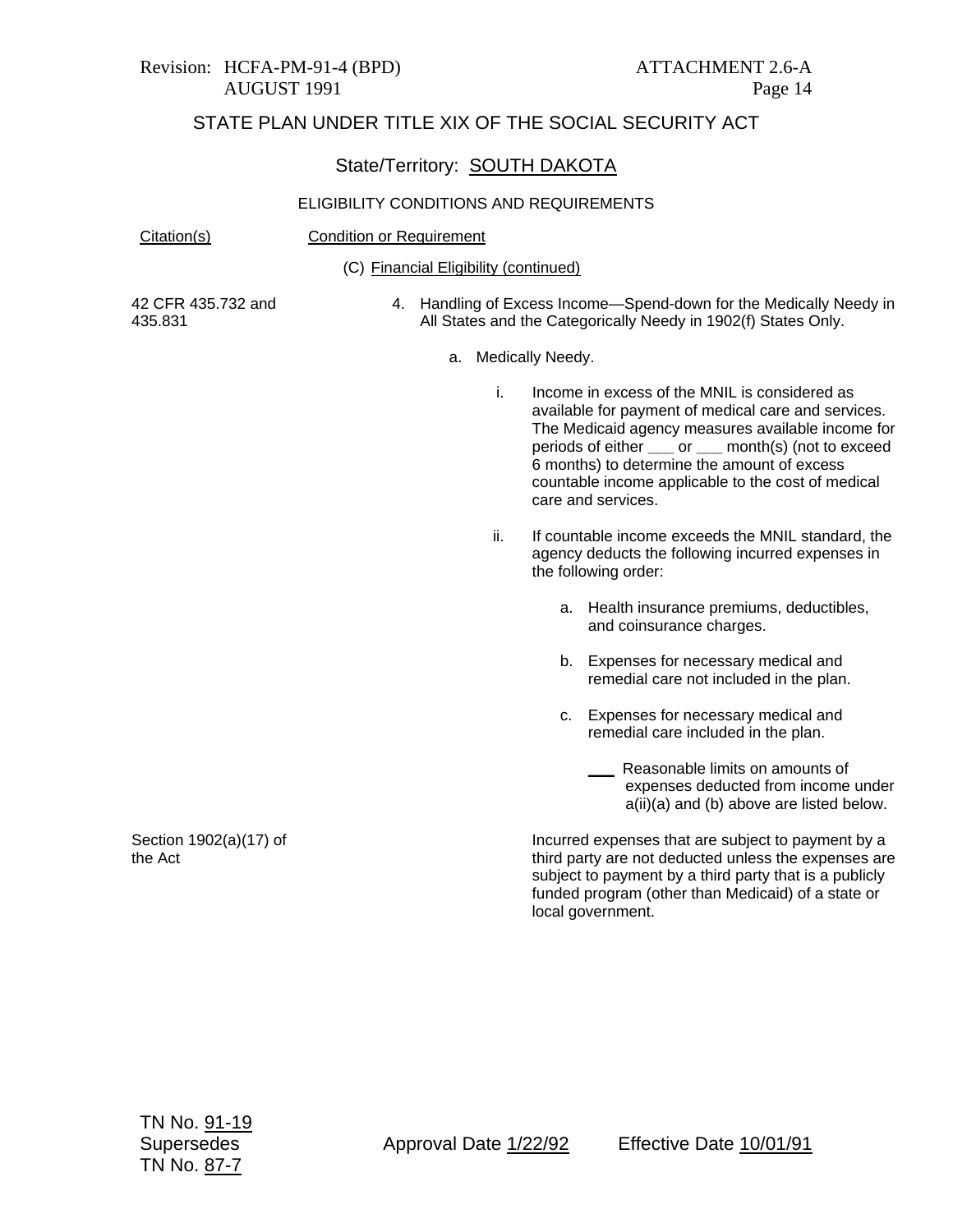#### Revision: HCFA-PM-91-4 (BPD) ATTACHMENT 2.6-A AUGUST 1991 Page 14

# STATE PLAN UNDER TITLE XIX OF THE SOCIAL SECURITY ACT

## State/Territory: SOUTH DAKOTA

| Citation(s)                       | <b>Condition or Requirement</b> |                                       |                                                                                                                                                                                                                                                                                                                                              |  |
|-----------------------------------|---------------------------------|---------------------------------------|----------------------------------------------------------------------------------------------------------------------------------------------------------------------------------------------------------------------------------------------------------------------------------------------------------------------------------------------|--|
|                                   |                                 | (C) Financial Eligibility (continued) |                                                                                                                                                                                                                                                                                                                                              |  |
| 42 CFR 435.732 and<br>435.831     |                                 |                                       | 4. Handling of Excess Income-Spend-down for the Medically Needy in<br>All States and the Categorically Needy in 1902(f) States Only.                                                                                                                                                                                                         |  |
|                                   |                                 | а.                                    | Medically Needy.                                                                                                                                                                                                                                                                                                                             |  |
|                                   |                                 | i.                                    | Income in excess of the MNIL is considered as<br>available for payment of medical care and services.<br>The Medicaid agency measures available income for<br>periods of either ___ or ___ month(s) (not to exceed<br>6 months) to determine the amount of excess<br>countable income applicable to the cost of medical<br>care and services. |  |
|                                   |                                 | ii.                                   | If countable income exceeds the MNIL standard, the<br>agency deducts the following incurred expenses in<br>the following order:                                                                                                                                                                                                              |  |
|                                   |                                 |                                       | a. Health insurance premiums, deductibles,<br>and coinsurance charges.                                                                                                                                                                                                                                                                       |  |
|                                   |                                 |                                       | Expenses for necessary medical and<br>b.<br>remedial care not included in the plan.                                                                                                                                                                                                                                                          |  |
|                                   |                                 |                                       | Expenses for necessary medical and<br>C.<br>remedial care included in the plan.                                                                                                                                                                                                                                                              |  |
|                                   |                                 |                                       | Reasonable limits on amounts of<br>expenses deducted from income under<br>a(ii)(a) and (b) above are listed below.                                                                                                                                                                                                                           |  |
| Section 1902(a)(17) of<br>the Act |                                 |                                       | Incurred expenses that are subject to payment by a<br>third party are not deducted unless the expenses are<br>subject to payment by a third party that is a publicly<br>funded program (other than Medicaid) of a state or<br>local government.                                                                                              |  |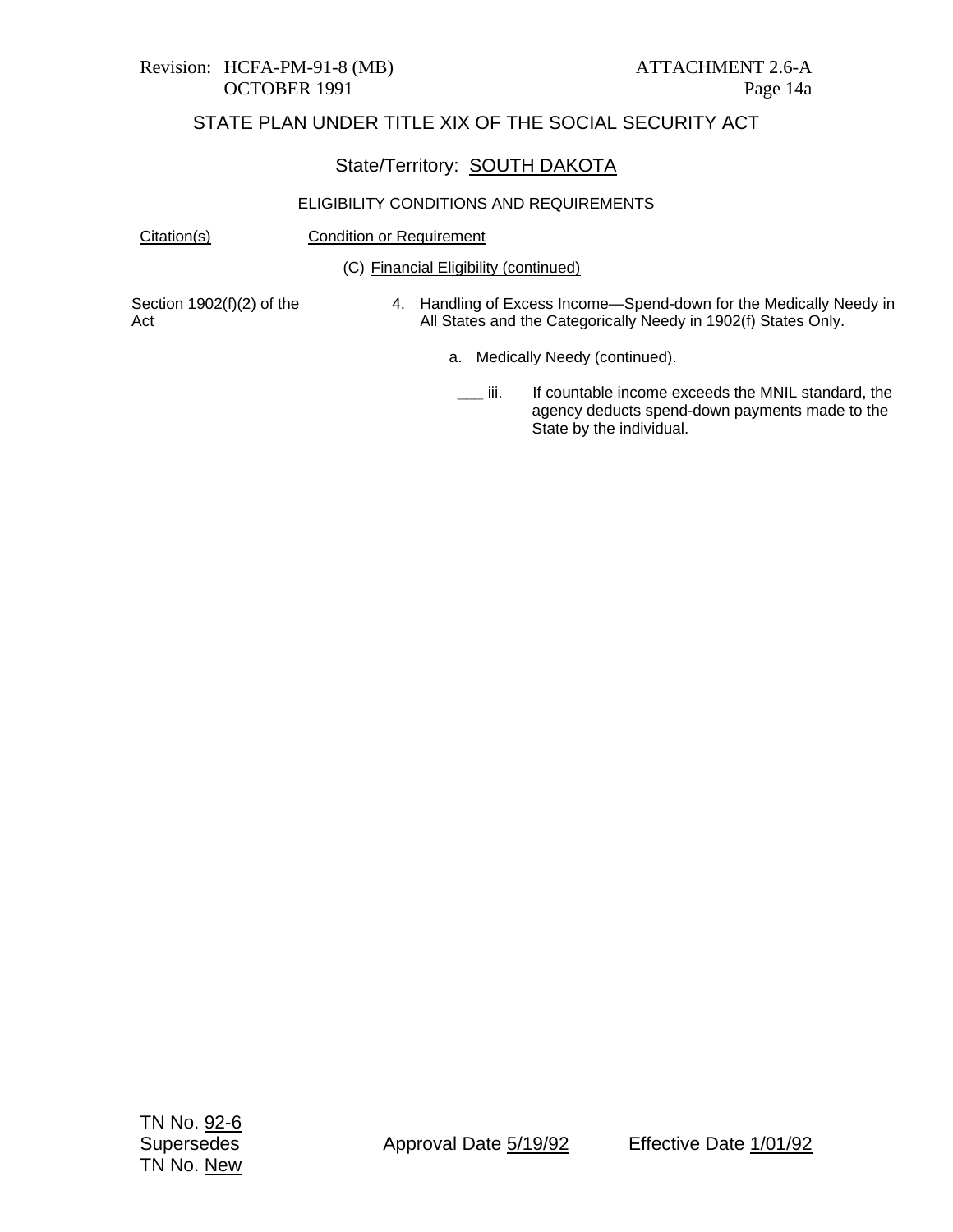# Revision: HCFA-PM-91-8 (MB) ATTACHMENT 2.6-A

## STATE PLAN UNDER TITLE XIX OF THE SOCIAL SECURITY ACT

#### State/Territory: SOUTH DAKOTA

#### ELIGIBILITY CONDITIONS AND REQUIREMENTS

Citation(s) Condition or Requirement

(C) Financial Eligibility (continued)

Section 1902(f)(2) of the Act

- 4. Handling of Excess Income—Spend-down for the Medically Needy in All States and the Categorically Needy in 1902(f) States Only.
	- a. Medically Needy (continued).
		- **\_\_\_** iii. If countable income exceeds the MNIL standard, the agency deducts spend-down payments made to the State by the individual.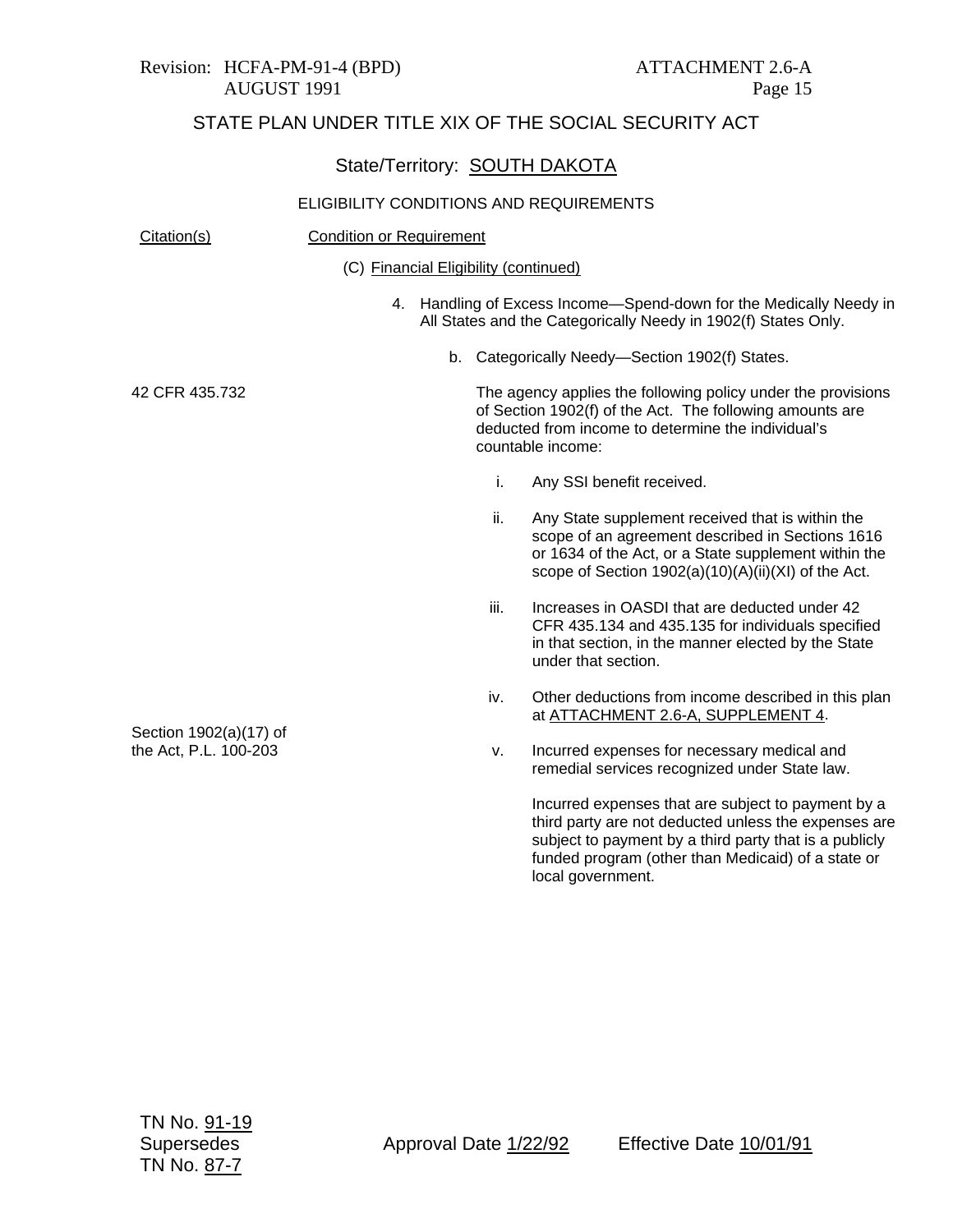|                                                 | State/Territory: SOUTH DAKOTA           |      |                                                                                                                                                                                                                                                 |
|-------------------------------------------------|-----------------------------------------|------|-------------------------------------------------------------------------------------------------------------------------------------------------------------------------------------------------------------------------------------------------|
|                                                 | ELIGIBILITY CONDITIONS AND REQUIREMENTS |      |                                                                                                                                                                                                                                                 |
| Citation(s)                                     | <b>Condition or Requirement</b>         |      |                                                                                                                                                                                                                                                 |
|                                                 | (C) Financial Eligibility (continued)   |      |                                                                                                                                                                                                                                                 |
|                                                 |                                         |      | 4. Handling of Excess Income-Spend-down for the Medically Needy in<br>All States and the Categorically Needy in 1902(f) States Only.                                                                                                            |
|                                                 | b.                                      |      | Categorically Needy-Section 1902(f) States.                                                                                                                                                                                                     |
| 42 CFR 435.732                                  |                                         |      | The agency applies the following policy under the provisions<br>of Section 1902(f) of the Act. The following amounts are<br>deducted from income to determine the individual's<br>countable income:                                             |
|                                                 |                                         | i.   | Any SSI benefit received.                                                                                                                                                                                                                       |
|                                                 |                                         | ii.  | Any State supplement received that is within the<br>scope of an agreement described in Sections 1616<br>or 1634 of the Act, or a State supplement within the<br>scope of Section 1902(a)(10)(A)(ii)(XI) of the Act.                             |
|                                                 |                                         | iii. | Increases in OASDI that are deducted under 42<br>CFR 435.134 and 435.135 for individuals specified<br>in that section, in the manner elected by the State<br>under that section.                                                                |
| Section 1902(a)(17) of<br>the Act, P.L. 100-203 |                                         | iv.  | Other deductions from income described in this plan<br>at ATTACHMENT 2.6-A, SUPPLEMENT 4.                                                                                                                                                       |
|                                                 |                                         | v.   | Incurred expenses for necessary medical and<br>remedial services recognized under State law.                                                                                                                                                    |
|                                                 |                                         |      | Incurred expenses that are subject to payment by a<br>third party are not deducted unless the expenses are<br>subject to payment by a third party that is a publicly<br>funded program (other than Medicaid) of a state or<br>local government. |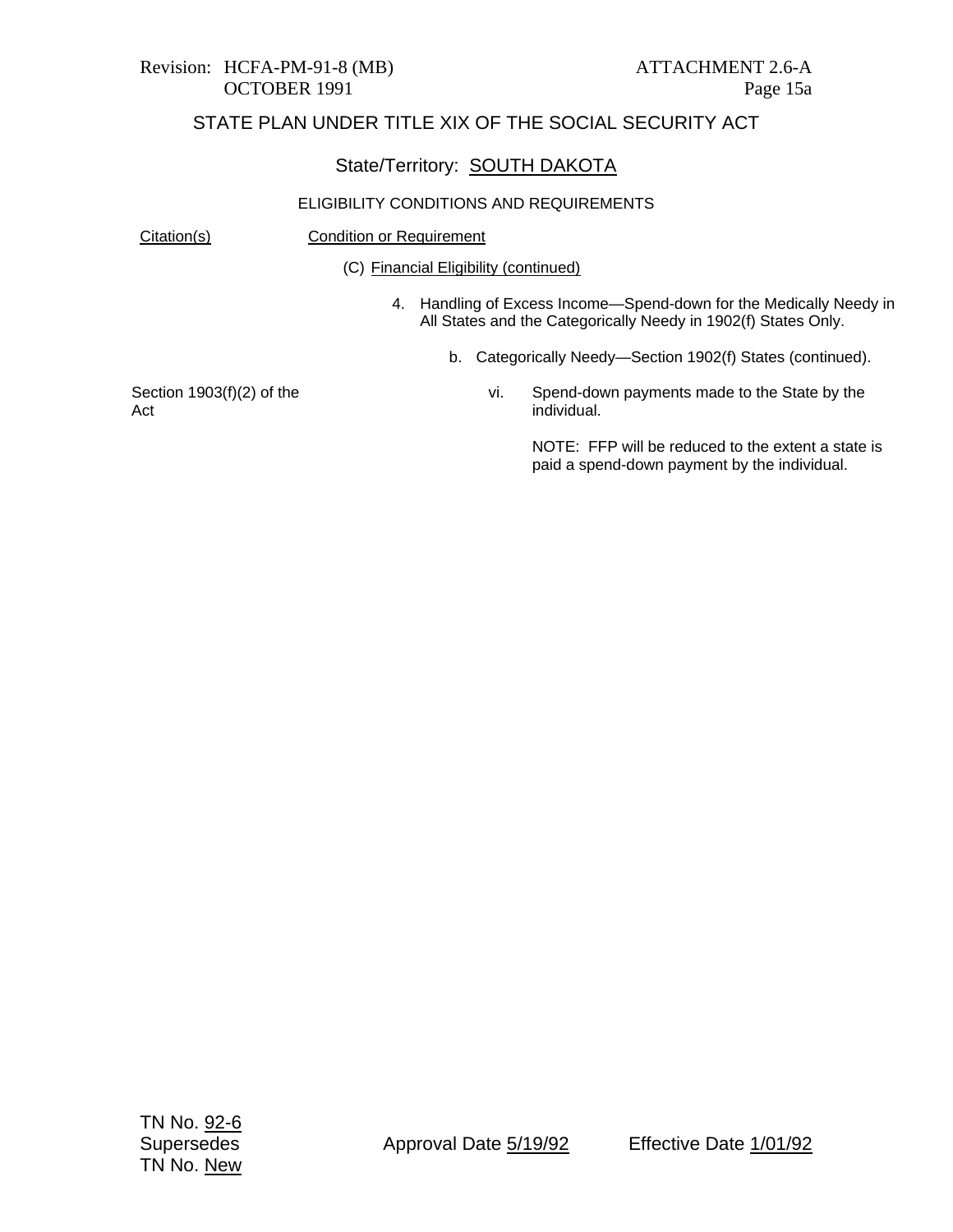# Revision: HCFA-PM-91-8 (MB) ATTACHMENT 2.6-A

## STATE PLAN UNDER TITLE XIX OF THE SOCIAL SECURITY ACT

## State/Territory: SOUTH DAKOTA

#### ELIGIBILITY CONDITIONS AND REQUIREMENTS

Citation(s) Condition or Requirement

(C) Financial Eligibility (continued)

- 4. Handling of Excess Income—Spend-down for the Medically Needy in All States and the Categorically Needy in 1902(f) States Only.
	- b. Categorically Needy—Section 1902(f) States (continued).

Section 1903(f)(2) of the Act

vi. Spend-down payments made to the State by the individual.

> NOTE: FFP will be reduced to the extent a state is paid a spend-down payment by the individual.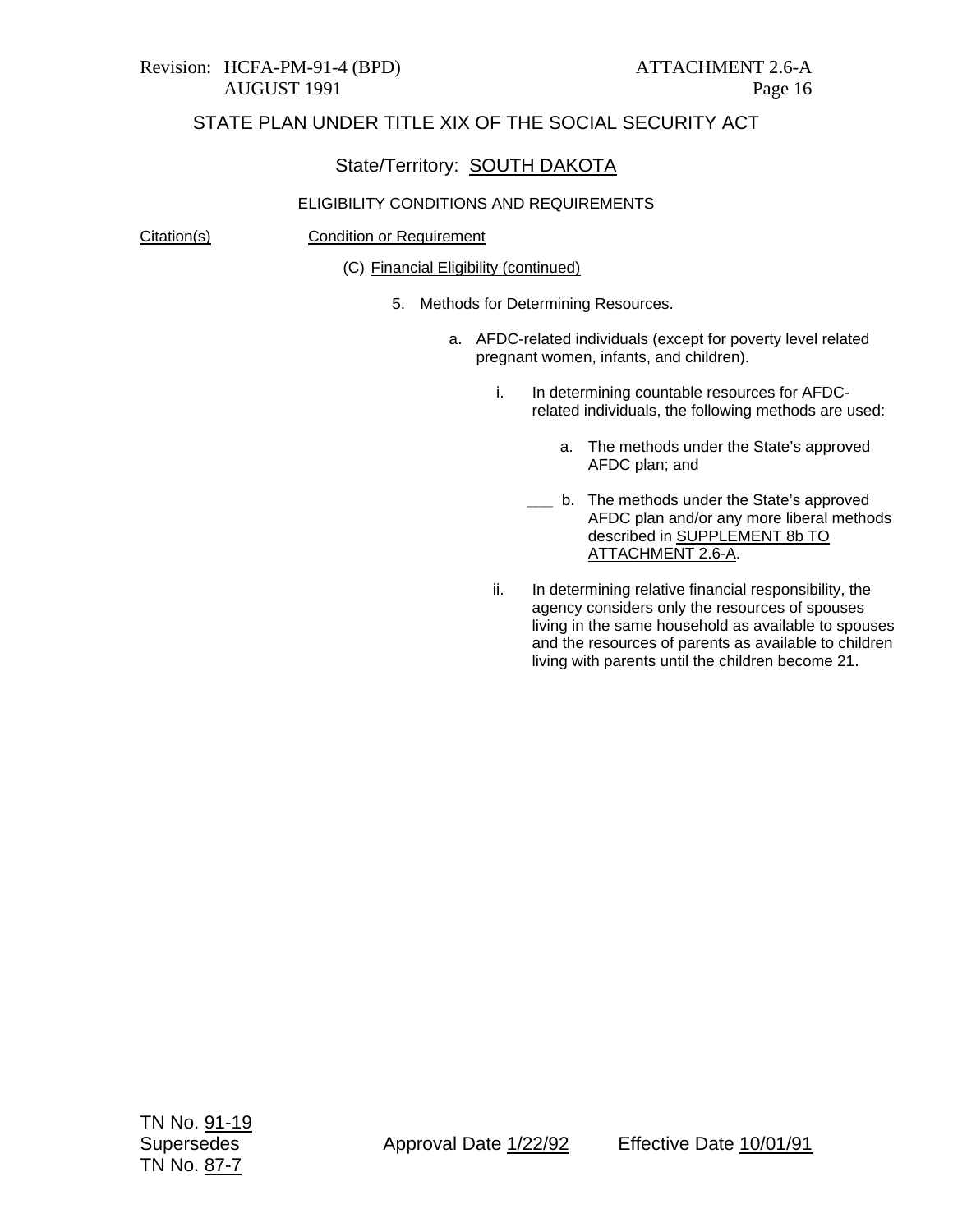#### State/Territory: SOUTH DAKOTA

#### ELIGIBILITY CONDITIONS AND REQUIREMENTS

Citation(s) Condition or Requirement

(C) Financial Eligibility (continued)

- 5. Methods for Determining Resources.
	- a. AFDC-related individuals (except for poverty level related pregnant women, infants, and children).
		- i. In determining countable resources for AFDCrelated individuals, the following methods are used:
			- a. The methods under the State's approved AFDC plan; and
			- **\_\_\_** b. The methods under the State's approved AFDC plan and/or any more liberal methods described in SUPPLEMENT 8b TO ATTACHMENT 2.6-A.
		- ii. In determining relative financial responsibility, the agency considers only the resources of spouses living in the same household as available to spouses and the resources of parents as available to children living with parents until the children become 21.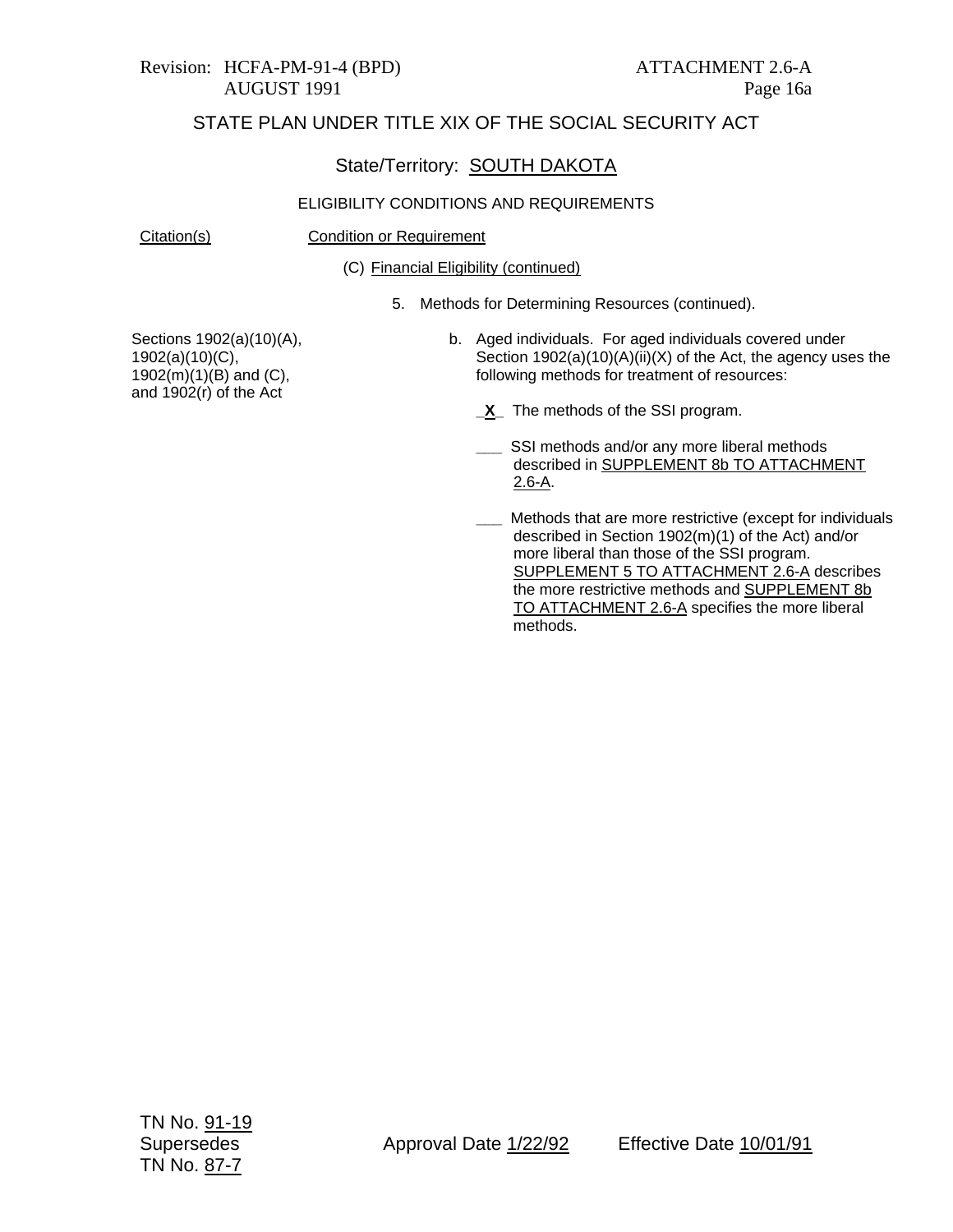## State/Territory: SOUTH DAKOTA

#### ELIGIBILITY CONDITIONS AND REQUIREMENTS

Citation(s) Condition or Requirement

(C) Financial Eligibility (continued)

5. Methods for Determining Resources (continued).

Sections 1902(a)(10)(A), 1902(a)(10)(C), 1902(m)(1)(B) and (C), and 1902(r) of the Act

- b. Aged individuals. For aged individuals covered under Section 1902(a)(10)(A)(ii)(X) of the Act, the agency uses the following methods for treatment of resources:
	- **X** The methods of the SSI program.
	- SSI methods and/or any more liberal methods described in SUPPLEMENT 8b TO ATTACHMENT 2.6-A.
	- **\_\_\_** Methods that are more restrictive (except for individuals described in Section 1902(m)(1) of the Act) and/or more liberal than those of the SSI program. SUPPLEMENT 5 TO ATTACHMENT 2.6-A describes the more restrictive methods and **SUPPLEMENT 8b** TO ATTACHMENT 2.6-A specifies the more liberal methods.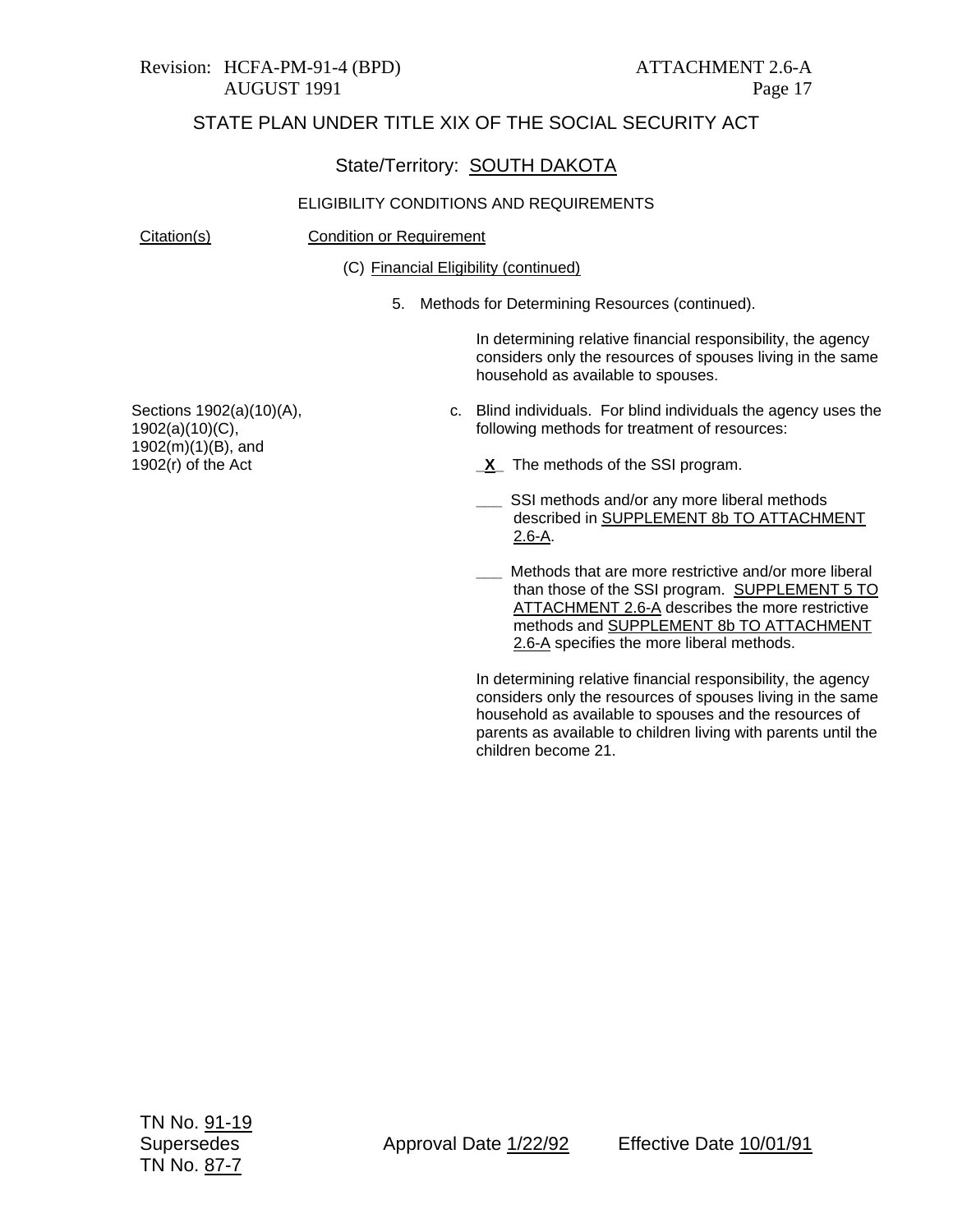#### State/Territory: SOUTH DAKOTA

#### ELIGIBILITY CONDITIONS AND REQUIREMENTS

Citation(s) Condition or Requirement

(C) Financial Eligibility (continued)

5. Methods for Determining Resources (continued).

In determining relative financial responsibility, the agency considers only the resources of spouses living in the same household as available to spouses.

c. Blind individuals. For blind individuals the agency uses the following methods for treatment of resources:

**\_X\_** The methods of the SSI program.

- SSI methods and/or any more liberal methods described in SUPPLEMENT 8b TO ATTACHMENT 2.6-A.
- **\_\_\_** Methods that are more restrictive and/or more liberal than those of the SSI program. SUPPLEMENT 5 TO ATTACHMENT 2.6-A describes the more restrictive methods and SUPPLEMENT 8b TO ATTACHMENT 2.6-A specifies the more liberal methods.

In determining relative financial responsibility, the agency considers only the resources of spouses living in the same household as available to spouses and the resources of parents as available to children living with parents until the children become 21.

Sections 1902(a)(10)(A), 1902(a)(10)(C), 1902(m)(1)(B), and 1902(r) of the Act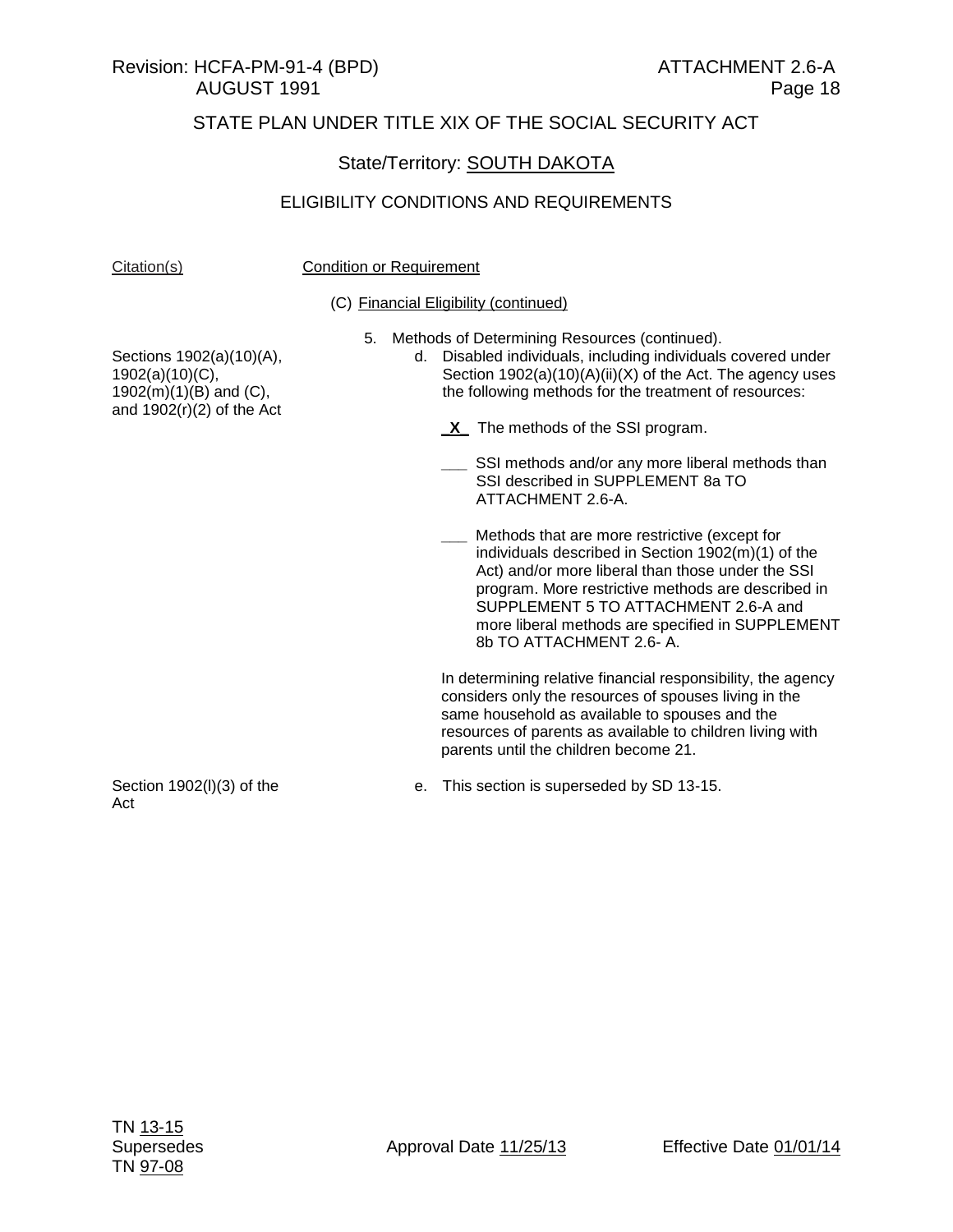#### Revision: HCFA-PM-91-4 (BPD) ATTACHMENT 2.6-A AUGUST 1991 Page 18

## STATE PLAN UNDER TITLE XIX OF THE SOCIAL SECURITY ACT

## State/Territory: SOUTH DAKOTA

#### ELIGIBILITY CONDITIONS AND REQUIREMENTS

#### Citation(s) Condition or Requirement

#### (C) Financial Eligibility (continued)

5. Methods of Determining Resources (continued).

d. Disabled individuals, including individuals covered under Section 1902(a)(10)(A)(ii)(X) of the Act. The agency uses the following methods for the treatment of resources:

- **\_X\_** The methods of the SSI program.
	- SSI methods and/or any more liberal methods than SSI described in SUPPLEMENT 8a TO ATTACHMENT 2.6-A.

**\_\_\_** Methods that are more restrictive (except for individuals described in Section 1902(m)(1) of the Act) and/or more liberal than those under the SSI program. More restrictive methods are described in SUPPLEMENT 5 TO ATTACHMENT 2.6-A and more liberal methods are specified in SUPPLEMENT 8b TO ATTACHMENT 2.6- A.

In determining relative financial responsibility, the agency considers only the resources of spouses living in the same household as available to spouses and the resources of parents as available to children living with parents until the children become 21.

Sections 1902(a)(10)(A), 1902(a)(10)(C),  $1902(m)(1)(B)$  and  $(C)$ , and  $1902(r)(2)$  of the Act

Section 1902(l)(3) of the Act

e. This section is superseded by SD 13-15.

TN 13-15 TN 97-08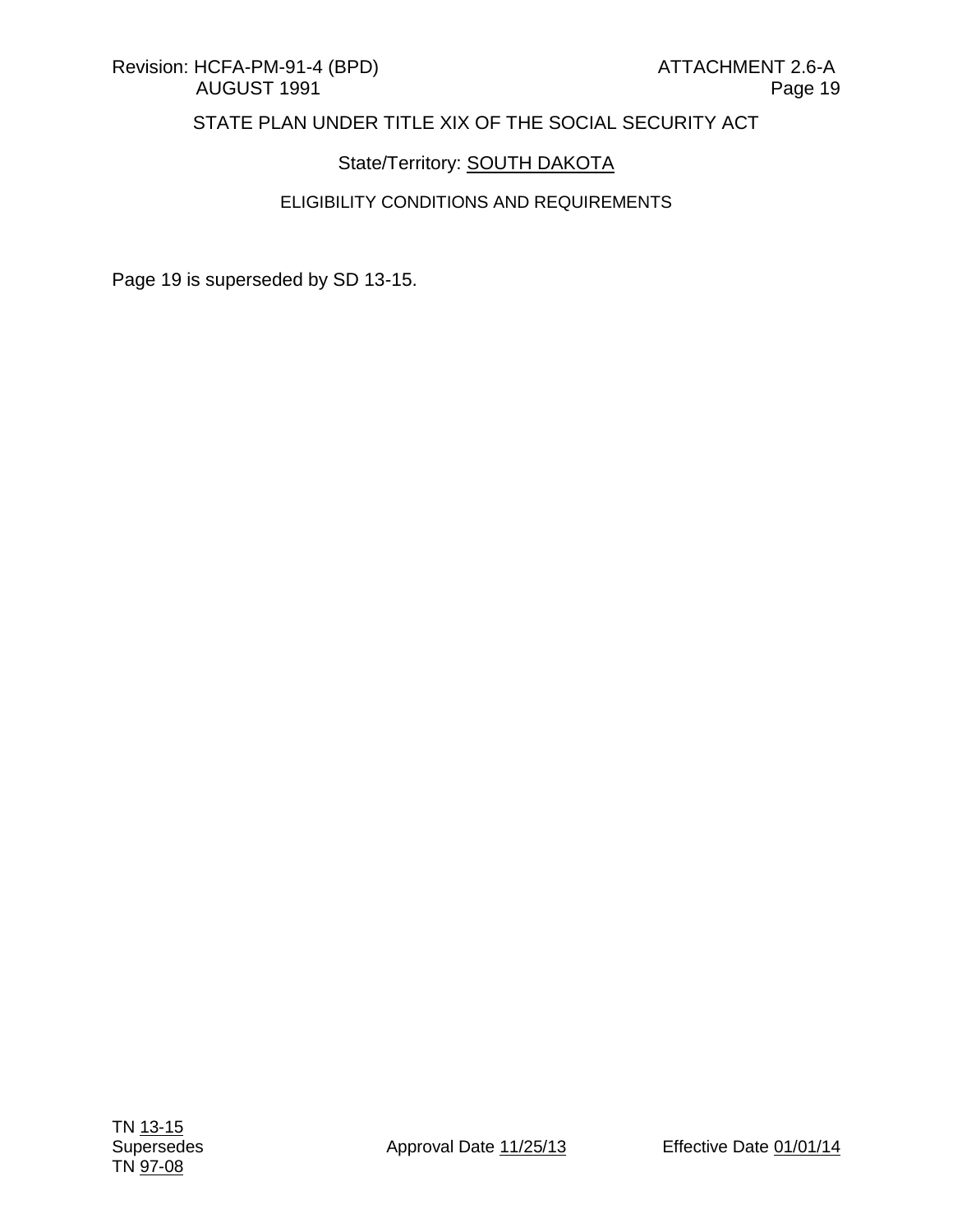## State/Territory: **SOUTH DAKOTA**

#### ELIGIBILITY CONDITIONS AND REQUIREMENTS

Page 19 is superseded by SD 13-15.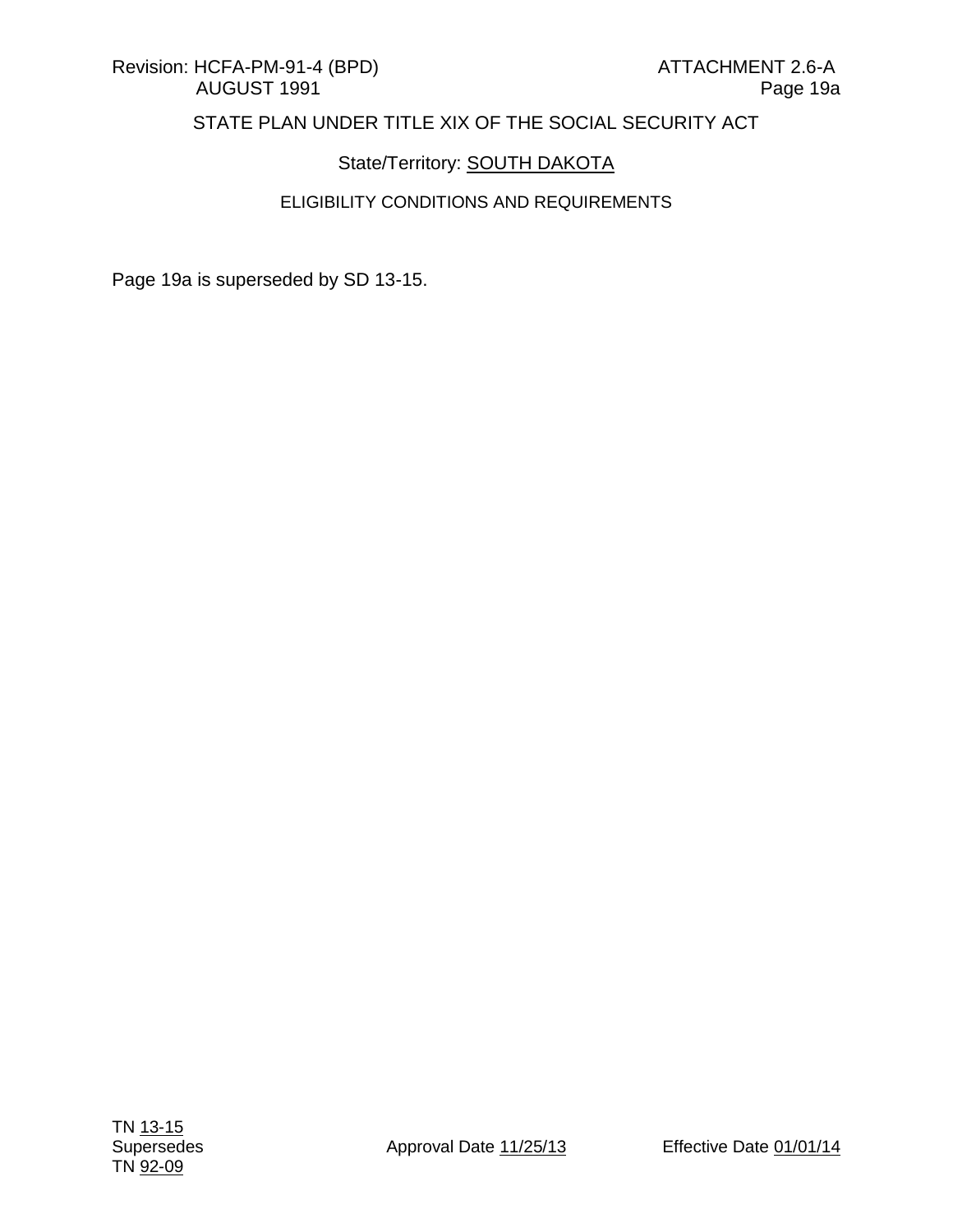## State/Territory: **SOUTH DAKOTA**

## ELIGIBILITY CONDITIONS AND REQUIREMENTS

Page 19a is superseded by SD 13-15.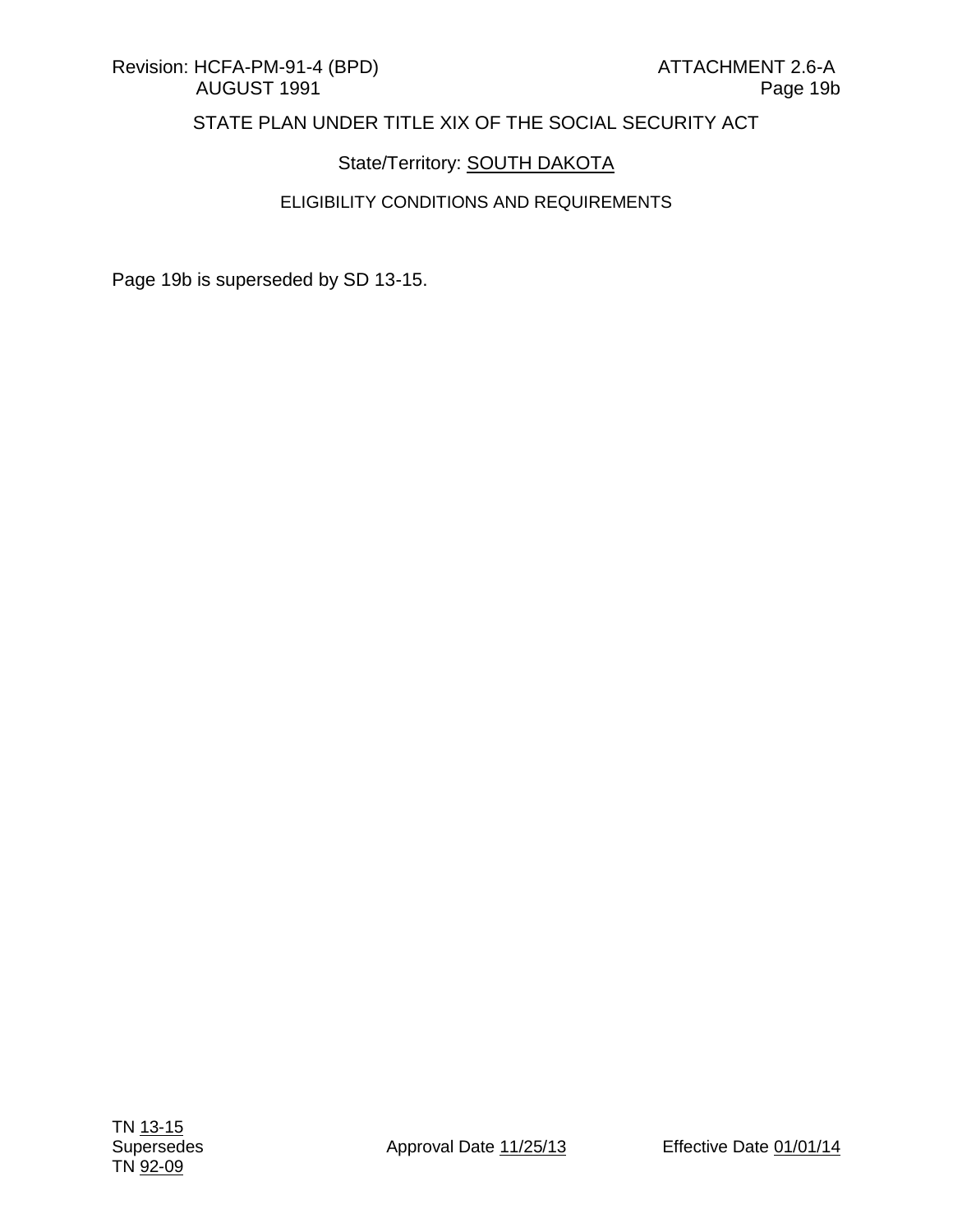## State/Territory: **SOUTH DAKOTA**

## ELIGIBILITY CONDITIONS AND REQUIREMENTS

Page 19b is superseded by SD 13-15.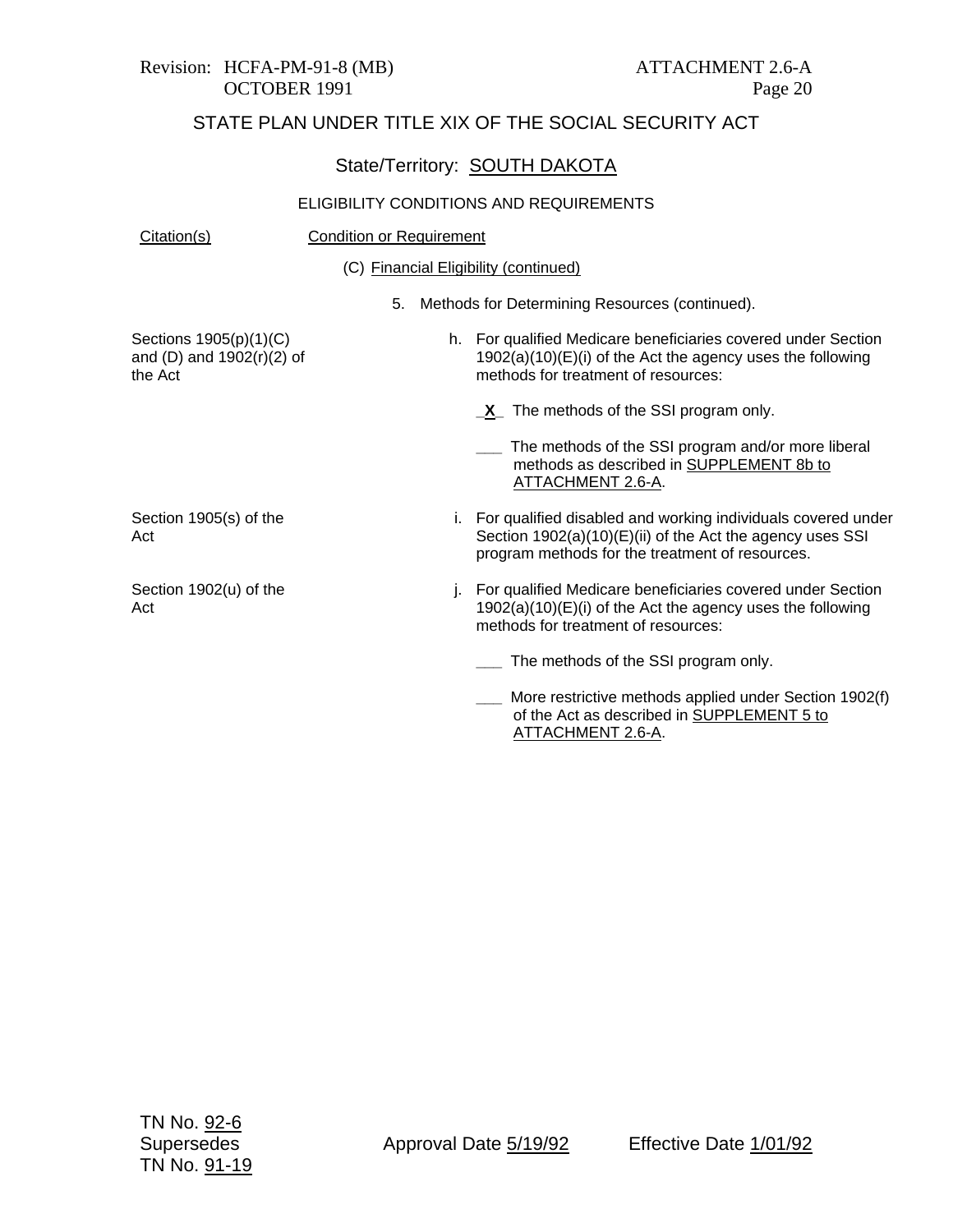# Revision: HCFA-PM-91-8 (MB) ATTACHMENT 2.6-A

# STATE PLAN UNDER TITLE XIX OF THE SOCIAL SECURITY ACT

|                                                                |                                 |    | State/Territory: SOUTH DAKOTA                                                                                                                                                   |
|----------------------------------------------------------------|---------------------------------|----|---------------------------------------------------------------------------------------------------------------------------------------------------------------------------------|
|                                                                |                                 |    | ELIGIBILITY CONDITIONS AND REQUIREMENTS                                                                                                                                         |
| Citation(s)                                                    | <b>Condition or Requirement</b> |    |                                                                                                                                                                                 |
|                                                                |                                 |    | (C) Financial Eligibility (continued)                                                                                                                                           |
|                                                                |                                 |    | 5. Methods for Determining Resources (continued).                                                                                                                               |
| Sections 1905(p)(1)(C)<br>and (D) and 1902(r)(2) of<br>the Act |                                 |    | h. For qualified Medicare beneficiaries covered under Section<br>$1902(a)(10)(E)(i)$ of the Act the agency uses the following<br>methods for treatment of resources:            |
|                                                                |                                 |    | X <sub>_</sub> The methods of the SSI program only.                                                                                                                             |
|                                                                |                                 |    | The methods of the SSI program and/or more liberal<br>methods as described in SUPPLEMENT 8b to<br>ATTACHMENT 2.6-A.                                                             |
| Section 1905(s) of the<br>Act                                  |                                 |    | i. For qualified disabled and working individuals covered under<br>Section 1902(a)(10)(E)(ii) of the Act the agency uses SSI<br>program methods for the treatment of resources. |
| Section 1902(u) of the<br>Act                                  |                                 | j. | For qualified Medicare beneficiaries covered under Section<br>$1902(a)(10)(E)(i)$ of the Act the agency uses the following<br>methods for treatment of resources:               |
|                                                                |                                 |    | The methods of the SSI program only.                                                                                                                                            |
|                                                                |                                 |    | More restrictive methods applied under Section 1902(f)<br>of the Act as described in SUPPLEMENT 5 to                                                                            |

ATTACHMENT 2.6-A.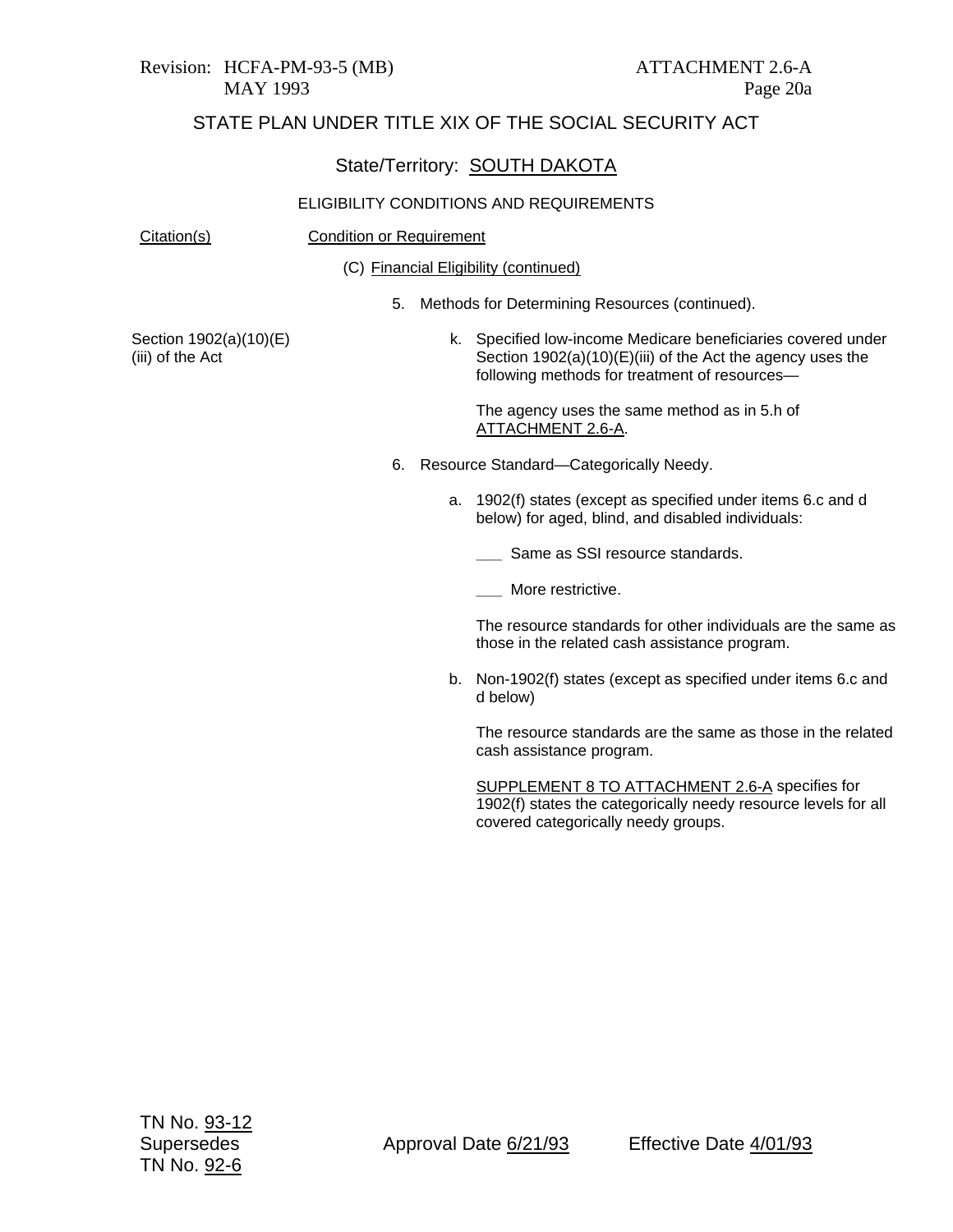#### State/Territory: SOUTH DAKOTA

#### ELIGIBILITY CONDITIONS AND REQUIREMENTS

#### Citation(s) Condition or Requirement

(C) Financial Eligibility (continued)

5. Methods for Determining Resources (continued).

Section 1902(a)(10)(E) (iii) of the Act

k. Specified low-income Medicare beneficiaries covered under Section 1902(a)(10)(E)(iii) of the Act the agency uses the following methods for treatment of resources—

The agency uses the same method as in 5.h of ATTACHMENT 2.6-A.

- 6. Resource Standard—Categorically Needy.
	- a. 1902(f) states (except as specified under items 6.c and d below) for aged, blind, and disabled individuals:
		- **\_\_\_** Same as SSI resource standards.
		- **\_\_\_** More restrictive.

The resource standards for other individuals are the same as those in the related cash assistance program.

b. Non-1902(f) states (except as specified under items 6.c and d below)

The resource standards are the same as those in the related cash assistance program.

SUPPLEMENT 8 TO ATTACHMENT 2.6-A specifies for 1902(f) states the categorically needy resource levels for all covered categorically needy groups.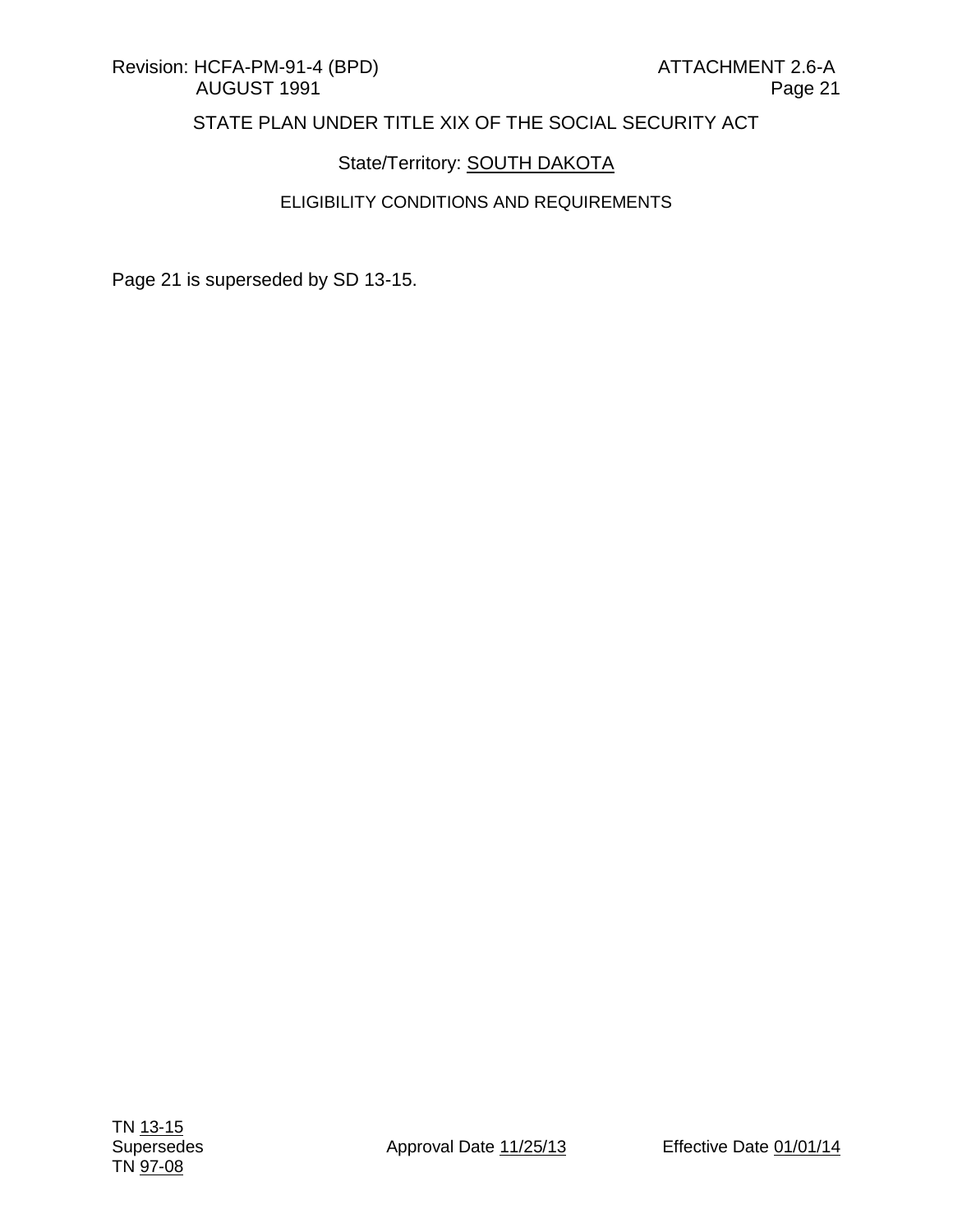## State/Territory: **SOUTH DAKOTA**

#### ELIGIBILITY CONDITIONS AND REQUIREMENTS

Page 21 is superseded by SD 13-15.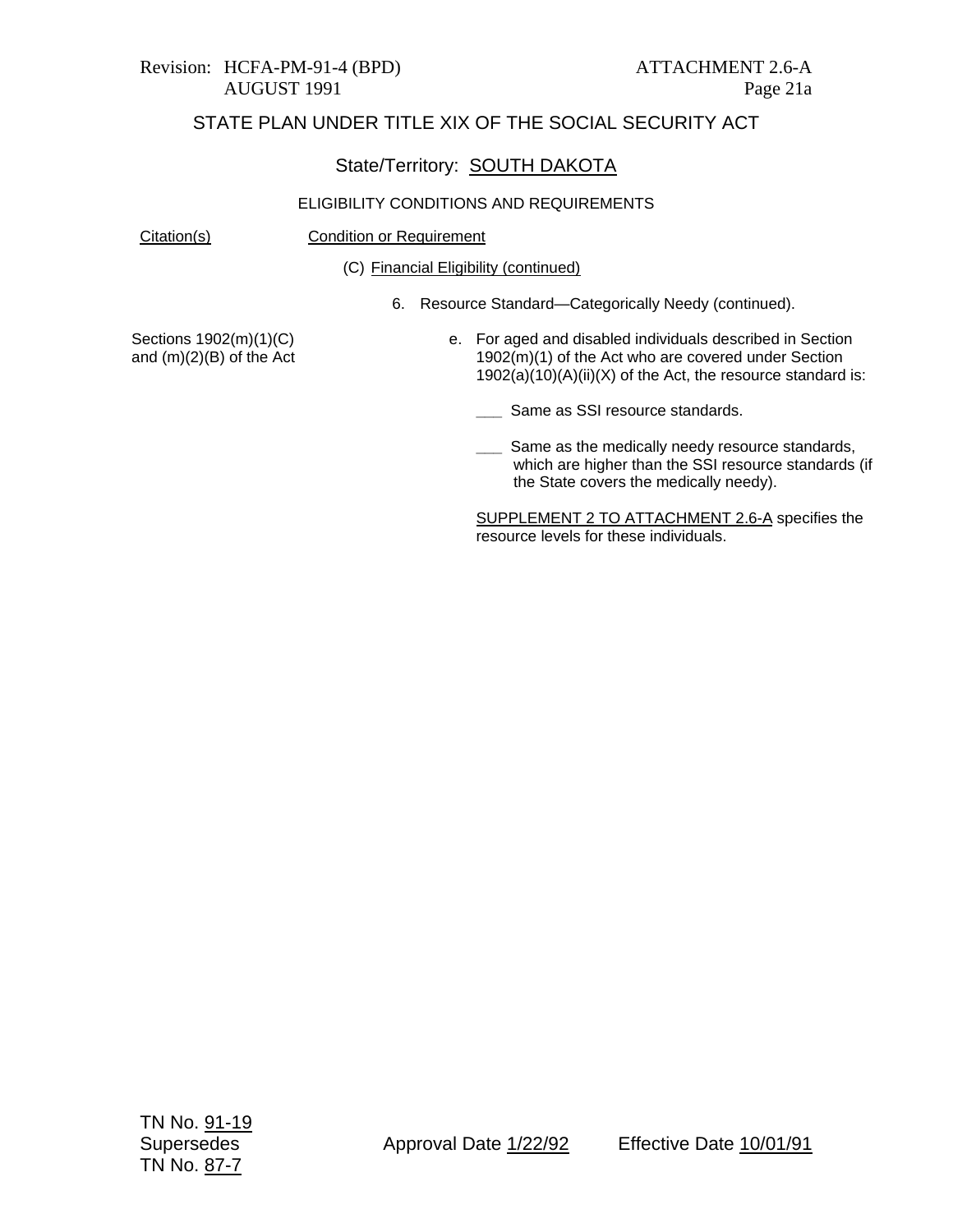#### Revision: HCFA-PM-91-4 (BPD) ATTACHMENT 2.6-A AUGUST 1991 Page 21a

## STATE PLAN UNDER TITLE XIX OF THE SOCIAL SECURITY ACT

#### State/Territory: SOUTH DAKOTA

#### ELIGIBILITY CONDITIONS AND REQUIREMENTS

Citation(s) Condition or Requirement

(C) Financial Eligibility (continued)

6. Resource Standard—Categorically Needy (continued).

Sections 1902(m)(1)(C) and (m)(2)(B) of the Act e. For aged and disabled individuals described in Section 1902(m)(1) of the Act who are covered under Section 1902(a)(10)(A)(ii)(X) of the Act, the resource standard is:

**\_\_\_** Same as SSI resource standards.

**LECT** Same as the medically needy resource standards, which are higher than the SSI resource standards (if the State covers the medically needy).

SUPPLEMENT 2 TO ATTACHMENT 2.6-A specifies the resource levels for these individuals.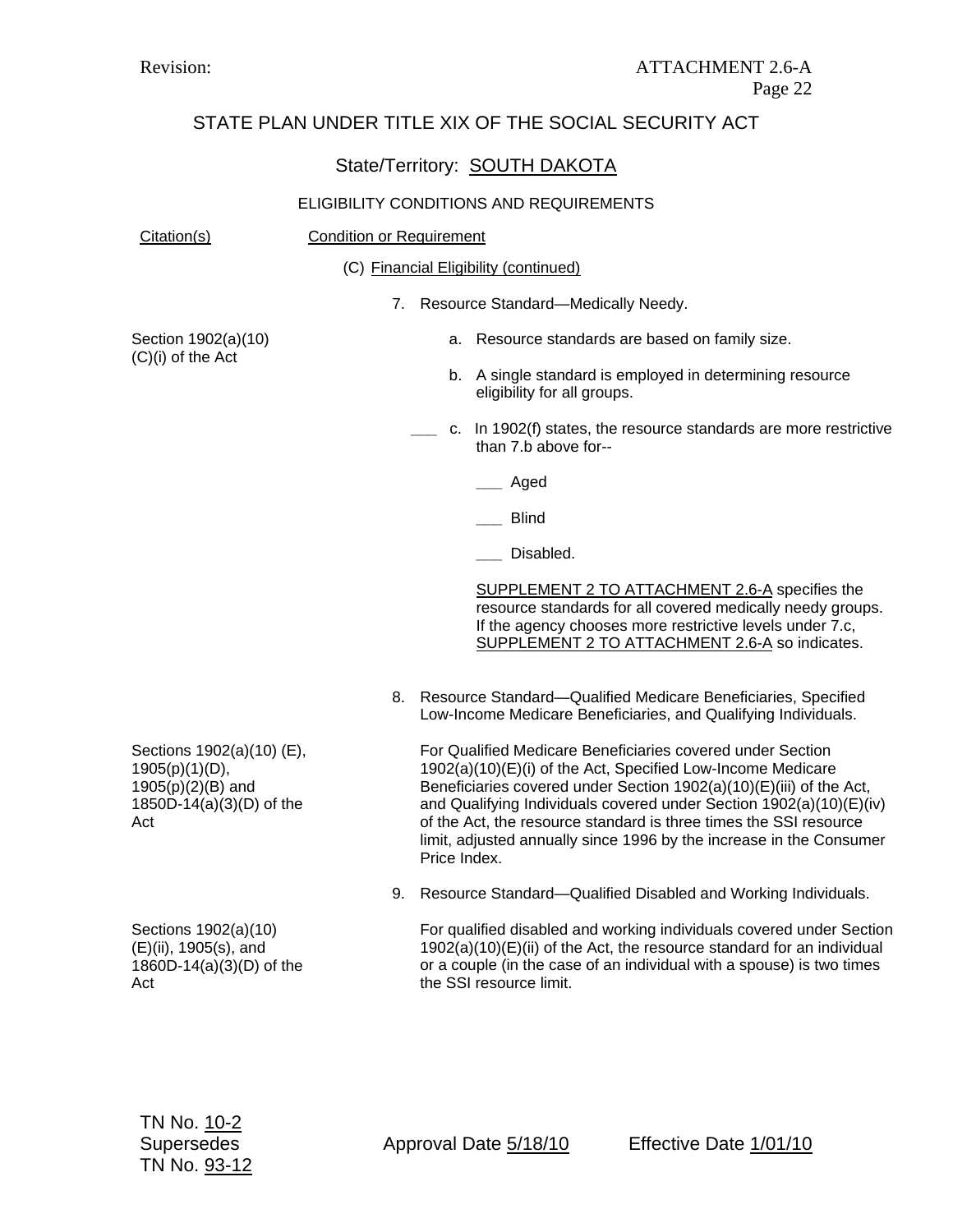## State/Territory: SOUTH DAKOTA

#### ELIGIBILITY CONDITIONS AND REQUIREMENTS

| Citation(s)                                                                                            | <b>Condition or Requirement</b>                                                                                                                                                                                                                                                                                                                                                                                                     |  |
|--------------------------------------------------------------------------------------------------------|-------------------------------------------------------------------------------------------------------------------------------------------------------------------------------------------------------------------------------------------------------------------------------------------------------------------------------------------------------------------------------------------------------------------------------------|--|
|                                                                                                        | (C) Financial Eligibility (continued)                                                                                                                                                                                                                                                                                                                                                                                               |  |
|                                                                                                        | 7. Resource Standard-Medically Needy.                                                                                                                                                                                                                                                                                                                                                                                               |  |
| Section 1902(a)(10)                                                                                    | a. Resource standards are based on family size.                                                                                                                                                                                                                                                                                                                                                                                     |  |
| (C)(i) of the Act                                                                                      | b. A single standard is employed in determining resource<br>eligibility for all groups.                                                                                                                                                                                                                                                                                                                                             |  |
|                                                                                                        | c. In 1902(f) states, the resource standards are more restrictive<br>than 7.b above for--                                                                                                                                                                                                                                                                                                                                           |  |
|                                                                                                        | ___ Aged                                                                                                                                                                                                                                                                                                                                                                                                                            |  |
|                                                                                                        | <b>Blind</b>                                                                                                                                                                                                                                                                                                                                                                                                                        |  |
|                                                                                                        | Disabled.                                                                                                                                                                                                                                                                                                                                                                                                                           |  |
|                                                                                                        | SUPPLEMENT 2 TO ATTACHMENT 2.6-A specifies the<br>resource standards for all covered medically needy groups.<br>If the agency chooses more restrictive levels under 7.c,<br>SUPPLEMENT 2 TO ATTACHMENT 2.6-A so indicates.                                                                                                                                                                                                          |  |
|                                                                                                        | Resource Standard-Qualified Medicare Beneficiaries, Specified<br>8.<br>Low-Income Medicare Beneficiaries, and Qualifying Individuals.                                                                                                                                                                                                                                                                                               |  |
| Sections 1902(a)(10) (E),<br>$1905(p)(1)(D)$ ,<br>1905(p)(2)(B) and<br>1850D-14(a)(3)(D) of the<br>Act | For Qualified Medicare Beneficiaries covered under Section<br>1902(a)(10)(E)(i) of the Act, Specified Low-Income Medicare<br>Beneficiaries covered under Section 1902(a)(10)(E)(iii) of the Act,<br>and Qualifying Individuals covered under Section 1902(a)(10)(E)(iv)<br>of the Act, the resource standard is three times the SSI resource<br>limit, adjusted annually since 1996 by the increase in the Consumer<br>Price Index. |  |
|                                                                                                        | 9. Resource Standard-Qualified Disabled and Working Individuals.                                                                                                                                                                                                                                                                                                                                                                    |  |
| Sections 1902(a)(10)<br>(E)(ii), 1905(s), and<br>1860D-14(a)(3)(D) of the                              | For qualified disabled and working individuals covered under Section<br>$1902(a)(10)(E)(ii)$ of the Act, the resource standard for an individual<br>or a couple (in the case of an individual with a spouse) is two times                                                                                                                                                                                                           |  |

the SSI resource limit.

Act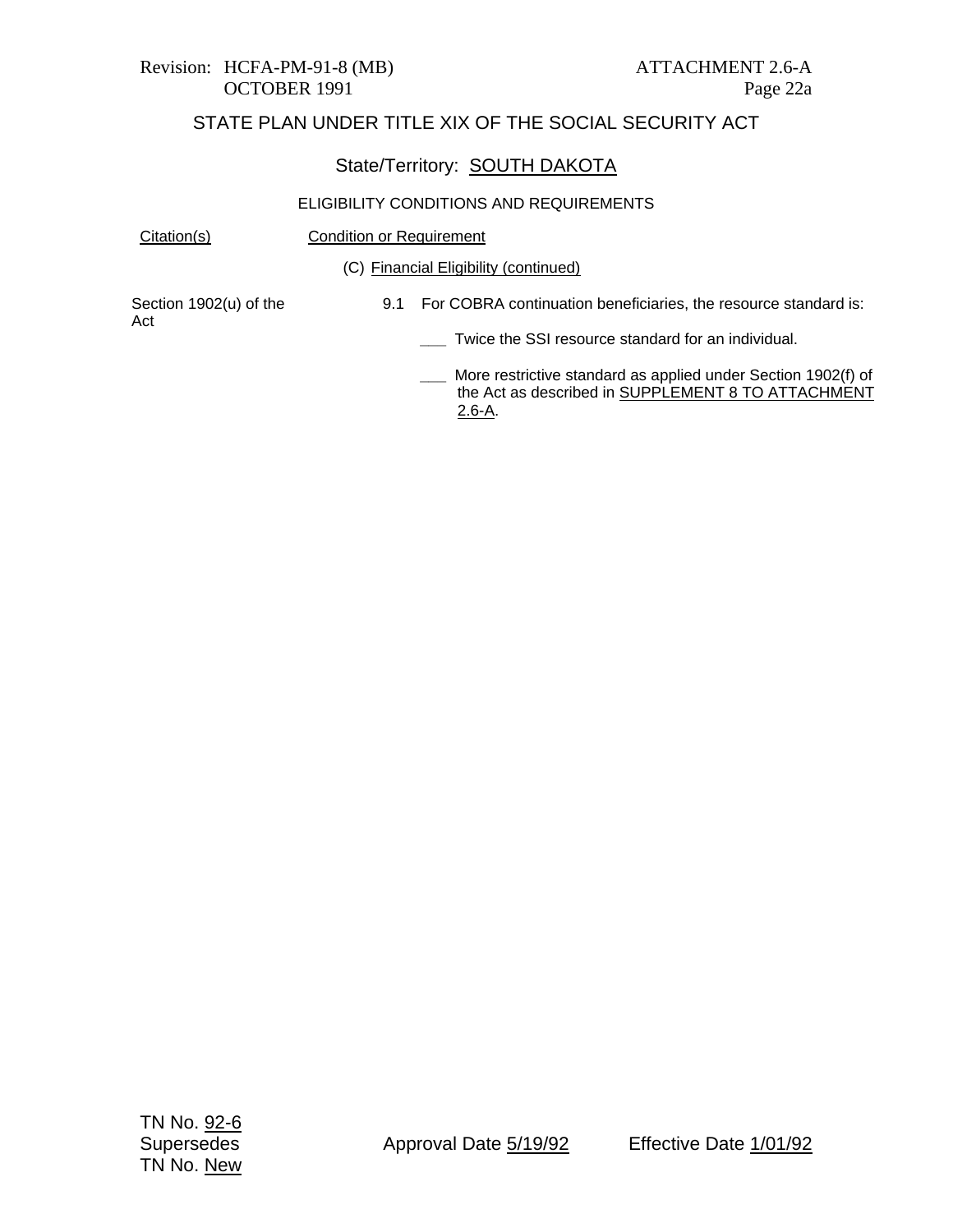# Revision: HCFA-PM-91-8 (MB) ATTACHMENT 2.6-A

## STATE PLAN UNDER TITLE XIX OF THE SOCIAL SECURITY ACT

#### State/Territory: SOUTH DAKOTA

#### ELIGIBILITY CONDITIONS AND REQUIREMENTS

Citation(s) Condition or Requirement

(C) Financial Eligibility (continued)

Section 1902(u) of the Act

- 9.1 For COBRA continuation beneficiaries, the resource standard is:
	- **\_\_\_** Twice the SSI resource standard for an individual.

**\_\_\_** More restrictive standard as applied under Section 1902(f) of the Act as described in SUPPLEMENT 8 TO ATTACHMENT 2.6-A.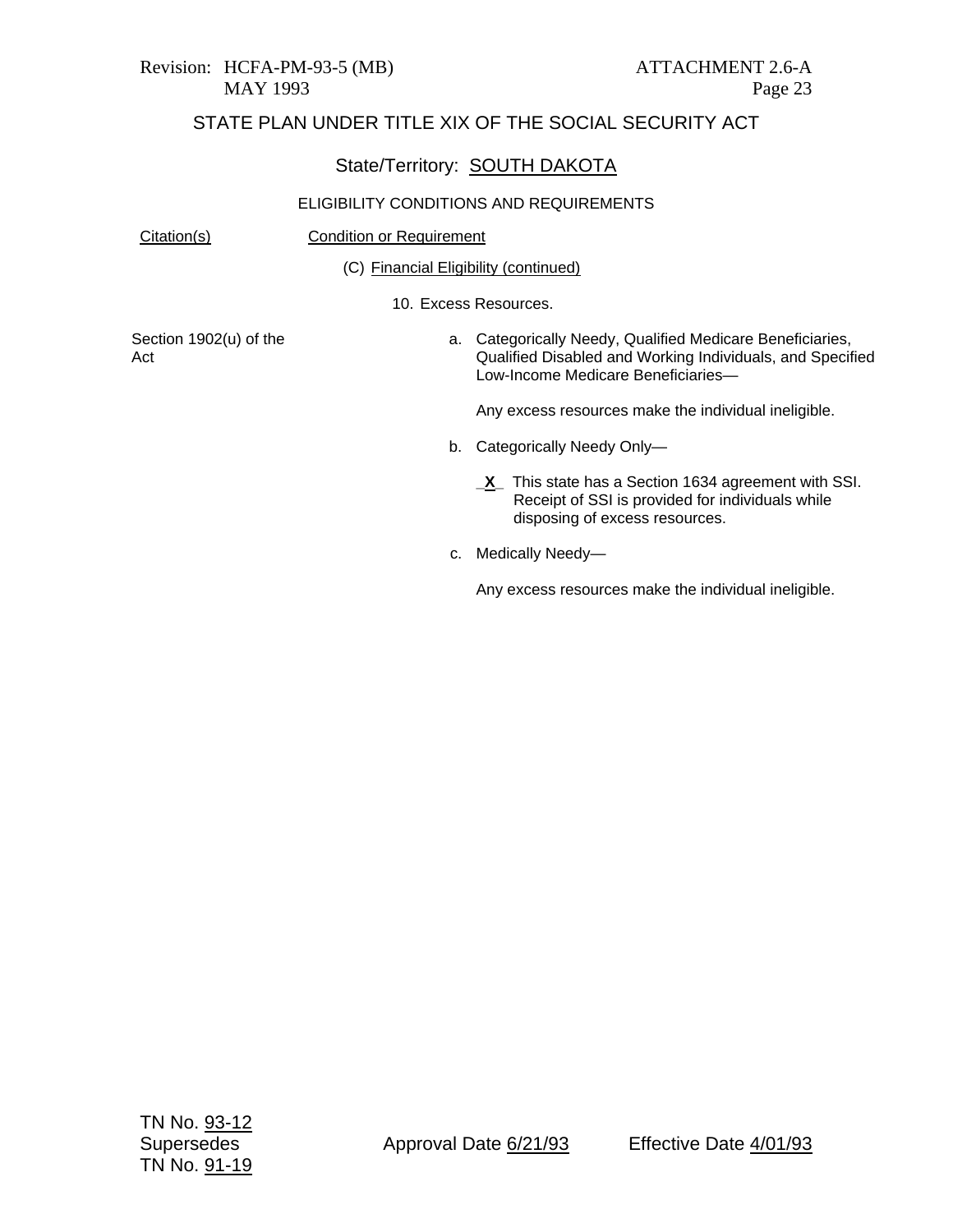## State/Territory: SOUTH DAKOTA

| Citation(s)                   | <b>Condition or Requirement</b>       |                                                                                                                                                              |  |
|-------------------------------|---------------------------------------|--------------------------------------------------------------------------------------------------------------------------------------------------------------|--|
|                               | (C) Financial Eligibility (continued) |                                                                                                                                                              |  |
|                               |                                       | 10. Excess Resources.                                                                                                                                        |  |
| Section 1902(u) of the<br>Act |                                       | a. Categorically Needy, Qualified Medicare Beneficiaries,<br>Qualified Disabled and Working Individuals, and Specified<br>Low-Income Medicare Beneficiaries- |  |
|                               |                                       | Any excess resources make the individual ineligible.                                                                                                         |  |
|                               |                                       | b. Categorically Needy Only-                                                                                                                                 |  |
|                               |                                       | <b>_X</b> _ This state has a Section 1634 agreement with SSI.<br>Receipt of SSI is provided for individuals while<br>disposing of excess resources.          |  |
|                               | c.                                    | Medically Needy—                                                                                                                                             |  |
|                               |                                       | Any excess resources make the individual ineligible.                                                                                                         |  |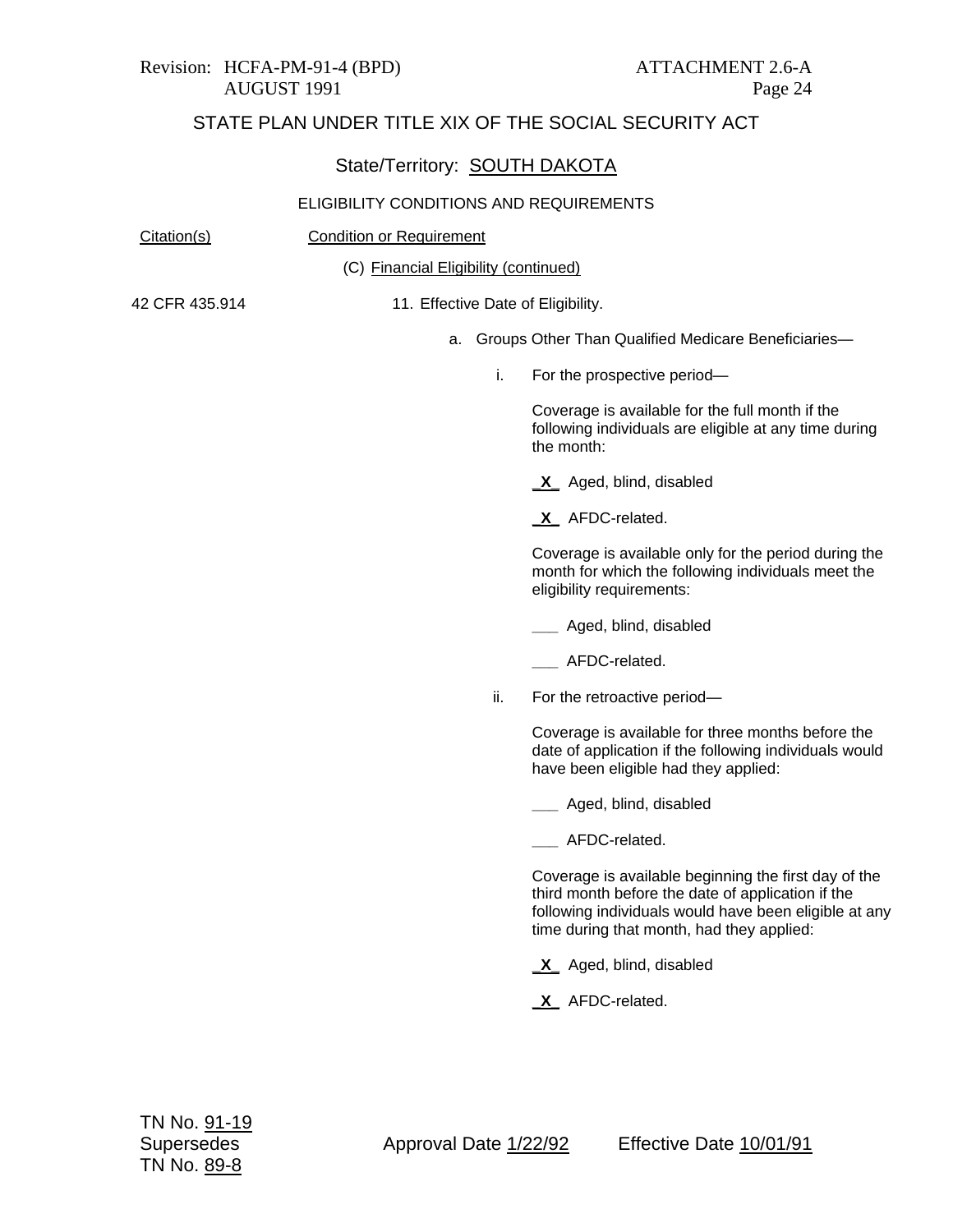#### Revision: HCFA-PM-91-4 (BPD) ATTACHMENT 2.6-A AUGUST 1991 Page 24

# STATE PLAN UNDER TITLE XIX OF THE SOCIAL SECURITY ACT

## State/Territory: SOUTH DAKOTA

| Citation(s)    | <b>Condition or Requirement</b>       |                                                                                                                                                                                                                 |  |
|----------------|---------------------------------------|-----------------------------------------------------------------------------------------------------------------------------------------------------------------------------------------------------------------|--|
|                | (C) Financial Eligibility (continued) |                                                                                                                                                                                                                 |  |
| 42 CFR 435.914 | 11. Effective Date of Eligibility.    |                                                                                                                                                                                                                 |  |
|                | а.                                    | Groups Other Than Qualified Medicare Beneficiaries-                                                                                                                                                             |  |
|                | i.                                    | For the prospective period-                                                                                                                                                                                     |  |
|                |                                       | Coverage is available for the full month if the<br>following individuals are eligible at any time during<br>the month:                                                                                          |  |
|                |                                       | X Aged, blind, disabled                                                                                                                                                                                         |  |
|                |                                       | X AFDC-related.                                                                                                                                                                                                 |  |
|                |                                       | Coverage is available only for the period during the<br>month for which the following individuals meet the<br>eligibility requirements:                                                                         |  |
|                |                                       | __ Aged, blind, disabled                                                                                                                                                                                        |  |
|                |                                       | AFDC-related.                                                                                                                                                                                                   |  |
|                | ii.                                   | For the retroactive period-                                                                                                                                                                                     |  |
|                |                                       | Coverage is available for three months before the<br>date of application if the following individuals would<br>have been eligible had they applied:                                                             |  |
|                |                                       | ___ Aged, blind, disabled                                                                                                                                                                                       |  |
|                |                                       | __ AFDC-related.                                                                                                                                                                                                |  |
|                |                                       | Coverage is available beginning the first day of the<br>third month before the date of application if the<br>following individuals would have been eligible at any<br>time during that month, had they applied: |  |
|                |                                       | X Aged, blind, disabled                                                                                                                                                                                         |  |
|                |                                       | X AFDC-related.                                                                                                                                                                                                 |  |
|                |                                       |                                                                                                                                                                                                                 |  |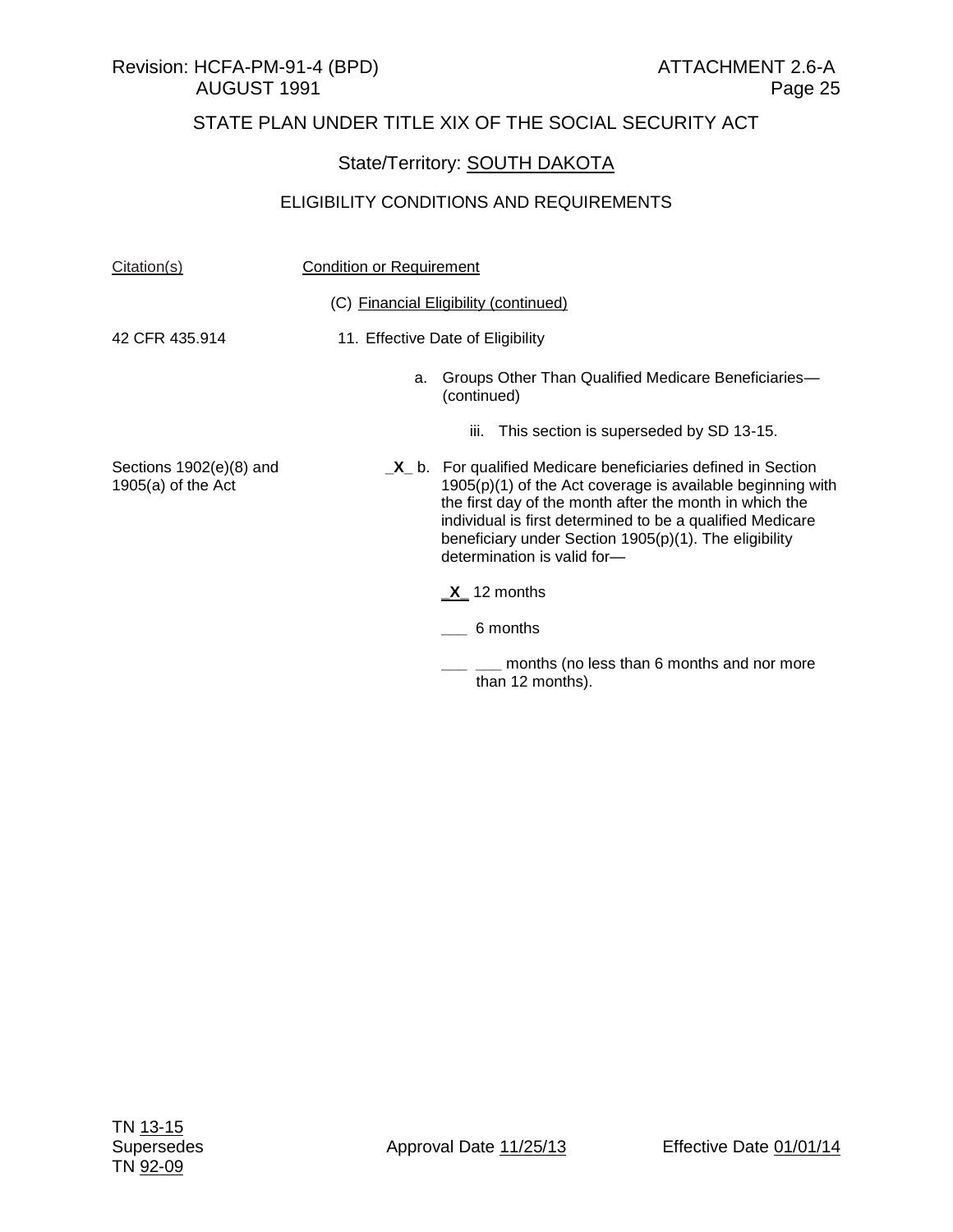## State/Territory: **SOUTH DAKOTA**

| Citation(s)                                       | <b>Condition or Requirement</b>       |                                                                                                                                                                                                                                                                                                                                                    |
|---------------------------------------------------|---------------------------------------|----------------------------------------------------------------------------------------------------------------------------------------------------------------------------------------------------------------------------------------------------------------------------------------------------------------------------------------------------|
|                                                   | (C) Financial Eligibility (continued) |                                                                                                                                                                                                                                                                                                                                                    |
| 42 CFR 435.914                                    | 11. Effective Date of Eligibility     |                                                                                                                                                                                                                                                                                                                                                    |
|                                                   | a.                                    | Groups Other Than Qualified Medicare Beneficiaries-<br>(continued)                                                                                                                                                                                                                                                                                 |
|                                                   |                                       | This section is superseded by SD 13-15.<br>Ш.                                                                                                                                                                                                                                                                                                      |
| Sections $1902(e)(8)$ and<br>$1905(a)$ of the Act |                                       | $X_b$ . For qualified Medicare beneficiaries defined in Section<br>$1905(p)(1)$ of the Act coverage is available beginning with<br>the first day of the month after the month in which the<br>individual is first determined to be a qualified Medicare<br>beneficiary under Section $1905(p)(1)$ . The eligibility<br>determination is valid for- |
|                                                   |                                       | $X_1$ 12 months                                                                                                                                                                                                                                                                                                                                    |
|                                                   |                                       | 6 months                                                                                                                                                                                                                                                                                                                                           |
|                                                   |                                       | months (no less than 6 months and nor more<br>than 12 months).                                                                                                                                                                                                                                                                                     |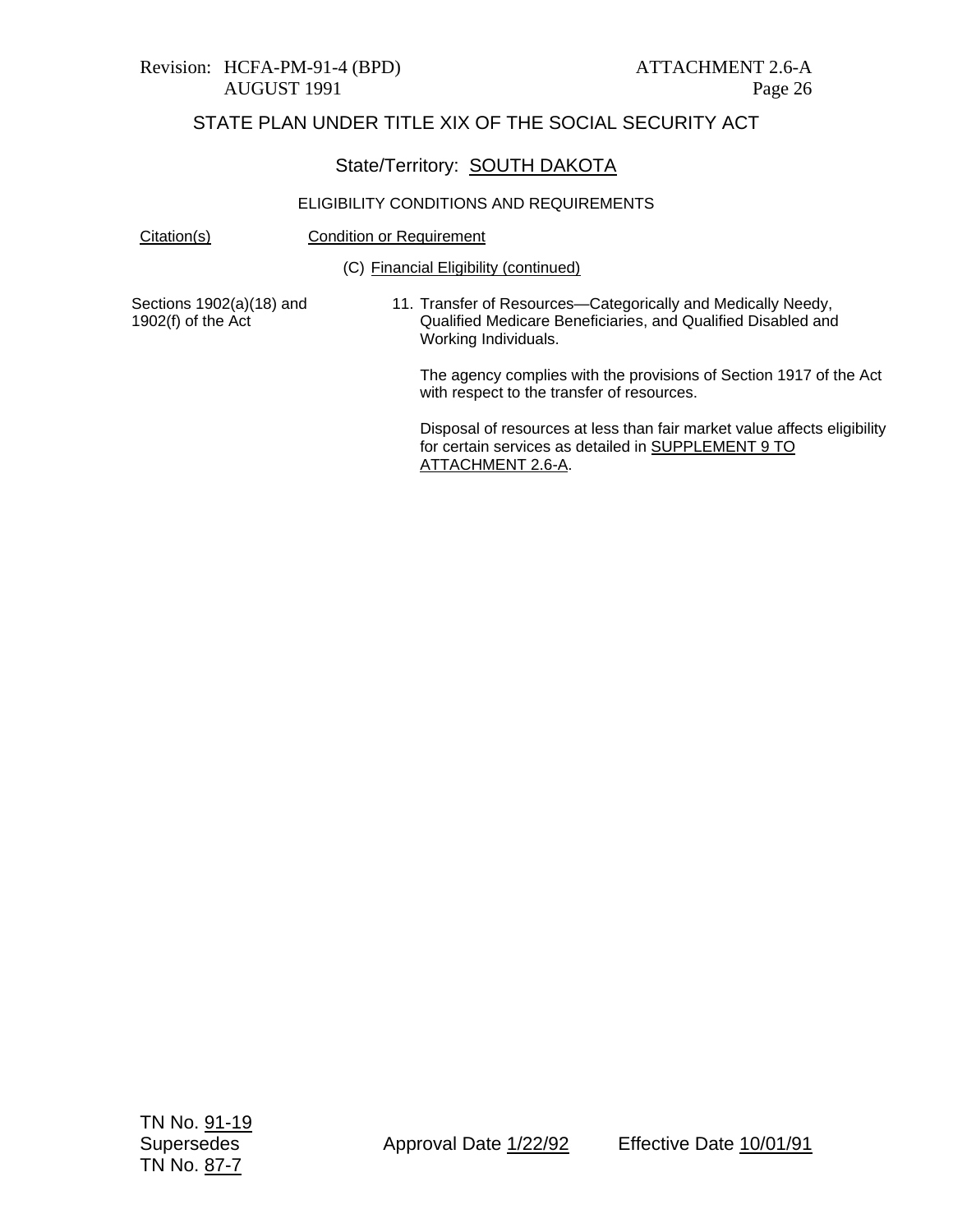#### Revision: HCFA-PM-91-4 (BPD) ATTACHMENT 2.6-A AUGUST 1991 Page 26

## STATE PLAN UNDER TITLE XIX OF THE SOCIAL SECURITY ACT

#### State/Territory: SOUTH DAKOTA

#### ELIGIBILITY CONDITIONS AND REQUIREMENTS

| Citation(s) | <b>Condition or Requirement</b> |
|-------------|---------------------------------|
|             |                                 |

(C) Financial Eligibility (continued)

Sections 1902(a)(18) and 1902(f) of the Act

11. Transfer of Resources—Categorically and Medically Needy, Qualified Medicare Beneficiaries, and Qualified Disabled and Working Individuals.

The agency complies with the provisions of Section 1917 of the Act with respect to the transfer of resources.

Disposal of resources at less than fair market value affects eligibility for certain services as detailed in SUPPLEMENT 9 TO ATTACHMENT 2.6-A.